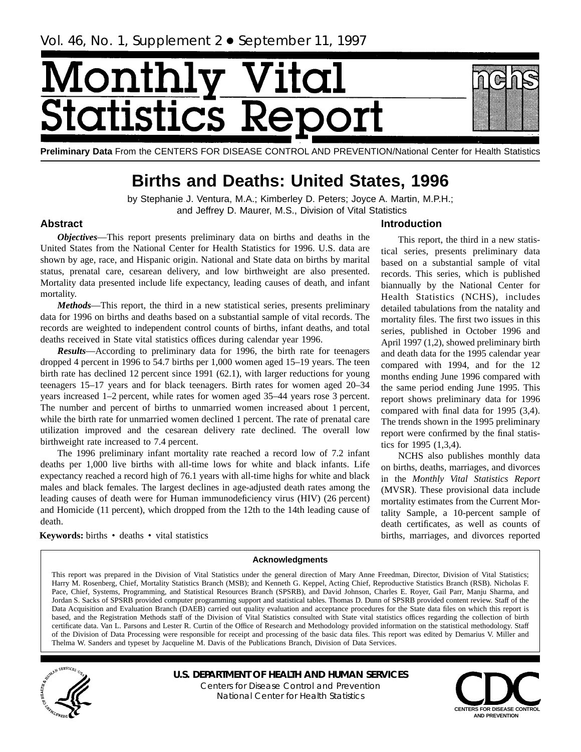# <span id="page-0-0"></span>[onth] lics R tatist

**Preliminary Data** From the CENTERS FOR DISEASE CONTROL AND PREVENTION/National Center for Health Statistics

# **Births and Deaths: United States, 1996**

by Stephanie J. Ventura, M.A.; Kimberley D. Peters; Joyce A. Martin, M.P.H.; and Jeffrey D. Maurer, M.S., Division of Vital Statistics

# **Abstract**

*Objectives*—This report presents preliminary data on births and deaths in the United States from the National Center for Health Statistics for 1996. U.S. data are shown by age, race, and Hispanic origin. National and State data on births by marital status, prenatal care, cesarean delivery, and low birthweight are also presented. Mortality data presented include life expectancy, leading causes of death, and infant mortality.

*Methods*—This report, the third in a new statistical series, presents preliminary data for 1996 on births and deaths based on a substantial sample of vital records. The records are weighted to independent control counts of births, infant deaths, and total deaths received in State vital statistics offices during calendar year 1996.

*Results*—According to preliminary data for 1996, the birth rate for teenagers dropped 4 percent in 1996 to 54.7 births per 1,000 women aged 15–19 years. The teen birth rate has declined 12 percent since 1991 (62.1), with larger reductions for young teenagers 15–17 years and for black teenagers. Birth rates for women aged 20–34 years increased 1–2 percent, while rates for women aged 35–44 years rose 3 percent. The number and percent of births to unmarried women increased about 1 percent, while the birth rate for unmarried women declined 1 percent. The rate of prenatal care utilization improved and the cesarean delivery rate declined. The overall low birthweight rate increased to 7.4 percent.

The 1996 preliminary infant mortality rate reached a record low of 7.2 infant deaths per 1,000 live births with all-time lows for white and black infants. Life expectancy reached a record high of 76.1 years with all-time highs for white and black males and black females. The largest declines in age-adjusted death rates among the leading causes of death were for Human immunodeficiency virus (HIV) (26 percent) and Homicide (11 percent), which dropped from the 12th to the 14th leading cause of death.

Keywords: births · deaths · vital statistics

# **Introduction**

This report, the third in a new statistical series, presents preliminary data based on a substantial sample of vital records. This series, which is published biannually by the National Center for Health Statistics (NCHS), includes detailed tabulations from the natality and mortality files. The first two issues in this series, published in October 1996 and April 1997 (1,2), showed preliminary birth and death data for the 1995 calendar year compared with 1994, and for the 12 months ending June 1996 compared with the same period ending June 1995. This report shows preliminary data for 1996 compared with final data for 1995 (3,4). The trends shown in the 1995 preliminary report were confirmed by the final statistics for 1995 (1,3,4).

NCHS also publishes monthly data on births, deaths, marriages, and divorces in the *Monthly Vital Statistics Report* (MVSR). These provisional data include mortality estimates from the Current Mortality Sample, a 10-percent sample of death certificates, as well as counts of births, marriages, and divorces reported

# **Acknowledgments**

This report was prepared in the Division of Vital Statistics under the general direction of Mary Anne Freedman, Director, Division of Vital Statistics; Harry M. Rosenberg, Chief, Mortality Statistics Branch (MSB); and Kenneth G. Keppel, Acting Chief, Reproductive Statistics Branch (RSB). Nicholas F. Pace, Chief, Systems, Programming, and Statistical Resources Branch (SPSRB), and David Johnson, Charles E. Royer, Gail Parr, Manju Sharma, and Jordan S. Sacks of SPSRB provided computer programming support and statistical tables. Thomas D. Dunn of SPSRB provided content review. Staff of the Data Acquisition and Evaluation Branch (DAEB) carried out quality evaluation and acceptance procedures for the State data files on which this report is based, and the Registration Methods staff of the Division of Vital Statistics consulted with State vital statistics offices regarding the collection of birth certificate data. Van L. Parsons and Lester R. Curtin of the Office of Research and Methodology provided information on the statistical methodology. Staff of the Division of Data Processing were responsible for receipt and processing of the basic data files. This report was edited by Demarius V. Miller and Thelma W. Sanders and typeset by Jacqueline M. Davis of the Publications Branch, Division of Data Services.



**U.S. DEPARTMENT OF HEALTH AND HUMAN SERVICES** Centers for Disease Control and Prevention National Center for Health Statistics

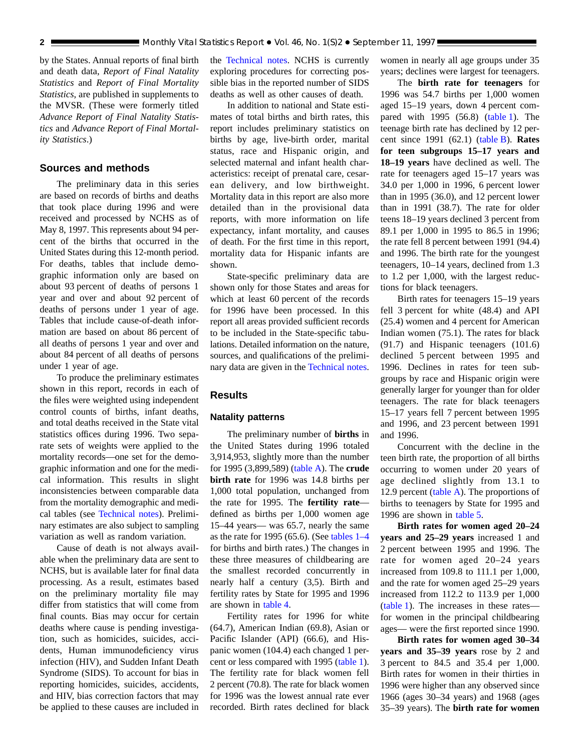<span id="page-1-0"></span>by the States. Annual reports of final birth and death data, *Report of Final Natality Statistics* and *Report of Final Mortality Statistics*, are published in supplements to the MVSR. (These were formerly titled *Advance Report of Final Natality Statistics* and *Advance Report of Final Mortality Statistics*.)

# **Sources and methods**

The preliminary data in this series are based on records of births and deaths that took place during 1996 and were received and processed by NCHS as of May 8, 1997. This represents about 94 percent of the births that occurred in the United States during this 12-month period. For deaths, tables that include demographic information only are based on about 93 percent of deaths of persons 1 year and over and about 92 percent of deaths of persons under 1 year of age. Tables that include cause-of-death information are based on about 86 percent of all deaths of persons 1 year and over and about 84 percent of all deaths of persons under 1 year of age.

To produce the preliminary estimates shown in this report, records in each of the files were weighted using independent control counts of births, infant deaths, and total deaths received in the State vital statistics offices during 1996. Two separate sets of weights were applied to the mortality records—one set for the demographic information and one for the medical information. This results in slight inconsistencies between comparable data from the mortality demographic and medical tables (see [Technical notes\). P](#page-34-0)reliminary estimates are also subject to sampling variation as well as random variation.

Cause of death is not always available when the preliminary data are sent to NCHS, but is available later for final data processing. As a result, estimates based on the preliminary mortality file may differ from statistics that will come from final counts. Bias may occur for certain deaths where cause is pending investigation, such as homicides, suicides, accidents, Human immunodeficiency virus infection (HIV), and Sudden Infant Death Syndrome (SIDS). To account for bias in reporting homicides, suicides, accidents, and HIV, bias correction factors that may be applied to these causes are included in

the Technical notes. NCHS is currently e[xploring procedures for](#page-34-0) correcting possible bias in the reported number of SIDS deaths as well as other causes of death.

In addition to national and State estimates of total births and birth rates, this report includes preliminary statistics on births by age, live-birth order, marital status, race and Hispanic origin, and selected maternal and infant health characteristics: receipt of prenatal care, cesarean delivery, and low birthweight. Mortality data in this report are also more detailed than in the provisional data reports, with more information on life expectancy, infant mortality, and causes of death. For the first time in this report, mortality data for Hispanic infants are shown.

State-specific preliminary data are shown only for those States and areas for which at least 60 percent of the records for 1996 have been processed. In this report all areas provided sufficient records to be included in the State-specific tabulations. Detailed information on the nature, sources, and qualifications of the preliminary data are given in the [Technical notes.](#page-34-0)

# **Results**

# **Natality patterns**

The preliminary number of **births** in the United States during 1996 totaled 3,914,953, slightly more than the number for 1995 (3,899,58[9\) \(table A\). Th](#page-2-0)e **crude birth rate** for 1996 was 14.8 births per 1,000 total population, unchanged from the rate for 1995. The **fertility rate** defined as births per 1,000 women age 15–44 years— was 65.7, nearly the same as the rate for 1995 (65.6). (See [tables 1–4](#page-7-0) for births and birth rates.) The changes in these three measures of childbearing are the smallest recorded concurrently in nearly half a century (3,5). Birth and fertility ra[tes by State fo](#page-11-0)r 1995 and 1996 are shown in table 4.

Fertility rates for 1996 for white (64.7), American Indian (69.8), Asian or Pacific Islander (API) (66.6), and Hispanic women (104.4) each changed 1 percent or less compared with 1[995 \(table 1\).](#page-7-0) The fertility rate for black women fell 2 percent (70.8). The rate for black women for 1996 was the lowest annual rate ever recorded. Birth rates declined for black women in nearly all age groups under 35 years; declines were largest for teenagers.

The **birth rate for teenagers** for 1996 was 54.7 births per 1,000 women aged 15–19 years, down 4 percent compared with 1995 (5[6.8\) \(table 1\). T](#page-7-0)he teenage birth rate has declined by 12 percent since 1991 (62.1) (table B). **Rates for teen subgroups [15–17 years](#page-2-0) and 18–19 years** have declined as well. The rate for teenagers aged 15–17 years was 34.0 per 1,000 in 1996, 6 percent lower than in 1995 (36.0), and 12 percent lower than in 1991 (38.7). The rate for older teens 18–19 years declined 3 percent from 89.1 per 1,000 in 1995 to 86.5 in 1996; the rate fell 8 percent between 1991 (94.4) and 1996. The birth rate for the youngest teenagers, 10–14 years, declined from 1.3 to 1.2 per 1,000, with the largest reductions for black teenagers.

Birth rates for teenagers 15–19 years fell 3 percent for white (48.4) and API (25.4) women and 4 percent for American Indian women (75.1). The rates for black (91.7) and Hispanic teenagers (101.6) declined 5 percent between 1995 and 1996. Declines in rates for teen subgroups by race and Hispanic origin were generally larger for younger than for older teenagers. The rate for black teenagers 15–17 years fell 7 percent between 1995 and 1996, and 23 percent between 1991 and 1996.

Concurrent with the decline in the teen birth rate, the proportion of all births occurring to women under 20 years of age declined slightly from 13.1 to 12.9 percent (table  $A$ ). The proportions of births to teenagers by State for 1995 and 1996 are shown in [table 5.](#page-12-0)

**Birth rates for women aged 20–24 years and 25–29 years** increased 1 and 2 percent between 1995 and 1996. The rate for women aged 20–24 years increased from 109.8 to 111.1 per 1,000, and the rate for women aged 25–29 years increased from 112.2 to 113.9 per 1,000 [\(table 1\). Th](#page-7-0)e increases in these rates for women in the principal childbearing ages— were the first reported since 1990.

**Birth rates for women aged 30–34 years and 35–39 years** rose by 2 and 3 percent to 84.5 and 35.4 per 1,000. Birth rates for women in their thirties in 1996 were higher than any observed since 1966 (ages 30–34 years) and 1968 (ages 35–39 years). The **birth rate for women**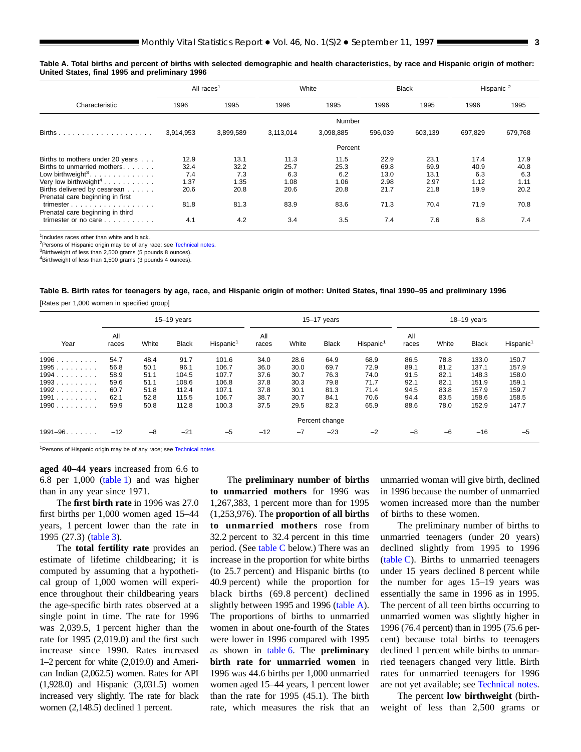<span id="page-2-0"></span>**Table A. Total births and percent of births with selected demographic and health characteristics, by race and Hispanic origin of mother: United States, final 1995 and preliminary 1996**

|                                                                                                                                                                                                                                                                                                                      | All races <sup>1</sup>                      |                                             |                                             | White                                       |                                              | <b>Black</b>                                 |                                             | Hispanic <sup>2</sup>                       |
|----------------------------------------------------------------------------------------------------------------------------------------------------------------------------------------------------------------------------------------------------------------------------------------------------------------------|---------------------------------------------|---------------------------------------------|---------------------------------------------|---------------------------------------------|----------------------------------------------|----------------------------------------------|---------------------------------------------|---------------------------------------------|
| Characteristic                                                                                                                                                                                                                                                                                                       | 1996                                        | 1995                                        | 1996                                        | 1995                                        | 1996                                         | 1995                                         | 1996                                        | 1995                                        |
|                                                                                                                                                                                                                                                                                                                      |                                             |                                             |                                             | Number                                      |                                              |                                              |                                             |                                             |
|                                                                                                                                                                                                                                                                                                                      | 3,914,953                                   | 3,899,589                                   | 3,113,014                                   | 3,098,885                                   | 596,039                                      | 603,139                                      | 697,829                                     | 679,768                                     |
|                                                                                                                                                                                                                                                                                                                      |                                             |                                             |                                             | Percent                                     |                                              |                                              |                                             |                                             |
| Births to mothers under 20 years<br>Births to unmarried mothers.<br>Low birthweight <sup>3</sup><br>Very low birthweight <sup>4</sup><br>Births delivered by cesarean<br>Prenatal care beginning in first<br>trimester $\dots$ , $\dots$ , $\dots$ , $\dots$ , $\dots$ , $\dots$<br>Prenatal care beginning in third | 12.9<br>32.4<br>7.4<br>1.37<br>20.6<br>81.8 | 13.1<br>32.2<br>7.3<br>1.35<br>20.8<br>81.3 | 11.3<br>25.7<br>6.3<br>1.08<br>20.6<br>83.9 | 11.5<br>25.3<br>6.2<br>1.06<br>20.8<br>83.6 | 22.9<br>69.8<br>13.0<br>2.98<br>21.7<br>71.3 | 23.1<br>69.9<br>13.1<br>2.97<br>21.8<br>70.4 | 17.4<br>40.9<br>6.3<br>1.12<br>19.9<br>71.9 | 17.9<br>40.8<br>6.3<br>1.11<br>20.2<br>70.8 |
| trimester or no care $\ldots$ , $\ldots$ , $\ldots$                                                                                                                                                                                                                                                                  | 4.1                                         | 4.2                                         | 3.4                                         | 3.5                                         | 7.4                                          | 7.6                                          | 6.8                                         | 7.4                                         |

<sup>1</sup>Includes races other than white and black.

<sup>2</sup>Persons of Hispanic origin may be of any race; see [Technical notes.](#page-34-0)

3Birthweight of less than 2,500 grams (5 pounds 8 ounces).

<sup>4</sup>Birthweight of less than 1,500 grams (3 pounds 4 ounces).

#### **Table B. Birth rates for teenagers by age, race, and Hispanic origin of mother: United States, final 1990–95 and preliminary 1996**

[Rates per 1,000 women in specified group]

|           |              | $15-19$ years |              |                       |                | $15-17$ years |              |                       |              | $18-19$ years |              |                       |  |
|-----------|--------------|---------------|--------------|-----------------------|----------------|---------------|--------------|-----------------------|--------------|---------------|--------------|-----------------------|--|
| Year      | All<br>races | White         | <b>Black</b> | Hispanic <sup>1</sup> | All<br>races   | White         | <b>Black</b> | Hispanic <sup>1</sup> | All<br>races | White         | <b>Black</b> | Hispanic <sup>1</sup> |  |
| 1996      | 54.7         | 48.4          | 91.7         | 101.6                 | 34.0           | 28.6          | 64.9         | 68.9                  | 86.5         | 78.8          | 133.0        | 150.7                 |  |
| 1995      | 56.8         | 50.1          | 96.1         | 106.7                 | 36.0           | 30.0          | 69.7         | 72.9                  | 89.1         | 81.2          | 137.1        | 157.9                 |  |
| 1994      | 58.9         | 51.1          | 104.5        | 107.7                 | 37.6           | 30.7          | 76.3         | 74.0                  | 91.5         | 82.1          | 148.3        | 158.0                 |  |
| 1993      | 59.6         | 51.1          | 108.6        | 106.8                 | 37.8           | 30.3          | 79.8         | 71.7                  | 92.1         | 82.1          | 151.9        | 159.1                 |  |
| 1992<br>. | 60.7         | 51.8          | 112.4        | 107.1                 | 37.8           | 30.1          | 81.3         | 71.4                  | 94.5         | 83.8          | 157.9        | 159.7                 |  |
| 1991<br>. | 62.1         | 52.8          | 115.5        | 106.7                 | 38.7           | 30.7          | 84.1         | 70.6                  | 94.4         | 83.5          | 158.6        | 158.5                 |  |
| 1990<br>. | 59.9         | 50.8          | 112.8        | 100.3                 | 37.5           | 29.5          | 82.3         | 65.9                  | 88.6         | 78.0          | 152.9        | 147.7                 |  |
|           |              |               |              |                       | Percent change |               |              |                       |              |               |              |                       |  |
| 1991-96.  | $-12$        | $-8$          | $-21$        | $-5$                  | $-12$          | $-7$          | $-23$        | $-2$                  | $-8$         | $-6$          | $-16$        | $-5$                  |  |

<sup>1</sup>Persons of Hispanic origin may be of any race; see [Technical notes.](#page-34-0)

**aged 40–44 years** increased from 6.6 to 6.8 per 1,00[0 \(table 1\) a](#page-7-0)nd was higher than in any year since 1971.

The **first birth rate** in 1996 was 27.0 first births per 1,000 women aged 15–44 years, 1 percent lower than the rate in 1995 (27.3) (table 3).

The **[total fertility r](#page-10-0)ate** provides an estimate of lifetime childbearing; it is computed by assuming that a hypothetical group of 1,000 women will experience throughout their childbearing years the age-specific birth rates observed at a single point in time. The rate for 1996 was 2,039.5, 1 percent higher than the rate for 1995 (2,019.0) and the first such increase since 1990. Rates increased 1–2 percent for white (2,019.0) and American Indian (2,062.5) women. Rates for API (1,928.0) and Hispanic (3,031.5) women increased very slightly. The rate for black women (2,148.5) declined 1 percent.

The **preliminary number of births to unmarried mothers** for 1996 was 1,267,383, 1 percent more than for 1995 (1,253,976). The **proportion of all births to unmarried mothers** rose from 32.2 percent to 32.4 percent in this time period. (See [table C](#page-3-0) below.) There was an increase in the proportion for white births (to 25.7 percent) and Hispanic births (to 40.9 percent) while the proportion for black births (69.8 percent) declined slightly between 1995 and 1996 (table A). The proportions of births to unmarried women in about one-fourth of the States were lower in 1996 compared with 1995 as shown in [table 6. Th](#page-13-0)e **preliminary birth rate for unmarried women** in 1996 was 44.6 births per 1,000 unmarried women aged 15–44 years, 1 percent lower than the rate for 1995 (45.1). The birth rate, which measures the risk that an unmarried woman will give birth, declined in 1996 because the number of unmarried women increased more than the number of births to these women.

The preliminary number of births to unmarried teenagers (under 20 years) declined slightly from 1995 to 1996 [\(table C\). B](#page-3-0)irths to unmarried teenagers under 15 years declined 8 percent while the number for ages 15–19 years was essentially the same in 1996 as in 1995. The percent of all teen births occurring to unmarried women was slightly higher in 1996 (76.4 percent) than in 1995 (75.6 percent) because total births to teenagers declined 1 percent while births to unmarried teenagers changed very little. Birth rates for unmarried teenagers for 1996 are not yet available; see [Technical notes.](#page-34-0)

The percent **low birthweight** (birthweight of less than 2,500 grams or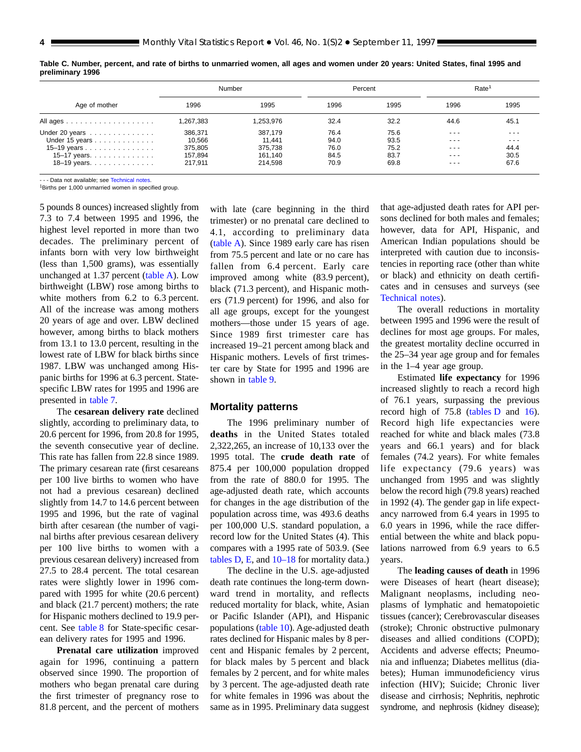|                                  | Number             |                    |              | Percent      |                                                                                                           | Rate <sup>1</sup>                                                                                                                                                     |  |  |
|----------------------------------|--------------------|--------------------|--------------|--------------|-----------------------------------------------------------------------------------------------------------|-----------------------------------------------------------------------------------------------------------------------------------------------------------------------|--|--|
| Age of mother                    | 1996               | 1995               | 1996         | 1995         | 1996                                                                                                      | 1995                                                                                                                                                                  |  |  |
|                                  | 1,267,383          | 1.253.976          | 32.4         | 32.2         | 44.6                                                                                                      | 45.1                                                                                                                                                                  |  |  |
| Under 20 years<br>Under 15 years | 386,371<br>10,566  | 387.179<br>11.441  | 76.4<br>94.0 | 75.6<br>93.5 | $- - -$<br>$\frac{1}{2} \left( \frac{1}{2} \right) \left( \frac{1}{2} \right) \left( \frac{1}{2} \right)$ | $\frac{1}{2} \left( \frac{1}{2} \right) \left( \frac{1}{2} \right)$<br>$\frac{1}{2} \left( \frac{1}{2} \right) \left( \frac{1}{2} \right) \left( \frac{1}{2} \right)$ |  |  |
| 15–19 years<br>15–17 years.      | 375,805<br>157,894 | 375.738<br>161.140 | 76.0<br>84.5 | 75.2<br>83.7 | $\cdots$<br>$\cdots$                                                                                      | 44.4<br>30.5                                                                                                                                                          |  |  |
| 18–19 years. $\ldots$            | 217.911            | 214,598            | 70.9         | 69.8         | ---                                                                                                       | 67.6                                                                                                                                                                  |  |  |

<span id="page-3-0"></span>**Table C. Number, percent, and rate of births to unmarried women, all ages and women under 20 years: United States, final 1995 and preliminary 1996**

- - - Data not available: see Technical notes

<sup>1</sup>Births per 1,000 unm[arried women in specified g](#page-34-0)roup.

5 pounds 8 ounces) increased slightly from 7.3 to 7.4 between 1995 and 1996, the highest level reported in more than two decades. The preliminary percent of infants born with very low birthweight (less than 1,500 grams), was essentially unchanged at 1.37 percen[t \(table A\). Lo](#page-2-0)w birthweight (LBW) rose among births to white mothers from 6.2 to 6.3 percent. All of the increase was among mothers 20 years of age and over. LBW declined however, among births to black mothers from 13.1 to 13.0 percent, resulting in the lowest rate of LBW for black births since 1987. LBW was unchanged among Hispanic births for 1996 at 6.3 percent. Statespecific LBW rates for 1995 and 1996 are presented in [table 7.](#page-14-0)

The **cesarean delivery rate** declined slightly, according to preliminary data, to 20.6 percent for 1996, from 20.8 for 1995, the seventh consecutive year of decline. This rate has fallen from 22.8 since 1989. The primary cesarean rate (first cesareans per 100 live births to women who have not had a previous cesarean) declined slightly from 14.7 to 14.6 percent between 1995 and 1996, but the rate of vaginal birth after cesarean (the number of vaginal births after previous cesarean delivery per 100 live births to women with a previous cesarean delivery) increased from 27.5 to 28.4 percent. The total cesarean rates were slightly lower in 1996 compared with 1995 for white (20.6 percent) and black (21.7 percent) mothers; the rate for Hispanic mothers declined to 19.9 percent. See [table 8](#page-15-0) for State-specific cesarean delivery rates for 1995 and 1996.

**Prenatal care utilization** improved again for 1996, continuing a pattern observed since 1990. The proportion of mothers who began prenatal care during the first trimester of pregnancy rose to 81.8 percent, and the percent of mothers

with late (care beginning in the third trimester) or no prenatal care declined to 4.1, according to preliminary data [\(table A\). Si](#page-2-0)nce 1989 early care has risen from 75.5 percent and late or no care has fallen from 6.4 percent. Early care improved among white (83.9 percent), black (71.3 percent), and Hispanic mothers (71.9 percent) for 1996, and also for all age groups, except for the youngest mothers—those under 15 years of age. Since 1989 first trimester care has increased 19–21 percent among black and Hispanic mothers. Levels of first trimester care by State for 1995 and 1996 are shown in [table 9.](#page-16-0)

# **Mortality patterns**

The 1996 preliminary number of **deaths** in the United States totaled 2,322,265, an increase of 10,133 over the 1995 total. The **crude death rate** of 875.4 per 100,000 population dropped from the rate of 880.0 for 1995. The age-adjusted death rate, which accounts for changes in the age distribution of the population across time, was 493.6 deaths per 100,000 U.S. standard population, a record low for the United States (4). This compares with a 1995 rate of 503.9. (See tables  $D$ ,  $E$ , and  $10-18$  for mortality data.)

The decline in the U.S. age-adjusted death rate continues the long-term downward trend in mortality, and reflects reduced mortality for black, white, Asian or Pacific Islander (API), and Hispanic population[s \(table 10\). A](#page-17-0)ge-adjusted death rates declined for Hispanic males by 8 percent and Hispanic females by 2 percent, for black males by 5 percent and black females by 2 percent, and for white males by 3 percent. The age-adjusted death rate for white females in 1996 was about the same as in 1995. Preliminary data suggest

that age-adjusted death rates for API persons declined for both males and females; however, data for API, Hispanic, and American Indian populations should be interpreted with caution due to inconsistencies in reporting race (other than white or black) and ethnicity on death certificates and in censuses and surveys (see [Technical notes\).](#page-34-0)

The overall reductions in mortality between 1995 and 1996 were the result of declines for most age groups. For males, the greatest mortality decline occurred in the 25–34 year age group and for females in the 1–4 year age group.

Estimated **life expectancy** for 1996 increased slightly to reach a record high of 76.1 years, surpassing the previous record high of 75.[8 \(tables D](#page-4-0) and [16\).](#page-30-0) Record high life expectancies were reached for white and black males (73.8 years and 66.1 years) and for black females (74.2 years). For white females life expectancy (79.6 years) was unchanged from 1995 and was slightly below the record high (79.8 years) reached in 1992 (4). The gender gap in life expectancy narrowed from 6.4 years in 1995 to 6.0 years in 1996, while the race differential between the white and black populations narrowed from 6.9 years to 6.5 years.

The **leading causes of death** in 1996 were Diseases of heart (heart disease); Malignant neoplasms, including neoplasms of lymphatic and hematopoietic tissues (cancer); Cerebrovascular diseases (stroke); Chronic obstructive pulmonary diseases and allied conditions (COPD); Accidents and adverse effects; Pneumonia and influenza; Diabetes mellitus (diabetes); Human immunodeficiency virus infection (HIV); Suicide; Chronic liver disease and cirrhosis; Nephritis, nephrotic syndrome, and nephrosis (kidney disease);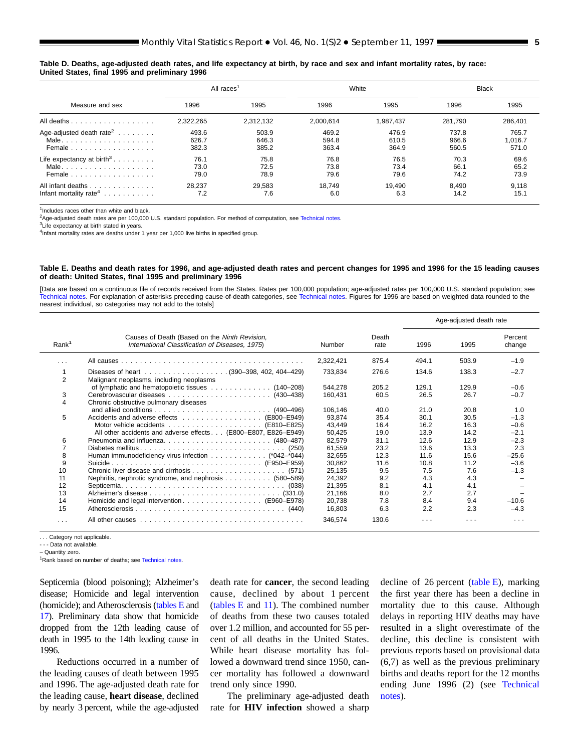#### <span id="page-4-0"></span>**Table D. Deaths, age-adjusted death rates, and life expectancy at birth, by race and sex and infant mortality rates, by race: United States, final 1995 and preliminary 1996**

|                                       | All races <sup>1</sup> |           |           | White     |         | <b>Black</b> |
|---------------------------------------|------------------------|-----------|-----------|-----------|---------|--------------|
| Measure and sex                       | 1996                   | 1995      | 1996      | 1995      | 1996    | 1995         |
| All deaths                            | 2.322.265              | 2,312,132 | 2,000,614 | 1.987.437 | 281.790 | 286,401      |
| Age-adjusted death rate <sup>2</sup>  | 493.6                  | 503.9     | 469.2     | 476.9     | 737.8   | 765.7        |
|                                       | 626.7                  | 646.3     | 594.8     | 610.5     | 966.6   | 1,016.7      |
| Female                                | 382.3                  | 385.2     | 363.4     | 364.9     | 560.5   | 571.0        |
| Life expectancy at birth <sup>3</sup> | 76.1                   | 75.8      | 76.8      | 76.5      | 70.3    | 69.6         |
| Male                                  | 73.0                   | 72.5      | 73.8      | 73.4      | 66.1    | 65.2         |
| Female                                | 79.0                   | 78.9      | 79.6      | 79.6      | 74.2    | 73.9         |
| All infant deaths                     | 28.237                 | 29,583    | 18.749    | 19.490    | 8.490   | 9,118        |
| Infant mortality rate <sup>4</sup>    | 7.2                    | 7.6       | 6.0       | 6.3       | 14.2    | 15.1         |

1Includes races other than white and black.

<sup>2</sup>Age-adjusted death rates are per 100,000 U.S. standard population. For method of computation, see [Technical notes.](#page-34-0)

<sup>3</sup>Life expectancy at birth stated in years.

<sup>4</sup>Infant mortality rates are deaths under 1 year per 1,000 live births in specified group.

#### **Table E. Deaths and death rates for 1996, and age-adjusted death rates and percent changes for 1995 and 1996 for the 15 leading causes of death: United States, final 1995 and preliminary 1996**

[Data are based on a continuous file of records received from the States. Rates per [100,000 population; ag](#page-34-0)e-adjusted rates per 100,000 U.S. standard population; see Technical notes. For explanation of asterisks preceding cause-of-death categories, see Technical notes. Figures for 1996 are based on weighted data rounded to the [nearest individual, so](#page-34-0) categories may not add to the totals]

|                   |                                                                                                  |           |               |       | Age-adjusted death rate |                   |
|-------------------|--------------------------------------------------------------------------------------------------|-----------|---------------|-------|-------------------------|-------------------|
| Rank <sup>1</sup> | Causes of Death (Based on the Ninth Revision,<br>International Classification of Diseases, 1975) | Number    | Death<br>rate | 1996  | 1995                    | Percent<br>change |
| $\cdots$          |                                                                                                  | 2,322,421 | 875.4         | 494.1 | 503.9                   | $-1.9$            |
| 2                 | Malignant neoplasms, including neoplasms                                                         | 733,834   | 276.6         | 134.6 | 138.3                   | $-2.7$            |
|                   | of lymphatic and hematopoietic tissues (140–208)                                                 | 544.278   | 205.2         | 129.1 | 129.9                   | $-0.6$            |
| 3                 |                                                                                                  | 160.431   | 60.5          | 26.5  | 26.7                    | $-0.7$            |
|                   | Chronic obstructive pulmonary diseases                                                           |           |               |       |                         |                   |
|                   |                                                                                                  | 106,146   | 40.0          | 21.0  | 20.8                    | 1.0               |
| 5                 |                                                                                                  | 93.874    | 35.4          | 30.1  | 30.5                    | $-1.3$            |
|                   |                                                                                                  | 43.449    | 16.4          | 16.2  | 16.3                    | $-0.6$            |
|                   | All other accidents and adverse effects (E800-E807, E826-E949)                                   | 50,425    | 19.0          | 13.9  | 14.2                    | $-2.1$            |
| 6                 |                                                                                                  | 82,579    | 31.1          | 12.6  | 12.9                    | $-2.3$            |
|                   |                                                                                                  | 61.559    | 23.2          | 13.6  | 13.3                    | 2.3               |
| 8                 | Human immunodeficiency virus infection $\ldots \ldots \ldots \ldots$ (*042–*044)                 | 32,655    | 12.3          | 11.6  | 15.6                    | $-25.6$           |
| 9                 |                                                                                                  | 30.862    | 11.6          | 10.8  | 11.2                    | $-3.6$            |
| 10                |                                                                                                  | 25,135    | 9.5           | 7.5   | 7.6                     | $-1.3$            |
| 11                | Nephritis, nephrotic syndrome, and nephrosis (580–589)                                           | 24.392    | 9.2           | 4.3   | 4.3                     |                   |
| 12                |                                                                                                  | 21.395    | 8.1           | 4.1   | 4.1                     |                   |
| 13                |                                                                                                  | 21,166    | 8.0           | 2.7   | 2.7                     |                   |
| 14                | Homicide and legal intervention (E960–E978)                                                      | 20,738    | 7.8           | 8.4   | 9.4                     | $-10.6$           |
| 15                |                                                                                                  | 16.803    | 6.3           | 2.2   | 2.3                     | $-4.3$            |
| .                 |                                                                                                  | 346.574   | 130.6         |       |                         |                   |

. . . Category not applicable.

- - - Data not available.

– Quantity zero.

<sup>1</sup>Rank based on number of deaths; see [Technical notes.](#page-34-0)

Septicemia (blood poisoning); Alzheimer's disease; Homicide and legal intervention (homicide); and Atherosclerosis (tables E and [17\). P](#page-31-0)reliminary data show that homicide dropped from the 12th leading cause of death in 1995 to the 14th leading cause in 1996.

Reductions occurred in a number of the leading causes of death between 1995 and 1996. The age-adjusted death rate for the leading cause, **heart disease**, declined by nearly 3 percent, while the age-adjusted

death rate for **cancer**, the second leading cause, declined by about 1 percent (tables E and [11\). T](#page-23-0)he combined number of deaths from these two causes totaled over 1.2 million, and accounted for 55 percent of all deaths in the United States. While heart disease mortality has followed a downward trend since 1950, cancer mortality has followed a downward trend only since 1990.

The preliminary age-adjusted death rate for **HIV infection** showed a sharp

decline of 26 percent (table E), marking the first year there has been a decline in mortality due to this cause. Although delays in reporting HIV deaths may have resulted in a slight overestimate of the decline, this decline is consistent with previous reports based on provisional data (6,7) as well as the previous preliminary births and deaths report for the 12 months ending June 1996 (2) (see [Technical](#page-34-0) [notes\).](#page-34-0)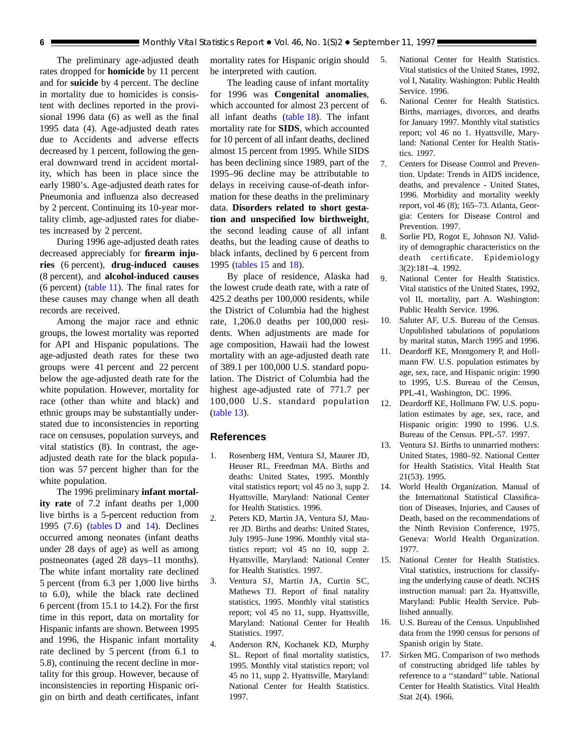<span id="page-5-0"></span>The preliminary age-adjusted death rates dropped for **homicide** by 11 percent and for **suicide** by 4 percent. The decline in mortality due to homicides is consistent with declines reported in the provisional 1996 data (6) as well as the final 1995 data (4). Age-adjusted death rates due to Accidents and adverse effects decreased by 1 percent, following the general downward trend in accident mortality, which has been in place since the early 1980's. Age-adjusted death rates for Pneumonia and influenza also decreased by 2 percent. Continuing its 10-year mortality climb, age-adjusted rates for diabetes increased by 2 percent.

During 1996 age-adjusted death rates decreased appreciably for **firearm injuries** (6 percent), **drug-induced causes** (8 percent), and **alcohol-induced causes** (6 percen[t\) \(table 11\). T](#page-23-0)he final rates for these causes may change when all death records are received.

Among the major race and ethnic groups, the lowest mortality was reported for API and Hispanic populations. The age-adjusted death rates for these two groups were 41 percent and 22 percent below the age-adjusted death rate for the white population. However, mortality for race (other than white and black) and ethnic groups may be substantially understated due to inconsistencies in reporting race on censuses, population surveys, and vital statistics (8). In contrast, the ageadjusted death rate for the black population was 57 percent higher than for the white population.

The 1996 preliminary **infant mortality rate** of 7.2 infant deaths per 1,000 live births is a 5-percent reduction from 1995 (7.6[\) \(tables D](#page-4-0) and [14\). D](#page-27-0)eclines occurred among neonates (infant deaths under 28 days of age) as well as among postneonates (aged 28 days–11 months). The white infant mortality rate declined 5 percent (from 6.3 per 1,000 live births to 6.0), while the black rate declined 6 percent (from 15.1 to 14.2). For the first time in this report, data on mortality for Hispanic infants are shown. Between 1995 and 1996, the Hispanic infant mortality rate declined by 5 percent (from 6.1 to 5.8), continuing the recent decline in mortality for this group. However, because of inconsistencies in reporting Hispanic origin on birth and death certificates, infant

mortality rates for Hispanic origin should be interpreted with caution.

The leading cause of infant mortality for 1996 was **Congenital anomalies**, which accounted for almost 23 percent of all infant deaths [\(table 18\). T](#page-33-0)he infant mortality rate for **SIDS**, which accounted for 10 percent of all infant deaths, declined almost 15 percent from 1995. While SIDS has been declining since 1989, part of the 1995–96 decline may be attributable to delays in receiving cause-of-death information for these deaths in the preliminary data. **Disorders related to short gestation and unspecified low birthweight**, the second leading cause of all infant deaths, but the leading cause of deaths to black infants, decl[ined by](#page-33-0) 6 percent from 199[5 \(tables 15](#page-28-0) and 18).

By place of residence, Alaska had the lowest crude death rate, with a rate of 425.2 deaths per 100,000 residents, while the District of Columbia had the highest rate, 1,206.0 deaths per 100,000 residents. When adjustments are made for age composition, Hawaii had the lowest mortality with an age-adjusted death rate of 389.1 per 100,000 U.S. standard population. The District of Columbia had the highest age-adjusted rate of 771.7 per 100,000 U.S. standard population [\(table 13\).](#page-26-0)

# **References**

- 1. Rosenberg HM, Ventura SJ, Maurer JD, Heuser RL, Freedman MA. Births and deaths: United States, 1995. Monthly vital statistics report; vol 45 no 3, supp 2. Hyattsville, Maryland: National Center for Health Statistics. 1996.
- 2. Peters KD, Martin JA, Ventura SJ, Maurer JD. Births and deaths: United States, July 1995–June 1996. Monthly vital statistics report; vol 45 no 10, supp 2. Hyattsville, Maryland: National Center for Health Statistics. 1997.
- 3. Ventura SJ, Martin JA, Curtin SC, Mathews TJ. Report of final natality statistics, 1995. Monthly vital statistics report; vol 45 no 11, supp. Hyattsville, Maryland: National Center for Health Statistics. 1997.
- 4. Anderson RN, Kochanek KD, Murphy SL. Report of final mortality statistics, 1995. Monthly vital statistics report; vol 45 no 11, supp 2. Hyattsville, Maryland: National Center for Health Statistics. 1997.
- 5. National Center for Health Statistics. Vital statistics of the United States, 1992, vol I, Natality. Washington: Public Health Service. 1996.
- 6. National Center for Health Statistics. Births, marriages, divorces, and deaths for January 1997. Monthly vital statistics report; vol 46 no 1. Hyattsville, Maryland: National Center for Health Statistics. 1997.
- 7. Centers for Disease Control and Prevention. Update: Trends in AIDS incidence, deaths, and prevalence - United States, 1996. Morbidity and mortality weekly report, vol 46 (8); 165–73. Atlanta, Georgia: Centers for Disease Control and Prevention. 1997.
- 8. Sorlie PD, Rogot E, Johnson NJ. Validity of demographic characteristics on the death certificate. Epidemiology 3(2):181–4. 1992.
- 9. National Center for Health Statistics. Vital statistics of the United States, 1992, vol II, mortality, part A. Washington: Public Health Service. 1996.
- 10. Saluter AF, U.S. Bureau of the Census. Unpublished tabulations of populations by marital status, March 1995 and 1996.
- 11. Deardorff KE, Montgomery P, and Hollmann FW. U.S. population estimates by age, sex, race, and Hispanic origin: 1990 to 1995, U.S. Bureau of the Census, PPL-41, Washington, DC. 1996.
- 12. Deardorff KE, Hollmann FW. U.S. population estimates by age, sex, race, and Hispanic origin: 1990 to 1996. U.S. Bureau of the Census. PPL-57. 1997.
- 13. Ventura SJ. Births to unmarried mothers: United States, 1980–92. National Center for Health Statistics. Vital Health Stat 21(53). 1995.
- 14. World Health Organization. Manual of the International Statistical Classification of Diseases, Injuries, and Causes of Death, based on the recommendations of the Ninth Revision Conference, 1975. Geneva: World Health Organization. 1977.
- 15. National Center for Health Statistics. Vital statistics, instructions for classifying the underlying cause of death. NCHS instruction manual: part 2a. Hyattsville, Maryland: Public Health Service. Published annually.
- 16. U.S. Bureau of the Census. Unpublished data from the 1990 census for persons of Spanish origin by State.
- 17. Sirken MG. Comparison of two methods of constructing abridged life tables by reference to a ''standard'' table. National Center for Health Statistics. Vital Health Stat 2(4). 1966.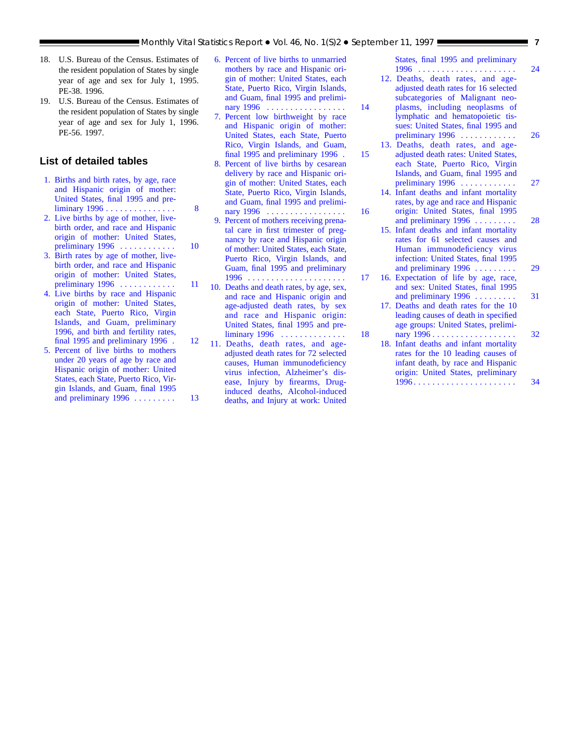- <span id="page-6-0"></span>18. U.S. Bureau of the Census. Estimates of the resident population of States by single year of age and sex for July 1, 1995. PE-38. 1996.
- 19. U.S. Bureau of the Census. Estimates of the resident population of States by single year of age and sex for July 1, 1996. PE-56. 1997.

# **List of detailed tables**

- [1. Births and birth rates, by age, race](#page-7-0) and Hispanic origin of mother: United States, final 1995 and preliminary 1996 ............... 8
- [2. Live births by age of mother, live](#page-9-0)birth order, and race and Hispanic origin of mother: United States, preliminary 1996 . . . . . . . . . . . . 10
- [3. Birth rates by age of mother, live](#page-10-0)birth order, and race and Hispanic origin of mother: United States, preliminary 1996 . . . . . . . . . . . . 11
- 4. Live births by race and Hispanic origin of mother: United States, each State, Puerto Rico, Virgin Islands, and Guam, preliminary 1996, and birth and fertility rates, [final 1995 and preliminary 1996 . 12](#page-11-0)
- 5. Percent of live births to mothers under 20 years of age by race and Hispanic origin of mother: United [States, each State, Puerto Rico, Vir](#page-12-0)gin Islands, and Guam, final 1995 and preliminary  $1996$  . . . . . . . . . 13
- [6. Percent of live births to unmarried](#page-13-0) mothers by race and Hispanic origin of mother: United States, each State, Puerto Rico, Virgin Islands, and Guam, final 1995 and preliminary 1996 . . . . . . . . . . . . . . . . . 14
- 7. Percent low birthweight by race and Hispanic origin of mother: United States, each State, Puerto Rico, Virgin Islands, and Guam, [final 1995 and preliminary 1996 . 15](#page-14-0)
- [8. Percent of live births by cesarean](#page-15-0) delivery by race and Hispanic origin of mother: United States, each State, Puerto Rico, Virgin Islands, and Guam, final 1995 and preliminary 1996 . . . . . . . . . . . . . . . . . 16
- [9. Percent of mothers receiving prena](#page-16-0)tal care in first trimester of pregnancy by race and Hispanic origin of mother: United States, each State, Puerto Rico, Virgin Islands, and Guam, final 1995 and preliminary 1996 . . . . . . . . . . . . . . . . . . . . . 17
- [10. Deaths and death rates, by age, sex,](#page-17-0) and race and Hispanic origin and age-adjusted death rates, by sex and race and Hispanic origin: United States, final 1995 and preliminary 1996 . . . . . . . . . . . . . . 18
- [11. Deaths, death rates, and age](#page-23-0)adjusted death rates for 72 selected causes, Human immunodeficiency virus infection, Alzheimer's disease, Injury by firearms, Druginduced deaths, Alcohol-induced deaths, and Injury at work: United

[States, final 1995 and preliminary](#page-23-0) 1996 . . . . . . . . . . . . . . . . . . . . . 24

- [12. Deaths, death rates, and age](#page-25-0)adjusted death rates for 16 selected subcategories of Malignant neoplasms, including neoplasms of lymphatic and hematopoietic tissues: United States, final 1995 and preliminary 1996 . . . . . . . . . . . . 26
- [13. Deaths, death rates, and age](#page-26-0)adjusted death rates: United States, each State, Puerto Rico, Virgin Islands, and Guam, final 1995 and preliminary 1996 . . . . . . . . . . . . 27
- [14. Infant deaths and infant mortality](#page-27-0) rates, by age and race and Hispanic origin: United States, final 1995 and preliminary  $1996$  . . . . . . . . . 28
- [15. Infant deaths and infant mortality](#page-28-0) rates for 61 selected causes and Human immunodeficiency virus infection: United States, final 1995 and preliminary 1996 . . . . . . . . . 29
- [16. Expectation of life by age, race,](#page-30-0) and sex: United States, final 1995
- and preliminary 1996 . . . . . . . . . . 31 [17. Deaths and death rates for the 10](#page-31-0) leading causes of death in specified age groups: United States, prelimi-
- nary 1996 . . . . . . . . . . . . . . . . . . 32 [18. Infant deaths and infant mortality](#page-33-0)
- rates for the 10 leading causes of infant death, by race and Hispanic origin: United States, preliminary 1996 . . . . . . . . . . . . . . . . . . . . . . 34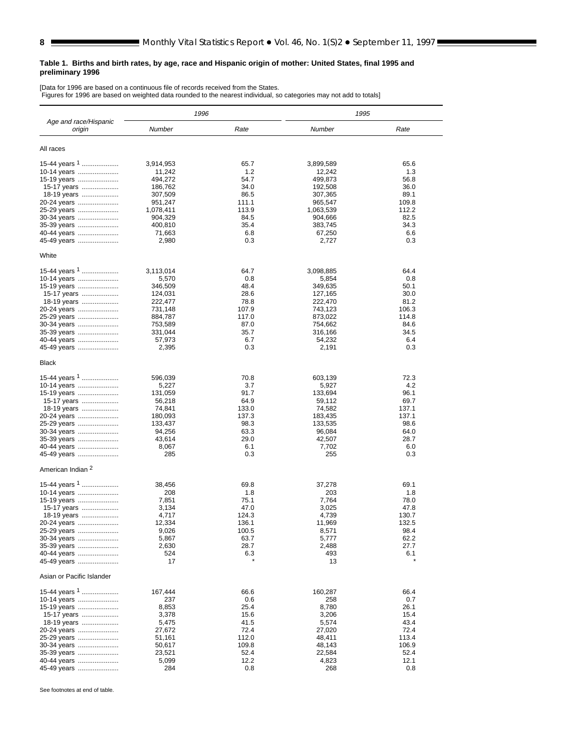#### <span id="page-7-0"></span>**Table 1. Births and birth rates, by age, race and Hispanic origin of mother: United States, final 1995 and preliminary 1996**

[Data for 1996 are based on a continuous file of records received from the States. Figures for 1996 are based on weighted data rounded to the nearest individual, so categories may not add to totals]

|                                 | 1996               |                | 1995               |                |
|---------------------------------|--------------------|----------------|--------------------|----------------|
| Age and race/Hispanic<br>origin | Number             | Rate           | Number             | Rate           |
| All races                       |                    |                |                    |                |
| 15-44 years <sup>1</sup>        | 3,914,953          | 65.7           | 3,899,589          | 65.6           |
| 10-14 years                     | 11,242             | 1.2            | 12,242             | 1.3            |
| 15-19 years                     | 494,272            | 54.7           | 499,873            | 56.8           |
| 15-17 years                     | 186,762            | 34.0           | 192,508            | 36.0           |
| 18-19 years                     | 307,509            | 86.5           | 307,365            | 89.1           |
| 20-24 years                     | 951,247            | 111.1          | 965,547            | 109.8          |
| 25-29 years                     | 1,078,411          | 113.9          | 1,063,539          | 112.2          |
| 30-34 years                     | 904,329            | 84.5           | 904,666            | 82.5           |
| 35-39 years                     | 400,810            | 35.4           | 383,745            | 34.3           |
| 40-44 years                     | 71,663             | 6.8            | 67,250             | 6.6            |
| 45-49 years                     | 2,980              | 0.3            | 2,727              | 0.3            |
| White                           |                    |                |                    |                |
| 15-44 years $1$                 | 3,113,014          | 64.7           | 3,098,885          | 64.4           |
| 10-14 years                     | 5,570              | 0.8            | 5,854              | 0.8            |
| 15-19 years                     | 346,509            | 48.4           | 349,635            | 50.1           |
| 15-17 years                     | 124,031            | 28.6           | 127,165            | 30.0           |
| 18-19 years                     | 222,477            | 78.8           | 222,470            | 81.2           |
| 20-24 years                     | 731,148<br>884,787 | 107.9<br>117.0 | 743,123<br>873,022 | 106.3<br>114.8 |
| 25-29 years                     | 753,589            | 87.0           | 754,662            | 84.6           |
| 30-34 years<br>35-39 years      | 331,044            | 35.7           | 316,166            | 34.5           |
| 40-44 years                     | 57,973             | 6.7            | 54,232             | 6.4            |
| 45-49 years                     | 2,395              | 0.3            | 2,191              | 0.3            |
| Black                           |                    |                |                    |                |
|                                 |                    |                |                    |                |
| 15-44 years <sup>1</sup>        | 596,039            | 70.8           | 603,139            | 72.3           |
| 10-14 years                     | 5,227              | 3.7            | 5,927              | 4.2            |
| 15-19 years                     | 131,059            | 91.7           | 133,694            | 96.1           |
| 15-17 years                     | 56,218             | 64.9           | 59,112             | 69.7           |
| 18-19 years                     | 74,841             | 133.0          | 74,582             | 137.1          |
| 20-24 years                     | 180,093            | 137.3          | 183,435            | 137.1          |
| 25-29 years                     | 133,437            | 98.3           | 133,535            | 98.6           |
| 30-34 years                     | 94,256             | 63.3           | 96,084             | 64.0           |
| 35-39 years                     | 43,614             | 29.0           | 42,507             | 28.7           |
| 40-44 years                     | 8,067              | 6.1            | 7,702              | 6.0            |
| 45-49 years                     | 285                | 0.3            | 255                | 0.3            |
| American Indian 2               |                    |                |                    |                |
| 15-44 years <sup>1</sup>        | 38,456             | 69.8           | 37,278             | 69.1           |
| 10-14 years                     | 208                | 1.8            | 203                | 1.8            |
| 15-19 years                     | 7,851              | 75.1           | 7,764              | 78.0           |
| 15-17 years                     | 3,134              | 47.0           | 3,025              | 47.8           |
| 18-19 years                     | 4,717              | 124.3          | 4,739              | 130.7          |
| 20-24 years                     | 12,334             | 136.1          | 11,969             | 132.5          |
| 25-29 years                     | 9,026              | 100.5          | 8,571              | 98.4           |
| 30-34 years                     | 5,867              | 63.7           | 5,777              | 62.2           |
| 35-39 years                     | 2,630              | 28.7           | 2,488              | 27.7           |
| 40-44 years<br>45-49 years      | 524<br>17          | 6.3            | 493<br>13          | 6.1            |
| Asian or Pacific Islander       |                    |                |                    |                |
|                                 |                    |                |                    |                |
| 15-44 years $1$                 | 167,444            | 66.6           | 160,287            | 66.4           |
| 10-14 years                     | 237                | 0.6            | 258                | 0.7            |
| 15-19 years                     | 8,853              | 25.4           | 8,780              | 26.1           |
| 15-17 years                     | 3,378              | 15.6           | 3,206              | 15.4           |
| 18-19 years                     | 5,475              | 41.5           | 5,574              | 43.4           |
| 20-24 years                     | 27,672             | 72.4           | 27,020             | 72.4           |
| 25-29 years                     | 51,161             | 112.0          | 48,411             | 113.4          |
| 30-34 years                     | 50,617             | 109.8          | 48,143             | 106.9          |
| 35-39 years                     | 23,521             | 52.4           | 22,584             | 52.4           |
| 40-44 years                     | 5,099              | 12.2           | 4,823              | 12.1           |
| 45-49 years                     | 284                | 0.8            | 268                | 0.8            |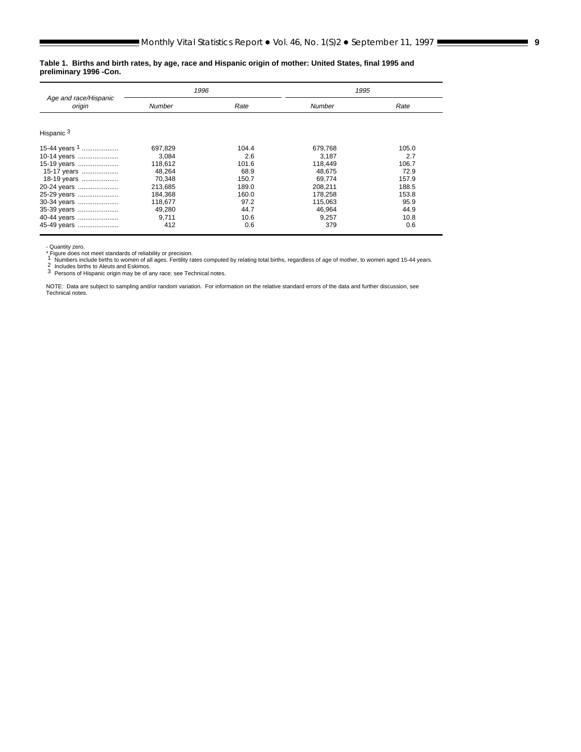|                                 | 1996          |       | 1995    |       |
|---------------------------------|---------------|-------|---------|-------|
| Age and race/Hispanic<br>origin | <b>Number</b> | Rate  | Number  | Rate  |
|                                 |               |       |         |       |
| Hispanic <sup>3</sup>           |               |       |         |       |
| 15-44 years $1$                 | 697,829       | 104.4 | 679.768 | 105.0 |
| 10-14 years                     | 3.084         | 2.6   | 3.187   | 2.7   |
| 15-19 years                     | 118.612       | 101.6 | 118.449 | 106.7 |
| 15-17 years                     | 48.264        | 68.9  | 48.675  | 72.9  |
| 18-19 years                     | 70.348        | 150.7 | 69,774  | 157.9 |
| 20-24 years                     | 213,685       | 189.0 | 208.211 | 188.5 |
| 25-29 years                     | 184,368       | 160.0 | 178,258 | 153.8 |
| 30-34 years                     | 118,677       | 97.2  | 115.063 | 95.9  |
| 35-39 years                     | 49,280        | 44.7  | 46.964  | 44.9  |
| 40-44 years                     | 9.711         | 10.6  | 9.257   | 10.8  |
| 45-49 years                     | 412           | 0.6   | 379     | 0.6   |

# **Table 1. Births and birth rates, by age, race and Hispanic origin of mother: United States, final 1995 and preliminary 1996 -Con.**

- Quantity zero.<br>\* Figure does not meet standards of reliability or precision.<br>1 Numbers include births to women of all ages. Fertility rates computed by relating total births, regardless of age of mother, to women aged 15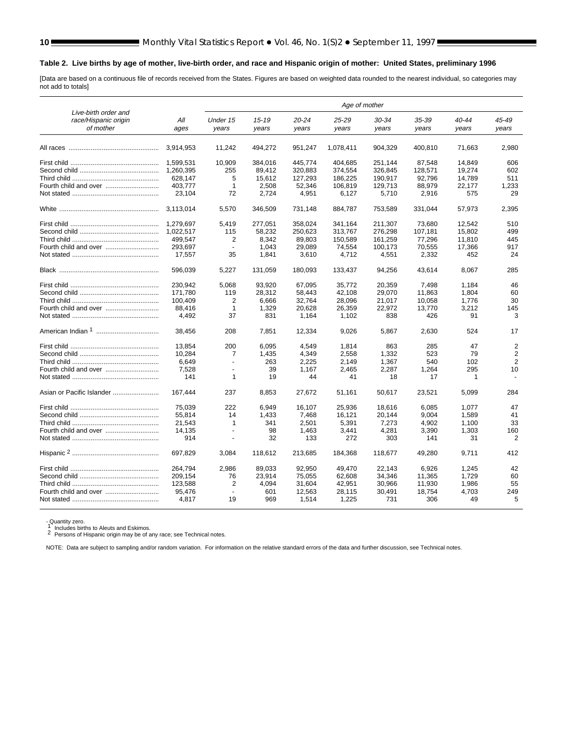# **Table 2. Live births by age of mother, live-birth order, and race and Hispanic origin of mother: United States, preliminary 1996**

[Data are based on a continuous file of records received from the States. Figures are based on weighted data rounded to the nearest individual, so categories may not add to totals]

|                                                           |             |                   |                    |                    | Age of mother  |                    |                |                |                |
|-----------------------------------------------------------|-------------|-------------------|--------------------|--------------------|----------------|--------------------|----------------|----------------|----------------|
| Live-birth order and<br>race/Hispanic origin<br>of mother | All<br>ages | Under 15<br>years | $15 - 19$<br>years | $20 - 24$<br>years | 25-29<br>years | $30 - 34$<br>years | 35-39<br>years | 40-44<br>years | 45-49<br>years |
|                                                           | 3,914,953   | 11,242            | 494,272            | 951,247            | 1,078,411      | 904,329            | 400,810        | 71,663         | 2,980          |
|                                                           | 1.599.531   | 10,909            | 384,016            | 445,774            | 404,685        | 251,144            | 87,548         | 14,849         | 606            |
|                                                           | 1.260.395   | 255               | 89.412             | 320.883            | 374,554        | 326,845            | 128,571        | 19.274         | 602            |
|                                                           | 628.147     | 5                 | 15,612             | 127,293            | 186,225        | 190,917            | 92,796         | 14,789         | 511            |
|                                                           | 403.777     | 1                 | 2,508              | 52,346             | 106,819        | 129.713            | 88,979         | 22,177         | 1.233          |
|                                                           | 23.104      | 72                | 2.724              | 4,951              | 6,127          | 5.710              | 2,916          | 575            | 29             |
|                                                           | 3.113.014   | 5,570             | 346.509            | 731,148            | 884,787        | 753,589            | 331,044        | 57,973         | 2,395          |
|                                                           | 1.279.697   | 5,419             | 277,051            | 358.024            | 341.164        | 211.307            | 73.680         | 12.542         | 510            |
|                                                           | 1.022.517   | 115               | 58,232             | 250,623            | 313,767        | 276,298            | 107,181        | 15,802         | 499            |
|                                                           | 499.547     | 2                 | 8.342              | 89.803             | 150.589        | 161.259            | 77.296         | 11.810         | 445            |
|                                                           | 293,697     | $\omega$          | 1,043              | 29,089             | 74,554         | 100,173            | 70,555         | 17,366         | 917            |
|                                                           | 17,557      | 35                | 1,841              | 3,610              | 4,712          | 4,551              | 2,332          | 452            | 24             |
|                                                           | 596.039     | 5,227             | 131,059            | 180,093            | 133,437        | 94,256             | 43,614         | 8,067          | 285            |
|                                                           | 230.942     | 5.068             | 93.920             | 67.095             | 35.772         | 20.359             | 7.498          | 1.184          | 46             |
|                                                           | 171,780     | 119               | 28,312             | 58,443             | 42,108         | 29,070             | 11,863         | 1,804          | 60             |
|                                                           | 100.409     | $\overline{2}$    | 6,666              | 32.764             | 28,096         | 21,017             | 10,058         | 1.776          | 30             |
|                                                           | 88,416      | $\mathbf{1}$      | 1,329              | 20,628             | 26,359         | 22,972             | 13,770         | 3,212          | 145            |
|                                                           | 4.492       | 37                | 831                | 1.164              | 1,102          | 838                | 426            | 91             | 3              |
|                                                           | 38.456      | 208               | 7.851              | 12.334             | 9.026          | 5.867              | 2.630          | 524            | 17             |
|                                                           | 13.854      | 200               | 6,095              | 4,549              | 1,814          | 863                | 285            | 47             | 2              |
|                                                           | 10.284      | 7                 | 1.435              | 4.349              | 2.558          | 1.332              | 523            | 79             | 2              |
|                                                           | 6.649       | ä,                | 263                | 2,225              | 2,149          | 1,367              | 540            | 102            | 2              |
|                                                           | 7.528       | ÷                 | 39                 | 1.167              | 2.465          | 2,287              | 1,264          | 295            | 10             |
|                                                           | 141         | $\mathbf{1}$      | 19                 | 44                 | 41             | 18                 | 17             | 1              |                |
|                                                           | 167,444     | 237               | 8,853              | 27,672             | 51,161         | 50,617             | 23,521         | 5,099          | 284            |
|                                                           | 75.039      | 222               | 6.949              | 16.107             | 25.936         | 18.616             | 6.085          | 1.077          | 47             |
|                                                           | 55.814      | 14                | 1,433              | 7.468              | 16,121         | 20.144             | 9.004          | 1.589          | 41             |
|                                                           | 21.543      | $\mathbf{1}$      | 341                | 2.501              | 5.391          | 7.273              | 4.902          | 1.100          | 33             |
|                                                           | 14,135      |                   | 98                 | 1,463              | 3,441          | 4,281              | 3,390          | 1,303          | 160            |
|                                                           | 914         |                   | 32                 | 133                | 272            | 303                | 141            | 31             | 2              |
|                                                           | 697.829     | 3,084             | 118,612            | 213,685            | 184,368        | 118,677            | 49,280         | 9,711          | 412            |
|                                                           | 264.794     | 2.986             | 89.033             | 92.950             | 49.470         | 22.143             | 6.926          | 1.245          | 42             |
|                                                           | 209,154     | 76                | 23,914             | 75,055             | 62,608         | 34,346             | 11,365         | 1,729          | 60             |
|                                                           | 123,588     | 2                 | 4,094              | 31,604             | 42,951         | 30,966             | 11,930         | 1,986          | 55             |
| Fourth child and over                                     | 95,476      | ä,                | 601                | 12,563             | 28,115         | 30,491             | 18,754         | 4.703          | 249            |
|                                                           | 4.817       | 19                | 969                | 1,514              | 1,225          | 731                | 306            | 49             | 5              |

- Quantity zero.<br>1 Includes births to Aleuts and Eskimos.<br>2 Persons of Hispanic origin may be of any race; [see Technical notes.](#page-34-0)

<span id="page-9-0"></span>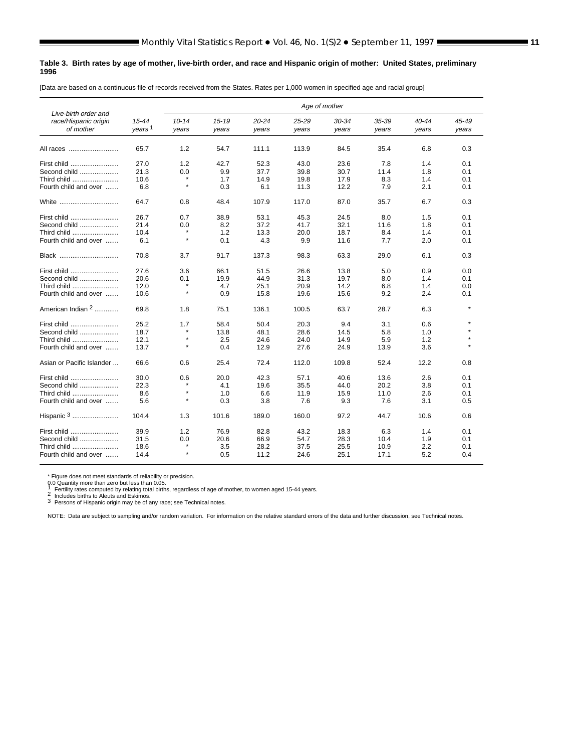#### <span id="page-10-0"></span>**Table 3. Birth rates by age of mother, live-birth order, and race and Hispanic origin of mother: United States, preliminary 1996**

[Data are based on a continuous file of records received from the States. Rates per 1,000 women in specified age and racial group]

|                              |                    |              |           |           | Age of mother |       |       |       |       |
|------------------------------|--------------------|--------------|-----------|-----------|---------------|-------|-------|-------|-------|
| Live-birth order and         |                    |              |           |           |               |       |       |       |       |
| race/Hispanic origin         | $15 - 44$          | $10 - 14$    | $15 - 19$ | $20 - 24$ | 25-29         | 30-34 | 35-39 | 40-44 | 45-49 |
| of mother                    | years <sup>1</sup> | years        | years     | years     | years         | years | years | years | years |
| All races                    | 65.7               | 1.2          | 54.7      | 111.1     | 113.9         | 84.5  | 35.4  | 6.8   | 0.3   |
| First child                  | 27.0               | 1.2          | 42.7      | 52.3      | 43.0          | 23.6  | 7.8   | 1.4   | 0.1   |
| Second child                 | 21.3               | 0.0          | 9.9       | 37.7      | 39.8          | 30.7  | 11.4  | 1.8   | 0.1   |
| Third child                  | 10.6               | $\star$      | 1.7       | 14.9      | 19.8          | 17.9  | 8.3   | 1.4   | 0.1   |
| Fourth child and over        | 6.8                | $\star$      | 0.3       | 6.1       | 11.3          | 12.2  | 7.9   | 2.1   | 0.1   |
| White                        | 64.7               | 0.8          | 48.4      | 107.9     | 117.0         | 87.0  | 35.7  | 6.7   | 0.3   |
| First child                  | 26.7               | 0.7          | 38.9      | 53.1      | 45.3          | 24.5  | 8.0   | 1.5   | 0.1   |
| Second child                 | 21.4               | 0.0          | 8.2       | 37.2      | 41.7          | 32.1  | 11.6  | 1.8   | 0.1   |
| Third child                  | 10.4               | $\pmb{\ast}$ | 1.2       | 13.3      | 20.0          | 18.7  | 8.4   | 1.4   | 0.1   |
| Fourth child and over        | 6.1                | $\star$      | 0.1       | 4.3       | 9.9           | 11.6  | 7.7   | 2.0   | 0.1   |
| Black                        | 70.8               | 3.7          | 91.7      | 137.3     | 98.3          | 63.3  | 29.0  | 6.1   | 0.3   |
| First child                  | 27.6               | 3.6          | 66.1      | 51.5      | 26.6          | 13.8  | 5.0   | 0.9   | 0.0   |
| Second child                 | 20.6               | 0.1          | 19.9      | 44.9      | 31.3          | 19.7  | 8.0   | 1.4   | 0.1   |
| Third child                  | 12.0               | $\star$      | 4.7       | 25.1      | 20.9          | 14.2  | 6.8   | 1.4   | 0.0   |
| Fourth child and over        | 10.6               | $\star$      | 0.9       | 15.8      | 19.6          | 15.6  | 9.2   | 2.4   | 0.1   |
| American Indian <sup>2</sup> | 69.8               | 1.8          | 75.1      | 136.1     | 100.5         | 63.7  | 28.7  | 6.3   |       |
| First child                  | 25.2               | 1.7          | 58.4      | 50.4      | 20.3          | 9.4   | 3.1   | 0.6   |       |
| Second child                 | 18.7               | $\star$      | 13.8      | 48.1      | 28.6          | 14.5  | 5.8   | 1.0   |       |
| Third child                  | 12.1               | $\star$      | 2.5       | 24.6      | 24.0          | 14.9  | 5.9   | 1.2   |       |
| Fourth child and over        | 13.7               | $\star$      | 0.4       | 12.9      | 27.6          | 24.9  | 13.9  | 3.6   |       |
| Asian or Pacific Islander    | 66.6               | 0.6          | 25.4      | 72.4      | 112.0         | 109.8 | 52.4  | 12.2  | 0.8   |
| First child                  | 30.0               | 0.6          | 20.0      | 42.3      | 57.1          | 40.6  | 13.6  | 2.6   | 0.1   |
| Second child                 | 22.3               |              | 4.1       | 19.6      | 35.5          | 44.0  | 20.2  | 3.8   | 0.1   |
| Third child                  | 8.6                | $\star$      | 1.0       | 6.6       | 11.9          | 15.9  | 11.0  | 2.6   | 0.1   |
| Fourth child and over        | 5.6                | $\star$      | 0.3       | 3.8       | 7.6           | 9.3   | 7.6   | 3.1   | 0.5   |
| Hispanic <sup>3</sup>        | 104.4              | 1.3          | 101.6     | 189.0     | 160.0         | 97.2  | 44.7  | 10.6  | 0.6   |
| First child                  | 39.9               | 1.2          | 76.9      | 82.8      | 43.2          | 18.3  | 6.3   | 1.4   | 0.1   |
| Second child                 | 31.5               | 0.0          | 20.6      | 66.9      | 54.7          | 28.3  | 10.4  | 1.9   | 0.1   |
| Third child                  | 18.6               | $\star$      | 3.5       | 28.2      | 37.5          | 25.5  | 10.9  | 2.2   | 0.1   |
| Fourth child and over        | 14.4               | $\star$      | 0.5       | 11.2      | 24.6          | 25.1  | 17.1  | 5.2   | 0.4   |

\* Figure does not meet standards of reliability or precision.<br>
0.0 Quantity more than zero but less than 0.05.<br>
1 Fertility rates computed by relating total births, regardless of age of mother, to women aged 15-44 years.<br>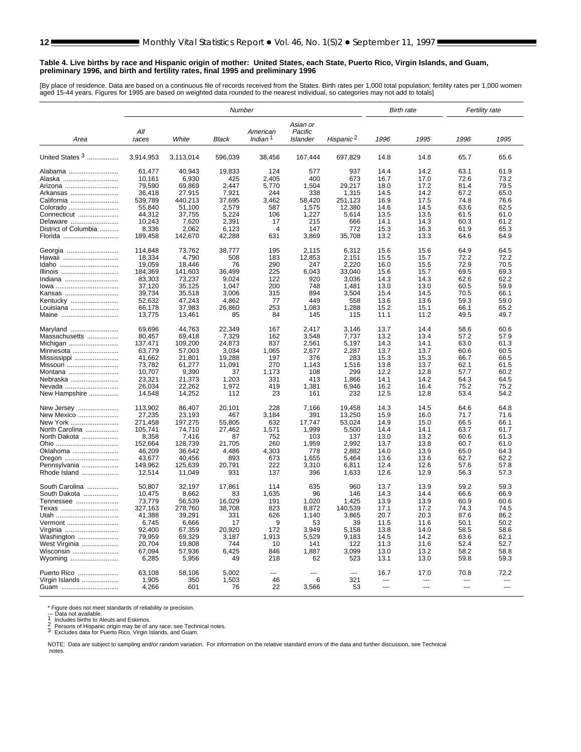#### <span id="page-11-0"></span>**Table 4. Live births by race and Hispanic origin of mother: United States, each State, Puerto Rico, Virgin Islands, and Guam, preliminary 1996, and birth and fertility rates, final 1995 and preliminary 1996**

[By place of residence. Data are based on a continuous file of records received from the States. Birth rates per 1,000 total population; fertility rates per 1,000 women aged 15-44 years. Figures for 1995 are based on weighted data rounded to the nearest individual, so categories may not add to totals]

|                             |                  |                  | Number          |                          |                |                       |                | <b>Birth rate</b> | <b>Fertility rate</b> |              |
|-----------------------------|------------------|------------------|-----------------|--------------------------|----------------|-----------------------|----------------|-------------------|-----------------------|--------------|
|                             |                  |                  |                 |                          | Asian or       |                       |                |                   |                       |              |
|                             | All              |                  |                 | American                 | Pacific        |                       |                |                   |                       |              |
| Area                        | races            | White            | <b>Black</b>    | Indian <sup>1</sup>      | Islander       | Hispanic <sup>2</sup> | 1996           | 1995              | 1996                  | 1995         |
| United States 3             | 3,914,953        | 3,113,014        | 596,039         | 38,456                   | 167,444        | 697,829               | 14.8           | 14.8              | 65.7                  | 65.6         |
| Alabama                     | 61,477           | 40,943           | 19,833          | 124                      | 577            | 937                   | 14.4           | 14.2              | 63.1                  | 61.9         |
| Alaska                      | 10.161           | 6,930            | 425             | 2.405                    | 400            | 673                   | 16.7           | 17.0              | 72.6                  | 73.2         |
| Arizona                     | 79,590           | 69,869           | 2,447           | 5,770                    | 1,504          | 29,217                | 18.0           | 17.2              | 81.4                  | 79.5         |
| Arkansas                    | 36,418           | 27,915           | 7,921           | 244                      | 338            | 1,315                 | 14.5           | 14.2              | 67.2                  | 65.0         |
| California                  | 539,789          | 440,213          | 37,695          | 3.462                    | 58,420         | 251,123               | 16.9           | 17.5              | 74.8                  | 76.6         |
| Colorado<br>Connecticut     | 55,840<br>44.312 | 51,100<br>37.755 | 2,579<br>5.224  | 587<br>106               | 1,575<br>1.227 | 12,380<br>5.614       | 14.6<br>13.5   | 14.5<br>13.5      | 63.6<br>61.5          | 62.5<br>61.0 |
| Delaware                    | 10,243           | 7,620            | 2,391           | 17                       | 215            | 666                   | 14.1           | 14.3              | 60.3                  | 61.2         |
| District of Columbia        | 8,336            | 2.062            | 6,123           | 4                        | 147            | 772                   | 15.3           | 16.3              | 61.9                  | 65.3         |
| Florida                     | 189,458          | 142,670          | 42,288          | 631                      | 3,869          | 35,708                | 13.2           | 13.3              | 64.6                  | 64.9         |
| Georgia                     | 114.848          | 73.762           | 38,777          | 195                      | 2,115          | 6.312                 | 15.6           | 15.6              | 64.9                  | 64.5         |
| Hawaii                      | 18,334           | 4,790            | 508             | 183                      | 12,853         | 2,151                 | 15.5           | 15.7              | 72.2                  | 72.2         |
| Idaho                       | 19,059           | 18,446           | 76              | 290                      | 247            | 2,220                 | 16.0           | 15.5              | 72.9                  | 70.5         |
| Illinois                    | 184,369          | 141.603          | 36.499          | 225                      | 6.043          | 33.040                | 15.6           | 15.7              | 69.5                  | 69.3         |
| Indiana                     | 83,303           | 73,237           | 9,024           | 122                      | 920            | 3,036                 | 14.3           | 14.3              | 62.6                  | 62.2         |
| lowa                        | 37,120<br>39,734 | 35,125<br>35,518 | 1,047<br>3,006  | 200<br>315               | 748<br>894     | 1,481<br>3,504        | 13.0<br>15.4   | 13.0<br>14.5      | 60.5<br>70.5          | 59.9<br>66.1 |
| Kansas<br>Kentucky          | 52,632           | 47,243           | 4,862           | 77                       | 449            | 558                   | 13.6           | 13.6              | 59.3                  | 59.0         |
| Louisiana                   | 66.178           | 37,983           | 26,860          | 253                      | 1,083          | 1,288                 | 15.2           | 15.1              | 66.1                  | 65.2         |
| Maine                       | 13,775           | 13,461           | 85              | 84                       | 145            | 115                   | 11.1           | 11.2              | 49.5                  | 49.7         |
|                             |                  |                  |                 |                          |                |                       |                |                   |                       |              |
| Maryland                    | 69,696           | 44,763           | 22.349          | 167                      | 2,417          | 3,146                 | 13.7           | 14.4              | 58.6                  | 60.6         |
| Massachusetts               | 80,457           | 69,418           | 7,329           | 162                      | 3,548          | 7,737                 | 13.2           | 13.4              | 57.2                  | 57.9         |
| Michigan                    | 137,471          | 109,200          | 24.873<br>3,034 | 837<br>1,065             | 2,561          | 5,197                 | 14.3<br>13.7   | 14.1              | 63.0                  | 61.3<br>60.5 |
| Minnesota                   | 63,779<br>41.662 | 57,003<br>21,801 | 19.288          | 197                      | 2,677<br>376   | 2,287<br>283          | 15.3           | 13.7<br>15.3      | 60.6<br>66.7          | 66.5         |
| Mississippi<br>Missouri     | 73,782           | 61,277           | 11.091          | 270                      | 1,143          | 1,516                 | 13.8           | 13.7              | 62.1                  | 61.5         |
| Montana                     | 10,707           | 9,390            | 37              | 1,173                    | 108            | 299                   | 12.2           | 12.8              | 57.7                  | 60.2         |
| Nebraska                    | 23,321           | 21,373           | 1,203           | 331                      | 413            | 1,866                 | 14.1           | 14.2              | 64.3                  | 64.5         |
| Nevada                      | 26,034           | 22,262           | 1,972           | 419                      | 1,381          | 6,946                 | 16.2           | 16.4              | 75.2                  | 75.2         |
| New Hampshire               | 14,548           | 14,252           | 112             | 23                       | 161            | 232                   | 12.5           | 12.8              | 53.4                  | 54.2         |
| New Jersey                  | 113,902          | 86,407           | 20,101          | 228                      | 7,166          | 19,458                | 14.3           | 14.5              | 64.6                  | 64.8         |
| New Mexico                  | 27,235           | 23,193           | 467             | 3,184                    | 391            | 13,250                | 15.9           | 16.0              | 71.7                  | 71.6         |
| New York                    | 271,458          | 197,275          | 55,805          | 632                      | 17,747         | 53,024                | 14.9           | 15.0              | 66.5                  | 66.1         |
| North Carolina              | 105.741          | 74.710           | 27.462          | 1.571                    | 1.999          | 5.500                 | 14.4           | 14.1              | 63.7                  | 61.7         |
| North Dakota                | 8,358<br>152,664 | 7,416<br>128,739 | 87<br>21,705    | 752<br>260               | 103<br>1,959   | 137<br>2,992          | 13.0<br>13.7   | 13.2<br>13.8      | 60.6<br>60.7          | 61.3<br>61.0 |
| Oklahoma                    | 46,209           | 36,642           | 4,486           | 4,303                    | 778            | 2,882                 | 14.0           | 13.9              | 65.0                  | 64.3         |
| Oregon                      | 43,677           | 40,456           | 893             | 673                      | 1,655          | 5,464                 | 13.6           | 13.6              | 62.7                  | 62.2         |
| Pennsylvania                | 149.962          | 125,639          | 20,791          | 222                      | 3,310          | 6,811                 | 12.4           | 12.6              | 57.6                  | 57.8         |
| Rhode Island                | 12,514           | 11.049           | 931             | 137                      | 396            | 1,633                 | 12.6           | 12.9              | 56.3                  | 57.3         |
| South Carolina              | 50.807           | 32,197           | 17,861          | 114                      | 635            | 960                   | 13.7           | 13.9              | 59.2                  | 59.3         |
| South Dakota                | 10,475           | 8,662            | 83              | 1,635                    | 96             | 146                   | 14.3           | 14.4              | 66.6                  | 66.9         |
| Tennessee                   | 73,779           | 56,539           | 16,029          | 191                      | 1,020          | 1,425                 | 13.9           | 13.9              | 60.9                  | 60.6         |
| Texas                       | 327.163          | 278,760          | 38,708          | 823                      | 8,872          | 140.539               | 17.1           | 17.2              | 74.3                  | 74.5         |
| Utah                        | 41,388           | 39,291           | 331             | 626                      | 1,140          | 3,865                 | 20.7           | 20.3              | 87.6                  | 86.2         |
| Vermont                     | 6.745            | 6.666            | 17              | 9                        | 53             | 39                    | 11.5           | 11.6              | 50.1                  | 50.2         |
| Virginia                    | 92,400<br>79.959 | 67,359<br>69.329 | 20,920<br>3,187 | 172<br>1.913             | 3,949<br>5,529 | 5,158<br>9.183        | 13.8<br>14.5   | 14.0<br>14.2      | 58.5<br>63.6          | 58.6<br>62.1 |
| Washington<br>West Virginia | 20,704           | 19,808           | 744             | 10                       | 141            | 122                   | 11.3           | 11.6              | 52.4                  | 52.7         |
| Wisconsin                   | 67,094           | 57,936           | 6,425           | 846                      | 1,887          | 3,099                 | 13.0           | 13.2              | 58.2                  | 58.8         |
| Wyoming                     | 6,285            | 5,956            | 49              | 218                      | 62             | 523                   | 13.1           | 13.0              | 59.8                  | 59.3         |
| Puerto Rico                 | 63,108           | 58,106           | 5,002           | $\overline{\phantom{a}}$ | $\sim$         | $\sim$                | 16.7           | 17.0              | 70.8                  | 72.2         |
| Virgin Islands              | 1.905            | 350              | 1.503           | 46                       | 6              | 321                   | $\overline{a}$ | $- - -$           | $- - -$               | ---          |
| Guam                        | 4,266            | 601              | 76              | 22                       | 3,566          | 53                    | $\sim$         | $\sim$            | $-$                   | $-$          |

\* Figure does not meet standards of reliability or precision.<br>--- Data not available.<br>1 Includes births to Aleuts and Eskimos.<br>2 Persons of Hispanic origin may be of any race; se[e Technical notes.](#page-34-0)<br>3 Excludes data for Puert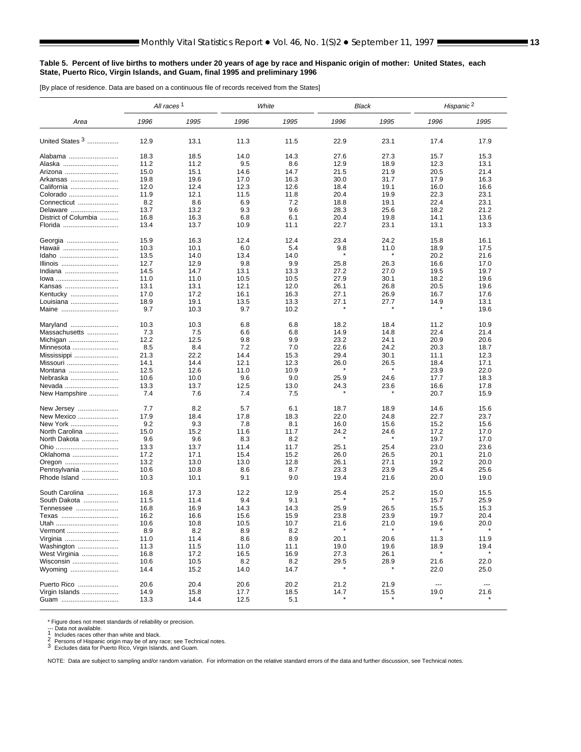#### <span id="page-12-0"></span>**Table 5. Percent of live births to mothers under 20 years of age by race and Hispanic origin of mother: United States, each State, Puerto Rico, Virgin Islands, and Guam, final 1995 and preliminary 1996**

[By place of residence. Data are based on a continuous file of records received from the States]

|                                 | All races <sup>1</sup> |              |             | White       | Black        |              | Hispanic <sup>2</sup> |                |
|---------------------------------|------------------------|--------------|-------------|-------------|--------------|--------------|-----------------------|----------------|
| Area                            | 1996                   | 1995         | 1996        | 1995        | 1996         | 1995         | 1996                  | 1995           |
| United States $3$               | 12.9                   | 13.1         | 11.3        | 11.5        | 22.9         | 23.1         | 17.4                  | 17.9           |
| Alabama                         | 18.3                   | 18.5         | 14.0        | 14.3        | 27.6         | 27.3         | 15.7                  | 15.3           |
| Alaska                          | 11.2                   | 11.2         | 9.5         | 8.6         | 12.9         | 18.9         | 12.3                  | 13.1           |
| Arizona                         | 15.0                   | 15.1         | 14.6        | 14.7        | 21.5         | 21.9         | 20.5                  | 21.4           |
| Arkansas                        | 19.8                   | 19.6         | 17.0        | 16.3        | 30.0         | 31.7         | 17.9                  | 16.3           |
| California                      | 12.0                   | 12.4         | 12.3        | 12.6        | 18.4         | 19.1         | 16.0                  | 16.6           |
|                                 | 11.9                   | 12.1         | 11.5        | 11.8        | 20.4         | 19.9         | 22.3                  | 23.1           |
| Colorado                        | 8.2                    | 8.6          |             | 7.2         | 18.8         | 19.1         | 22.4                  | 23.1           |
| Connecticut                     |                        |              | 6.9         | 9.6         |              |              |                       |                |
| Delaware                        | 13.7                   | 13.2         | 9.3         |             | 28.3         | 25.6         | 18.2                  | 21.2           |
| District of Columbia<br>Florida | 16.8<br>13.4           | 16.3<br>13.7 | 6.8<br>10.9 | 6.1<br>11.1 | 20.4<br>22.7 | 19.8<br>23.1 | 14.1<br>13.1          | 13.6<br>13.3   |
| Georgia                         | 15.9                   | 16.3         | 12.4        | 12.4        | 23.4         | 24.2         | 15.8                  | 16.1           |
| Hawaii                          | 10.3                   | 10.1         | 6.0         | 5.4         | 9.8          | 11.0         | 18.9                  | 17.5           |
| Idaho                           | 13.5                   | 14.0         | 13.4        | 14.0        |              | $\star$      | 20.2                  | 21.6           |
| Illinois                        | 12.7                   | 12.9         | 9.8         | 9.9         | 25.8         | 26.3         | 16.6                  | 17.0           |
| Indiana                         | 14.5                   | 14.7         | 13.1        | 13.3        | 27.2         | 27.0         | 19.5                  | 19.7           |
| lowa                            | 11.0                   | 11.0         | 10.5        | 10.5        | 27.9         | 30.1         | 18.2                  | 19.6           |
| Kansas                          | 13.1                   | 13.1         | 12.1        | 12.0        | 26.1         | 26.8         | 20.5                  | 19.6           |
| Kentucky                        | 17.0                   | 17.2         | 16.1        | 16.3        | 27.1         | 26.9         | 16.7                  | 17.6           |
| Louisiana                       | 18.9                   | 19.1         | 13.5        | 13.3        | 27.1         | 27.7         | 14.9                  | 13.1           |
| Maine                           | 9.7                    | 10.3         | 9.7         | 10.2        |              |              |                       | 19.6           |
| Maryland                        | 10.3                   | 10.3         | 6.8         | 6.8         | 18.2         | 18.4         | 11.2                  | 10.9           |
| Massachusetts                   | 7.3                    | 7.5          | 6.6         | 6.8         | 14.9         | 14.8         | 22.4                  | 21.4           |
| Michigan                        | 12.2                   | 12.5         | 9.8         | 9.9         | 23.2         | 24.1         | 20.9                  | 20.6           |
| Minnesota                       | 8.5                    | 8.4          | 7.2         | 7.0         | 22.6         | 24.2         | 20.3                  | 18.7           |
| Mississippi                     | 21.3                   | 22.2         | 14.4        | 15.3        | 29.4         | 30.1         | 11.1                  | 12.3           |
| Missouri                        | 14.1                   | 14.4         | 12.1        | 12.3        | 26.0         | 26.5         | 18.4                  | 17.1           |
| Montana                         | 12.5                   | 12.6         | 11.0        | 10.9        |              |              | 23.9                  | 22.0           |
| Nebraska                        | 10.6                   | 10.0         | 9.6         | 9.0         | 25.9         | 24.6         | 17.7                  | 18.3           |
| Nevada                          | 13.3                   | 13.7         | 12.5        | 13.0        | 24.3         | 23.6         | 16.6                  | 17.8           |
| New Hampshire                   | 7.4                    | 7.6          | 7.4         | 7.5         |              |              | 20.7                  | 15.9           |
| New Jersey                      | 7.7                    | 8.2          | 5.7         | 6.1         | 18.7         | 18.9         | 14.6                  | 15.6           |
| New Mexico                      | 17.9                   | 18.4         | 17.8        | 18.3        | 22.0         | 24.8         | 22.7                  | 23.7           |
| New York                        | 9.2                    | 9.3          | 7.8         | 8.1         | 16.0         | 15.6         | 15.2                  | 15.6           |
| North Carolina                  | 15.0                   | 15.2         | 11.6        | 11.7        | 24.2         | 24.6         | 17.2                  | 17.0           |
| North Dakota                    | 9.6                    | 9.6          | 8.3         | 8.2         |              | $\star$      | 19.7                  | 17.0           |
|                                 | 13.3                   | 13.7         | 11.4        | 11.7        | 25.1         | 25.4         | 23.0                  | 23.6           |
| Oklahoma                        | 17.2                   | 17.1         | 15.4        | 15.2        | 26.0         | 26.5         | 20.1                  | 21.0           |
| Oregon                          | 13.2                   | 13.0         | 13.0        | 12.8        | 26.1         | 27.1         | 19.2                  | 20.0           |
| Pennsylvania                    | 10.6                   | 10.8         | 8.6         | 8.7         | 23.3         | 23.9         | 25.4                  | 25.6           |
| Rhode Island                    | 10.3                   | 10.1         | 9.1         | 9.0         | 19.4         | 21.6         | 20.0                  | 19.0           |
| South Carolina                  | 16.8                   | 17.3         | 12.2        | 12.9        | 25.4         | 25.2         | 15.0                  | 15.5           |
| South Dakota                    | 11.5                   | 11.4         | 9.4         | 9.1         |              |              | 15.7                  | 25.9           |
| Tennessee                       | 16.8                   | 16.9         | 14.3        | 14.3        | 25.9         | 26.5         | 15.5                  | 15.3           |
| Texas                           | 16.2                   | 16.6         | 15.6        | 15.9        | 23.8         | 23.9         | 19.7                  | 20.4           |
| Utah                            | 10.6                   | 10.8         | 10.5        | 10.7        | 21.6         | 21.0         | 19.6                  | 20.0           |
| Vermont                         | 8.9                    | 8.2          | 8.9         | 8.2         |              | $\pmb{\ast}$ |                       |                |
| Virginia                        | 11.0                   | 11.4         | 8.6         | 8.9         | 20.1         | 20.6         | 11.3                  | 11.9           |
| Washington                      | 11.3                   | 11.5         | 11.0        | 11.1        | 19.0         | 19.6         | 18.9                  | 19.4           |
| West Virginia                   | 16.8                   | 17.2         | 16.5        | 16.9        | 27.3         | 26.1         |                       |                |
| Wisconsin                       | 10.6                   | 10.5         | 8.2         | 8.2         | 29.5         | 28.9         | 21.6                  | 22.0           |
| Wyoming                         | 14.4                   | 15.2         | 14.0        | 14.7        |              |              | 22.0                  | 25.0           |
| Puerto Rico                     | 20.6                   | 20.4         | 20.6        | 20.2        | 21.2         | 21.9         | $---$                 | $\overline{a}$ |
| Virgin Islands                  | 14.9                   | 15.8         | 17.7        | 18.5        | 14.7         | 15.5         | 19.0                  | 21.6           |
| Guam                            | 13.3                   | 14.4         | 12.5        | 5.1         |              |              |                       |                |

\* Figure does not meet standards of reliability or precision.<br>--- Data not available.<br>1 Includes races other than white and black.<br>2 Persons of Hispanic origin may be of any race; [see Technical notes.](#page-34-0)<br>3 Excludes data for P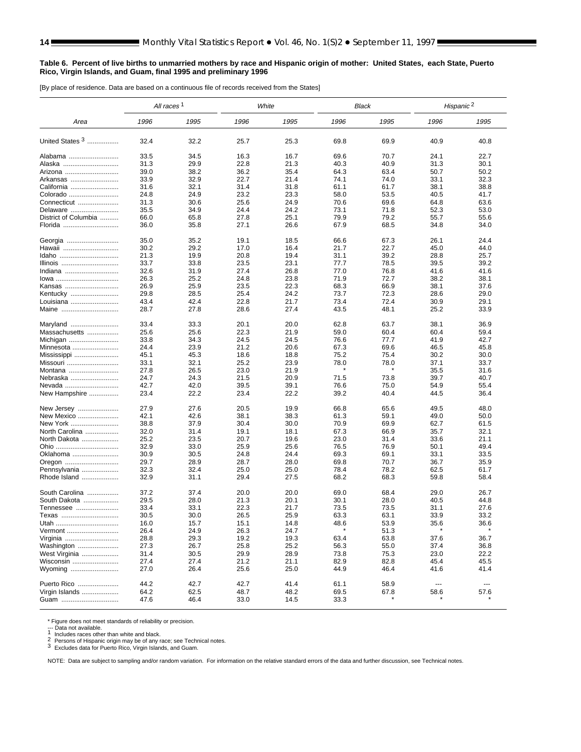# <span id="page-13-0"></span>**Table 6. Percent of live births to unmarried mothers by race and Hispanic origin of mother: United States, each State, Puerto Rico, Virgin Islands, and Guam, final 1995 and preliminary 1996**

[By place of residence. Data are based on a continuous file of records received from the States]

|                      | All races <sup>1</sup> |              |      | White |         | <b>Black</b> | Hispanic <sup>2</sup>    |                          |
|----------------------|------------------------|--------------|------|-------|---------|--------------|--------------------------|--------------------------|
| Area                 | 1996                   | 1995         | 1996 | 1995  | 1996    | 1995         | 1996                     | 1995                     |
| United States 3      | 32.4                   | 32.2         | 25.7 | 25.3  | 69.8    | 69.9         | 40.9                     | 40.8                     |
| Alabama              | 33.5                   | 34.5         | 16.3 | 16.7  | 69.6    | 70.7         | 24.1                     | 22.7                     |
| Alaska               | 31.3                   | 29.9         | 22.8 | 21.3  | 40.3    | 40.9         | 31.3                     | 30.1                     |
|                      |                        |              | 36.2 | 35.4  | 64.3    | 63.4         | 50.7                     |                          |
| Arizona              | 39.0                   | 38.2         |      |       |         |              |                          | 50.2                     |
| Arkansas             | 33.9                   | 32.9         | 22.7 | 21.4  | 74.1    | 74.0         | 33.1                     | 32.3                     |
| California           | 31.6                   | 32.1         | 31.4 | 31.8  | 61.1    | 61.7         | 38.1                     | 38.8                     |
| Colorado             | 24.8                   | 24.9         | 23.2 | 23.3  | 58.0    | 53.5         | 40.5                     | 41.7                     |
| Connecticut          | 31.3                   | 30.6         | 25.6 | 24.9  | 70.6    | 69.6         | 64.8                     | 63.6                     |
| Delaware             | 35.5                   | 34.9         | 24.4 | 24.2  | 73.1    | 71.8         | 52.3                     | 53.0                     |
| District of Columbia | 66.0                   | 65.8         | 27.8 | 25.1  | 79.9    | 79.2         | 55.7                     | 55.6                     |
| Florida              | 36.0                   | 35.8         | 27.1 | 26.6  | 67.9    | 68.5         | 34.8                     | 34.0                     |
| Georgia              | 35.0                   | 35.2         | 19.1 | 18.5  | 66.6    | 67.3         | 26.1                     | 24.4                     |
| Hawaii               | 30.2                   | 29.2         | 17.0 | 16.4  | 21.7    | 22.7         | 45.0                     | 44.0                     |
| Idaho                | 21.3                   | 19.9         | 20.8 | 19.4  | 31.1    | 39.2         | 28.8                     | 25.7                     |
| Illinois             | 33.7                   | 33.8         | 23.5 | 23.1  | 77.7    | 78.5         | 39.5                     | 39.2                     |
| Indiana              | 32.6                   | 31.9         | 27.4 | 26.8  | 77.0    | 76.8         | 41.6                     | 41.6                     |
|                      | 26.3                   | 25.2         | 24.8 | 23.8  | 71.9    | 72.7         | 38.2                     | 38.1                     |
| lowa                 |                        |              |      |       |         |              |                          |                          |
| Kansas               | 26.9                   | 25.9         | 23.5 | 22.3  | 68.3    | 66.9         | 38.1                     | 37.6                     |
| Kentucky             | 29.8                   | 28.5         | 25.4 | 24.2  | 73.7    | 72.3         | 28.6                     | 29.0                     |
| Louisiana            | 43.4                   | 42.4         | 22.8 | 21.7  | 73.4    | 72.4         | 30.9                     | 29.1                     |
| Maine                | 28.7                   | 27.8         | 28.6 | 27.4  | 43.5    | 48.1         | 25.2                     | 33.9                     |
| Maryland             | 33.4                   | 33.3         | 20.1 | 20.0  | 62.8    | 63.7         | 38.1                     | 36.9                     |
| Massachusetts        | 25.6                   | 25.6         | 22.3 | 21.9  | 59.0    | 60.4         | 60.4                     | 59.4                     |
| Michigan             | 33.8                   | 34.3         | 24.5 | 24.5  | 76.6    | 77.7         | 41.9                     | 42.7                     |
|                      | 24.4                   | 23.9         | 21.2 | 20.6  | 67.3    | 69.6         | 46.5                     | 45.8                     |
| Minnesota            |                        |              |      |       |         |              |                          |                          |
| Mississippi          | 45.1                   | 45.3         | 18.6 | 18.8  | 75.2    | 75.4         | 30.2                     | 30.0                     |
| Missouri             | 33.1                   | 32.1         | 25.2 | 23.9  | 78.0    | 78.0         | 37.1                     | 33.7                     |
| Montana              | 27.8                   | 26.5         | 23.0 | 21.9  | $\star$ | $\star$      | 35.5                     | 31.6                     |
| Nebraska             | 24.7                   | 24.3         | 21.5 | 20.9  | 71.5    | 73.8         | 39.7                     | 40.7                     |
| Nevada               | 42.7                   | 42.0         | 39.5 | 39.1  | 76.6    | 75.0         | 54.9                     | 55.4                     |
| New Hampshire        | 23.4                   | 22.2         | 23.4 | 22.2  | 39.2    | 40.4         | 44.5                     | 36.4                     |
| New Jersey           | 27.9                   | 27.6         | 20.5 | 19.9  | 66.8    | 65.6         | 49.5                     | 48.0                     |
| New Mexico           | 42.1                   | 42.6         | 38.1 | 38.3  | 61.3    | 59.1         | 49.0                     | 50.0                     |
| New York             | 38.8                   | 37.9         | 30.4 | 30.0  | 70.9    | 69.9         | 62.7                     | 61.5                     |
| North Carolina       | 32.0                   | 31.4         | 19.1 | 18.1  | 67.3    | 66.9         | 35.7                     | 32.1                     |
|                      |                        |              |      |       |         |              |                          |                          |
| North Dakota         | 25.2                   | 23.5         | 20.7 | 19.6  | 23.0    | 31.4         | 33.6                     | 21.1                     |
|                      | 32.9                   | 33.0         | 25.9 | 25.6  | 76.5    | 76.9         | 50.1                     | 49.4                     |
| Oklahoma             | 30.9                   | 30.5         | 24.8 | 24.4  | 69.3    | 69.1         | 33.1                     | 33.5                     |
| Oregon               | 29.7                   | 28.9         | 28.7 | 28.0  | 69.8    | 70.7         | 36.7                     | 35.9                     |
| Pennsylvania         | 32.3                   | 32.4         | 25.0 | 25.0  | 78.4    | 78.2         | 62.5                     | 61.7                     |
| Rhode Island         | 32.9                   | 31.1         | 29.4 | 27.5  | 68.2    | 68.3         | 59.8                     | 58.4                     |
| South Carolina       | 37.2                   | 37.4         | 20.0 | 20.0  | 69.0    | 68.4         | 29.0                     | 26.7                     |
| South Dakota         | 29.5                   | 28.0         | 21.3 | 20.1  | 30.1    | 28.0         | 40.5                     | 44.8                     |
| Tennessee            | 33.4                   | 33.1         | 22.3 | 21.7  | 73.5    | 73.5         | 31.1                     | 27.6                     |
| Texas                | 30.5                   | 30.0         | 26.5 | 25.9  | 63.3    | 63.1         | 33.9                     | 33.2                     |
|                      |                        |              |      |       |         |              |                          |                          |
| Utah                 | 16.0                   | 15.7<br>24.9 | 15.1 | 14.8  | 48.6    | 53.9         | 35.6                     | 36.6                     |
| Vermont              | 26.4                   |              | 26.3 | 24.7  |         | 51.3         |                          |                          |
| Virginia             | 28.8                   | 29.3         | 19.2 | 19.3  | 63.4    | 63.8         | 37.6                     | 36.7                     |
| Washington           | 27.3                   | 26.7         | 25.8 | 25.2  | 56.3    | 55.0         | 37.4                     | 36.8                     |
| West Virginia        | 31.4                   | 30.5         | 29.9 | 28.9  | 73.8    | 75.3         | 23.0                     | 22.2                     |
| Wisconsin            | 27.4                   | 27.4         | 21.2 | 21.1  | 82.9    | 82.8         | 45.4                     | 45.5                     |
| Wyoming              | 27.0                   | 26.4         | 25.6 | 25.0  | 44.9    | 46.4         | 41.6                     | 41.4                     |
| Puerto Rico          | 44.2                   | 42.7         | 42.7 | 41.4  | 61.1    | 58.9         | $\overline{\phantom{a}}$ | $\hspace{0.05cm} \ldots$ |
| Virgin Islands       | 64.2                   | 62.5         | 48.7 | 48.2  | 69.5    | 67.8         | 58.6                     | 57.6                     |
| Guam                 | 47.6                   | 46.4         | 33.0 | 14.5  | 33.3    |              |                          |                          |

\* Figure does not meet standards of reliability or precision.<br>--- Data not available.<br>1 Includes races other than white and black.<br>2 Persons of Hispanic origin may be of any race; [see Technical notes.](#page-34-0)<br>3 Excludes data for P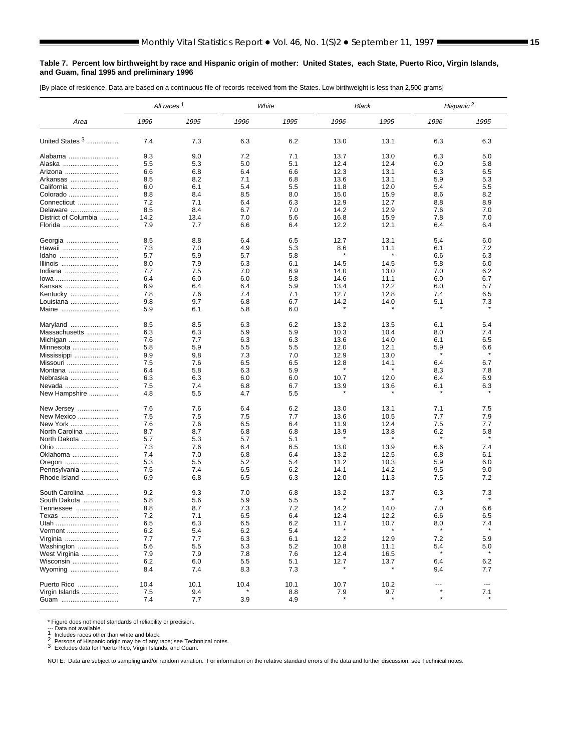# <span id="page-14-0"></span>**Table 7. Percent low birthweight by race and Hispanic origin of mother: United States, each State, Puerto Rico, Virgin Islands, and Guam, final 1995 and preliminary 1996**

[By place of residence. Data are based on a continuous file of records received from the States. Low birthweight is less than 2,500 grams]

|                      | All races <sup>1</sup> |      |      | White |        | <b>Black</b> | Hispanic <sup>2</sup> |                          |
|----------------------|------------------------|------|------|-------|--------|--------------|-----------------------|--------------------------|
| Area                 | 1996                   | 1995 | 1996 | 1995  | 1996   | 1995         | 1996                  | 1995                     |
| United States 3      | 7.4                    | 7.3  | 6.3  | 6.2   | 13.0   | 13.1         | 6.3                   | 6.3                      |
| Alabama              | 9.3                    | 9.0  | 7.2  | 7.1   | 13.7   | 13.0         | 6.3                   | 5.0                      |
| Alaska               | 5.5                    | 5.3  | 5.0  | 5.1   | 12.4   | 12.4         | 6.0                   | 5.8                      |
| Arizona              | 6.6                    | 6.8  | 6.4  | 6.6   | 12.3   | 13.1         | 6.3                   | 6.5                      |
|                      | 8.5                    | 8.2  | 7.1  | 6.8   | 13.6   | 13.1         | 5.9                   | 5.3                      |
| Arkansas             |                        |      | 5.4  |       |        | 12.0         |                       | 5.5                      |
| California           | 6.0                    | 6.1  |      | 5.5   | 11.8   |              | 5.4                   |                          |
| Colorado             | 8.8                    | 8.4  | 8.5  | 8.0   | 15.0   | 15.9         | 8.6                   | 8.2                      |
| Connecticut          | 7.2                    | 7.1  | 6.4  | 6.3   | 12.9   | 12.7         | 8.8                   | 8.9                      |
| Delaware             | 8.5                    | 8.4  | 6.7  | 7.0   | 14.2   | 12.9         | 7.6                   | 7.0                      |
| District of Columbia | 14.2                   | 13.4 | 7.0  | 5.6   | 16.8   | 15.9         | 7.8                   | 7.0                      |
| Florida              | 7.9                    | 7.7  | 6.6  | 6.4   | 12.2   | 12.1         | 6.4                   | 6.4                      |
| Georgia              | 8.5                    | 8.8  | 6.4  | 6.5   | 12.7   | 13.1         | 5.4                   | 6.0                      |
| Hawaii               | 7.3                    | 7.0  | 4.9  | 5.3   | 8.6    | 11.1         | 6.1                   | 7.2                      |
| Idaho                | 5.7                    | 5.9  | 5.7  | 5.8   |        | $\ast$       | 6.6                   | 6.3                      |
| Illinois             | 8.0                    | 7.9  | 6.3  | 6.1   | 14.5   | 14.5         | 5.8                   | 6.0                      |
| Indiana              | 7.7                    | 7.5  | 7.0  | 6.9   | 14.0   | 13.0         | 7.0                   | 6.2                      |
| lowa                 | 6.4                    | 6.0  | 6.0  | 5.8   | 14.6   | 11.1         | 6.0                   | 6.7                      |
| Kansas               | 6.9                    | 6.4  | 6.4  | 5.9   | 13.4   | 12.2         | 6.0                   | 5.7                      |
| Kentucky             | 7.8                    | 7.6  | 7.4  | 7.1   | 12.7   | 12.8         | 7.4                   | 6.5                      |
| Louisiana            | 9.8                    | 9.7  | 6.8  | 6.7   | 14.2   | 14.0         | 5.1                   | 7.3                      |
| Maine                | 5.9                    | 6.1  | 5.8  | 6.0   |        |              |                       |                          |
| Maryland             | 8.5                    | 8.5  | 6.3  | 6.2   | 13.2   | 13.5         | 6.1                   | 5.4                      |
| Massachusetts        | 6.3                    | 6.3  | 5.9  | 5.9   | 10.3   | 10.4         | 8.0                   | 7.4                      |
| Michigan             | 7.6                    | 7.7  | 6.3  | 6.3   | 13.6   | 14.0         | 6.1                   | 6.5                      |
| Minnesota            | 5.8                    | 5.9  | 5.5  | 5.5   | 12.0   | 12.1         | 5.9                   | 6.6                      |
| Mississippi          | 9.9                    | 9.8  | 7.3  | 7.0   | 12.9   | 13.0         |                       |                          |
| Missouri             | 7.5                    | 7.6  | 6.5  | 6.5   | 12.8   | 14.1         | 6.4                   | 6.7                      |
| Montana              | 6.4                    | 5.8  | 6.3  | 5.9   |        | *            | 8.3                   | 7.8                      |
| Nebraska             | 6.3                    | 6.3  | 6.0  | 6.0   | 10.7   | 12.0         | 6.4                   | 6.9                      |
|                      | 7.5                    | 7.4  | 6.8  | 6.7   | 13.9   | 13.6         | 6.1                   | 6.3                      |
| Nevada               | 4.8                    |      |      |       |        |              |                       |                          |
| New Hampshire        |                        | 5.5  | 4.7  | 5.5   |        |              |                       |                          |
| New Jersey           | 7.6                    | 7.6  | 6.4  | 6.2   | 13.0   | 13.1         | 7.1                   | 7.5                      |
| New Mexico           | 7.5                    | 7.5  | 7.5  | 7.7   | 13.6   | 10.5         | 7.7                   | 7.9                      |
| New York             | 7.6                    | 7.6  | 6.5  | 6.4   | 11.9   | 12.4         | 7.5                   | 7.7                      |
| North Carolina       | 8.7                    | 8.7  | 6.8  | 6.8   | 13.9   | 13.8         | 6.2                   | 5.8                      |
| North Dakota         | 5.7                    | 5.3  | 5.7  | 5.1   |        |              |                       |                          |
|                      | 7.3                    | 7.6  | 6.4  | 6.5   | 13.0   | 13.9         | 6.6                   | 7.4                      |
| Oklahoma             | 7.4                    | 7.0  | 6.8  | 6.4   | 13.2   | 12.5         | 6.8                   | 6.1                      |
| Oregon               | 5.3                    | 5.5  | 5.2  | 5.4   | 11.2   | 10.3         | 5.9                   | 6.0                      |
| Pennsylvania         | 7.5                    | 7.4  | 6.5  | 6.2   | 14.1   | 14.2         | 9.5                   | 9.0                      |
| Rhode Island         | 6.9                    | 6.8  | 6.5  | 6.3   | 12.0   | 11.3         | 7.5                   | 7.2                      |
| South Carolina       | 9.2                    | 9.3  | 7.0  | 6.8   | 13.2   | 13.7         | 6.3                   | 7.3                      |
| South Dakota         | 5.8                    | 5.6  | 5.9  | 5.5   |        |              |                       |                          |
| Tennessee            | 8.8                    | 8.7  | 7.3  | 7.2   | 14.2   | 14.0         | 7.0                   | 6.6                      |
| Texas                | 7.2                    | 7.1  | 6.5  | 6.4   | 12.4   | 12.2         | 6.6                   | 6.5                      |
| Utah                 | 6.5                    | 6.3  | 6.5  | 6.2   | 11.7   | 10.7         | 8.0                   | 7.4                      |
|                      |                        |      |      |       | $\ast$ |              | $\pmb{\ast}$          | $\star$                  |
| Vermont              | 6.2                    | 5.4  | 6.2  | 5.4   |        |              |                       |                          |
| Virginia             | 7.7                    | 7.7  | 6.3  | 6.1   | 12.2   | 12.9         | 7.2                   | 5.9                      |
| Washington           | 5.6                    | 5.5  | 5.3  | 5.2   | 10.8   | 11.1         | 5.4                   | 5.0                      |
| West Virginia        | 7.9                    | 7.9  | 7.8  | 7.6   | 12.4   | 16.5         |                       |                          |
| Wisconsin            | 6.2                    | 6.0  | 5.5  | 5.1   | 12.7   | 13.7         | 6.4                   | 6.2                      |
| Wyoming              | 8.4                    | 7.4  | 8.3  | 7.3   |        | $\star$      | 9.4                   | 7.7                      |
| Puerto Rico          | 10.4                   | 10.1 | 10.4 | 10.1  | 10.7   | 10.2         | ---<br>$\star$        | $\hspace{0.05cm} \ldots$ |
| Virgin Islands       | 7.5                    | 9.4  |      | 8.8   | 7.9    | 9.7          |                       | 7.1                      |
| Guam                 | 7.4                    | 7.7  | 3.9  | 4.9   |        |              |                       |                          |

\* Figure does not meet standards of reliability or precision.<br>--- Data not available.<br>1 Includes races other than white and black.<br>2 Persons of Hispanic origin may be of any race; [see Technnical notes.](#page-34-0)<br>3 Excludes data for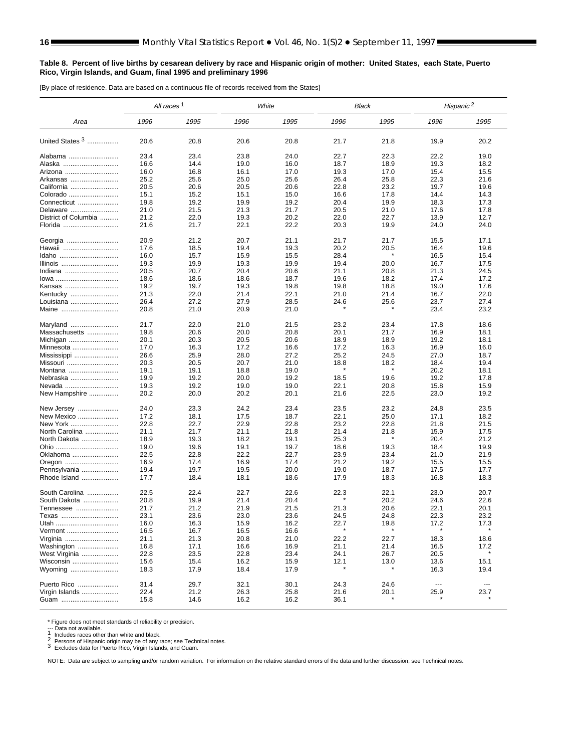#### **Table 8. Percent of live births by cesarean delivery by race and Hispanic origin of mother: United States, each State, Puerto Rico, Virgin Islands, and Guam, final 1995 and preliminary 1996**

[By place of residence. Data are based on a continuous file of records received from the States]

|                          | All races <sup>1</sup> |              |              | White | Black   |                | Hispanic <sup>2</sup> |                          |
|--------------------------|------------------------|--------------|--------------|-------|---------|----------------|-----------------------|--------------------------|
| Area                     | 1996                   | 1995         | 1996         | 1995  | 1996    | 1995           | 1996                  | 1995                     |
| United States 3          | 20.6                   | 20.8         | 20.6         | 20.8  | 21.7    | 21.8           | 19.9                  | 20.2                     |
| Alabama                  | 23.4                   | 23.4         | 23.8         | 24.0  | 22.7    | 22.3           | 22.2                  | 19.0                     |
| Alaska                   | 16.6                   | 14.4         | 19.0         | 16.0  | 18.7    | 18.9           | 19.3                  | 18.2                     |
| Arizona                  | 16.0                   | 16.8         | 16.1         | 17.0  | 19.3    | 17.0           | 15.4                  | 15.5                     |
| Arkansas                 | 25.2                   | 25.6         | 25.0         | 25.6  | 26.4    | 25.8           | 22.3                  | 21.6                     |
| California               | 20.5                   | 20.6         | 20.5         | 20.6  | 22.8    | 23.2           | 19.7                  | 19.6                     |
| Colorado                 | 15.1                   | 15.2         | 15.1         | 15.0  | 16.6    | 17.8           | 14.4                  | 14.3                     |
|                          |                        |              |              |       |         |                |                       |                          |
| Connecticut              | 19.8                   | 19.2         | 19.9         | 19.2  | 20.4    | 19.9           | 18.3                  | 17.3                     |
| Delaware                 | 21.0                   | 21.5         | 21.3         | 21.7  | 20.5    | 21.0           | 17.6                  | 17.8                     |
| District of Columbia     | 21.2                   | 22.0         | 19.3         | 20.2  | 22.0    | 22.7           | 13.9                  | 12.7                     |
| Florida                  | 21.6                   | 21.7         | 22.1         | 22.2  | 20.3    | 19.9           | 24.0                  | 24.0                     |
|                          | 20.9                   | 21.2         | 20.7         | 21.1  | 21.7    | 21.7           | 15.5                  | 17.1                     |
| Hawaii                   | 17.6                   | 18.5         | 19.4         | 19.3  | 20.2    | 20.5           | 16.4                  | 19.6                     |
| Idaho                    | 16.0                   | 15.7         | 15.9         | 15.5  | 28.4    |                | 16.5                  | 15.4                     |
| Illinois                 | 19.3                   | 19.9         | 19.3         | 19.9  | 19.4    | 20.0           | 16.7                  | 17.5                     |
| Indiana                  | 20.5                   | 20.7         | 20.4         | 20.6  | 21.1    | 20.8           | 21.3                  | 24.5                     |
| lowa                     | 18.6                   | 18.6         | 18.6         | 18.7  | 19.6    | 18.2           | 17.4                  | 17.2                     |
| Kansas                   | 19.2                   | 19.7         | 19.3         | 19.8  | 19.8    | 18.8           | 19.0                  | 17.6                     |
| Kentucky                 | 21.3                   | 22.0         | 21.4         | 22.1  | 21.0    | 21.4           | 16.7                  | 22.0                     |
| Louisiana                | 26.4                   | 27.2         | 27.9         | 28.5  | 24.6    | 25.6           | 23.7                  | 27.4                     |
| Maine                    | 20.8                   | 21.0         | 20.9         | 21.0  |         |                | 23.4                  | 23.2                     |
| Maryland                 | 21.7                   | 22.0         | 21.0         | 21.5  | 23.2    | 23.4           | 17.8                  | 18.6                     |
| Massachusetts            | 19.8                   | 20.6         | 20.0         | 20.8  | 20.1    | 21.7           | 16.9                  | 18.1                     |
| Michigan                 | 20.1                   | 20.3         | 20.5         | 20.6  | 18.9    | 18.9           | 19.2                  | 18.1                     |
|                          | 17.0                   | 16.3         | 17.2         | 16.6  | 17.2    | 16.3           | 16.9                  | 16.0                     |
| Minnesota<br>Mississippi | 26.6                   | 25.9         | 28.0         | 27.2  | 25.2    | 24.5           | 27.0                  | 18.7                     |
|                          |                        |              |              |       |         |                |                       |                          |
| Missouri                 | 20.3                   | 20.5         | 20.7         | 21.0  | 18.8    | 18.2<br>$\ast$ | 18.4                  | 19.4                     |
| Montana                  | 19.1                   | 19.1         | 18.8         | 19.0  |         |                | 20.2                  | 18.1                     |
| Nebraska                 | 19.9                   | 19.2         | 20.0         | 19.2  | 18.5    | 19.6           | 19.2                  | 17.8                     |
| Nevada                   | 19.3                   | 19.2         | 19.0         | 19.0  | 22.1    | 20.8           | 15.8                  | 15.9                     |
| New Hampshire            | 20.2                   | 20.0         | 20.2         | 20.1  | 21.6    | 22.5           | 23.0                  | 19.2                     |
| New Jersey               | 24.0                   | 23.3         | 24.2         | 23.4  | 23.5    | 23.2           | 24.8                  | 23.5                     |
| New Mexico               | 17.2                   | 18.1         | 17.5         | 18.7  | 22.1    | 25.0           | 17.1                  | 18.2                     |
| New York                 | 22.8                   | 22.7         | 22.9         | 22.8  | 23.2    | 22.8           | 21.8                  | 21.5                     |
| North Carolina           | 21.1                   | 21.7         | 21.1         | 21.8  | 21.4    | 21.8           | 15.9                  | 17.5                     |
| North Dakota             | 18.9                   | 19.3         | 18.2         | 19.1  | 25.3    | $\star$        | 20.4                  | 21.2                     |
|                          | 19.0                   | 19.6         | 19.1         | 19.7  | 18.6    | 19.3           | 18.4                  | 19.9                     |
| Oklahoma                 | 22.5                   | 22.8         | 22.2         | 22.7  | 23.9    | 23.4           | 21.0                  | 21.9                     |
| Oregon                   | 16.9                   | 17.4         | 16.9         | 17.4  | 21.2    | 19.2           | 15.5                  | 15.5                     |
| Pennsylvania             | 19.4                   | 19.7         | 19.5         | 20.0  | 19.0    | 18.7           | 17.5                  | 17.7                     |
| Rhode Island             | 17.7                   | 18.4         | 18.1         | 18.6  | 17.9    | 18.3           | 16.8                  | 18.3                     |
| South Carolina           | 22.5                   | 22.4         | 22.7         | 22.6  | 22.3    | 22.1           | 23.0                  | 20.7                     |
| South Dakota             | 20.8                   | 19.9         | 21.4         | 20.4  |         | 20.2           | 24.6                  | 22.6                     |
| Tennessee                | 21.7                   | 21.2         | 21.9         | 21.5  | 21.3    | 20.6           | 22.1                  | 20.1                     |
| Texas                    | 23.1                   | 23.6         | 23.0         | 23.6  | 24.5    | 24.8           | 22.3                  | 23.2                     |
|                          | 16.0                   |              |              | 16.2  | 22.7    |                | 17.2                  |                          |
| <u>utan </u><br>Vermont  | 16.5                   | 16.3<br>16.7 | 15.9<br>16.5 | 16.6  | $\star$ | 19.8           |                       | 17.3<br>$\pmb{\ast}$     |
| Virginia                 | 21.1                   | 21.3         | 20.8         | 21.0  | 22.2    | 22.7           | 18.3                  | 18.6                     |
|                          |                        |              |              |       |         |                |                       |                          |
| Washington               | 16.8                   | 17.1         | 16.6         | 16.9  | 21.1    | 21.4           | 16.5                  | 17.2                     |
| West Virginia            | 22.8                   | 23.5         | 22.8         | 23.4  | 24.1    | 26.7           | 20.5                  |                          |
| Wisconsin                | 15.6                   | 15.4         | 16.2         | 15.9  | 12.1    | 13.0           | 13.6                  | 15.1                     |
| Wyoming                  | 18.3                   | 17.9         | 18.4         | 17.9  |         |                | 16.3                  | 19.4                     |
| Puerto Rico              | 31.4                   | 29.7         | 32.1         | 30.1  | 24.3    | 24.6           | $\sim$                | $\hspace{0.05cm} \ldots$ |
| Virgin Islands           | 22.4                   | 21.2         | 26.3         | 25.8  | 21.6    | 20.1           | 25.9                  | 23.7                     |
| Guam                     | 15.8                   | 14.6         | 16.2         | 16.2  | 36.1    |                |                       |                          |

\* Figure does not meet standards of reliability or precision.<br>--- Data not available.<br>1 Includes races other than white and black.<br>2 Persons of Hispanic origin may be of any race; [see Technical notes.](#page-34-0)<br>3 Excludes data for P

<span id="page-15-0"></span>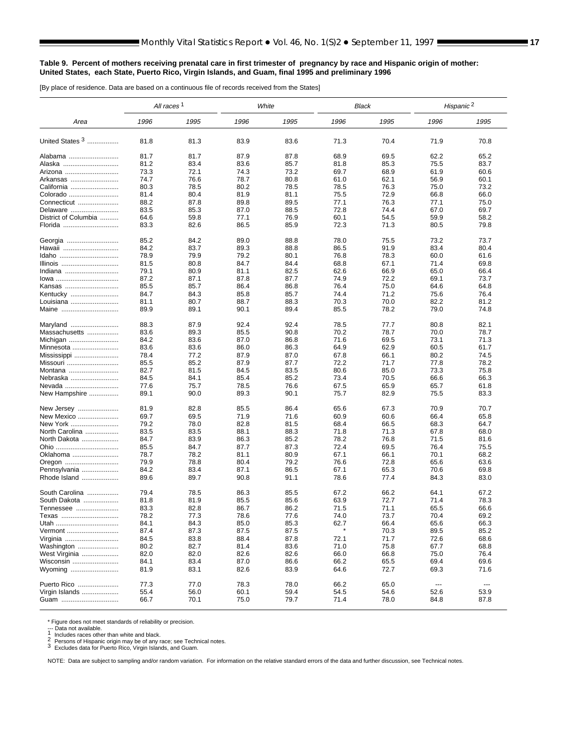#### <span id="page-16-0"></span>**Table 9. Percent of mothers receiving prenatal care in first trimester of pregnancy by race and Hispanic origin of mother: United States, each State, Puerto Rico, Virgin Islands, and Guam, final 1995 and preliminary 1996**

[By place of residence. Data are based on a continuous file of records received from the States]

|                      | All races <sup>1</sup> |              |              | White        | Black   |              | Hispanic <sup>2</sup>    |      |
|----------------------|------------------------|--------------|--------------|--------------|---------|--------------|--------------------------|------|
| Area                 | 1996                   | 1995         | 1996         | 1995         | 1996    | 1995         | 1996                     | 1995 |
| United States 3      | 81.8                   | 81.3         | 83.9         | 83.6         | 71.3    | 70.4         | 71.9                     | 70.8 |
| Alabama              | 81.7                   | 81.7         | 87.9         | 87.8         | 68.9    | 69.5         | 62.2                     | 65.2 |
| Alaska               | 81.2                   | 83.4         | 83.6         | 85.7         | 81.8    | 85.3         | 75.5                     | 83.7 |
| Arizona              | 73.3                   | 72.1         | 74.3         | 73.2         | 69.7    | 68.9         | 61.9                     | 60.6 |
| Arkansas             | 74.7                   | 76.6         | 78.7         | 80.8         | 61.0    | 62.1         | 56.9                     | 60.1 |
| California           | 80.3                   | 78.5         | 80.2         | 78.5         | 78.5    | 76.3         | 75.0                     | 73.2 |
| Colorado             | 81.4                   | 80.4         | 81.9         | 81.1         | 75.5    | 72.9         | 66.8                     | 66.0 |
| Connecticut          | 88.2                   | 87.8         | 89.8         | 89.5         | 77.1    | 76.3         | 77.1                     | 75.0 |
| Delaware             | 83.5                   | 85.3         | 87.0         | 88.5         | 72.8    | 74.4         | 67.0                     | 69.7 |
| District of Columbia | 64.6                   | 59.8         | 77.1         | 76.9         | 60.1    | 54.5         | 59.9                     | 58.2 |
| Florida              | 83.3                   | 82.6         | 86.5         | 85.9         | 72.3    | 71.3         | 80.5                     | 79.8 |
| Georgia              | 85.2                   | 84.2         | 89.0         | 88.8         | 78.0    | 75.5         | 73.2                     | 73.7 |
| Hawaii               | 84.2                   | 83.7         | 89.3         | 88.8         | 86.5    | 91.9         | 83.4                     | 80.4 |
|                      | 78.9                   | 79.9         | 79.2         | 80.1         | 76.8    | 78.3         | 60.0                     | 61.6 |
| Idaho                |                        |              |              |              |         |              |                          | 69.8 |
| Illinois             | 81.5                   | 80.8         | 84.7         | 84.4         | 68.8    | 67.1         | 71.4                     |      |
| Indiana              | 79.1                   | 80.9         | 81.1         | 82.5         | 62.6    | 66.9         | 65.0                     | 66.4 |
| lowa                 | 87.2                   | 87.1         | 87.8         | 87.7         | 74.9    | 72.2         | 69.1                     | 73.7 |
| Kansas               | 85.5                   | 85.7         | 86.4         | 86.8         | 76.4    | 75.0         | 64.6                     | 64.8 |
| Kentucky             | 84.7                   | 84.3         | 85.8         | 85.7         | 74.4    | 71.2         | 75.6                     | 76.4 |
| Louisiana            | 81.1                   | 80.7         | 88.7         | 88.3         | 70.3    | 70.0         | 82.2                     | 81.2 |
| Maine                | 89.9                   | 89.1         | 90.1         | 89.4         | 85.5    | 78.2         | 79.0                     | 74.8 |
| Maryland             | 88.3                   | 87.9         | 92.4         | 92.4         | 78.5    | 77.7         | 80.8                     | 82.1 |
| Massachusetts        | 83.6                   | 89.3         | 85.5         | 90.8         | 70.2    | 78.7         | 70.0                     | 78.7 |
| Michigan             | 84.2                   | 83.6         | 87.0         | 86.8         | 71.6    | 69.5         | 73.1                     | 71.3 |
| Minnesota            | 83.6                   | 83.6         | 86.0         | 86.3         | 64.9    | 62.9         | 60.5                     | 61.7 |
| Mississippi          | 78.4                   | 77.2         | 87.9         | 87.0         | 67.8    | 66.1         | 80.2                     | 74.5 |
| Missouri             | 85.5                   | 85.2         | 87.9         | 87.7         | 72.2    | 71.7         | 77.8                     | 78.2 |
| Montana              | 82.7                   | 81.5         | 84.5         | 83.5         | 80.6    | 85.0         | 73.3                     | 75.8 |
| Nebraska             | 84.5                   | 84.1         | 85.4         | 85.2         | 73.4    | 70.5         | 66.6                     | 66.3 |
| Nevada               | 77.6                   | 75.7         | 78.5         | 76.6         | 67.5    | 65.9         | 65.7                     | 61.8 |
| New Hampshire        | 89.1                   | 90.0         | 89.3         | 90.1         | 75.7    | 82.9         | 75.5                     | 83.3 |
| New Jersey           | 81.9                   | 82.8         | 85.5         | 86.4         | 65.6    | 67.3         | 70.9                     | 70.7 |
| New Mexico           | 69.7                   | 69.5         | 71.9         | 71.6         | 60.9    | 60.6         | 66.4                     | 65.8 |
| New York             | 79.2                   | 78.0         | 82.8         | 81.5         | 68.4    | 66.5         | 68.3                     | 64.7 |
| North Carolina       | 83.5                   | 83.5         | 88.1         | 88.3         | 71.8    | 71.3         | 67.8                     | 68.0 |
| North Dakota         | 84.7                   | 83.9         | 86.3         | 85.2         | 78.2    | 76.8         | 71.5                     | 81.6 |
|                      | 85.5                   |              |              |              | 72.4    |              | 76.4                     | 75.5 |
|                      | 78.7                   | 84.7<br>78.2 | 87.7<br>81.1 | 87.3<br>80.9 | 67.1    | 69.5<br>66.1 | 70.1                     | 68.2 |
| Oklahoma             |                        |              |              |              |         |              |                          |      |
| Oregon               | 79.9                   | 78.8         | 80.4         | 79.2         | 76.6    | 72.8         | 65.6                     | 63.6 |
| Pennsylvania         | 84.2                   | 83.4         | 87.1         | 86.5         | 67.1    | 65.3         | 70.6                     | 69.8 |
| Rhode Island         | 89.6                   | 89.7         | 90.8         | 91.1         | 78.6    | 77.4         | 84.3                     | 83.0 |
| South Carolina       | 79.4                   | 78.5         | 86.3         | 85.5         | 67.2    | 66.2         | 64.1                     | 67.2 |
| South Dakota         | 81.8                   | 81.9         | 85.5         | 85.6         | 63.9    | 72.7         | 71.4                     | 78.3 |
| Tennessee            | 83.3                   | 82.8         | 86.7         | 86.2         | 71.5    | 71.1         | 65.5                     | 66.6 |
| Texas                | 78.2                   | 77.3         | 78.6         | 77.6         | 74.0    | 73.7         | 70.4                     | 69.2 |
| Utah                 | 84.1                   | 84.3         | 85.0         | 85.3         | 62.7    | 66.4         | 65.6                     | 66.3 |
| Vermont              | 87.4                   | 87.3         | 87.5         | 87.5         | $\star$ | 70.3         | 89.5                     | 85.2 |
| Virginia             | 84.5                   | 83.8         | 88.4         | 87.8         | 72.1    | 71.7         | 72.6                     | 68.6 |
| Washington           | 80.2                   | 82.7         | 81.4         | 83.6         | 71.0    | 75.8         | 67.7                     | 68.8 |
| West Virginia        | 82.0                   | 82.0         | 82.6         | 82.6         | 66.0    | 66.8         | 75.0                     | 76.4 |
| Wisconsin            | 84.1                   | 83.4         | 87.0         | 86.6         | 66.2    | 65.5         | 69.4                     | 69.6 |
| Wyoming              | 81.9                   | 83.1         | 82.6         | 83.9         | 64.6    | 72.7         | 69.3                     | 71.6 |
| Puerto Rico          | 77.3                   | 77.0         | 78.3         | 78.0         | 66.2    | 65.0         | $\overline{\phantom{a}}$ | ---  |
|                      |                        |              |              |              |         |              |                          |      |
| Virgin Islands       | 55.4                   | 56.0         | 60.1         | 59.4         | 54.5    | 54.6         | 52.6                     | 53.9 |
| Guam                 | 66.7                   | 70.1         | 75.0         | 79.7         | 71.4    | 78.0         | 84.8                     | 87.8 |

\* Figure does not meet standards of reliability or precision.<br>--- Data not available.<br>1 Includes races other than white and black.<br>2 Persons of Hispanic origin may be of any race; [see Technical notes.](#page-34-0)<br>3 Excludes data for P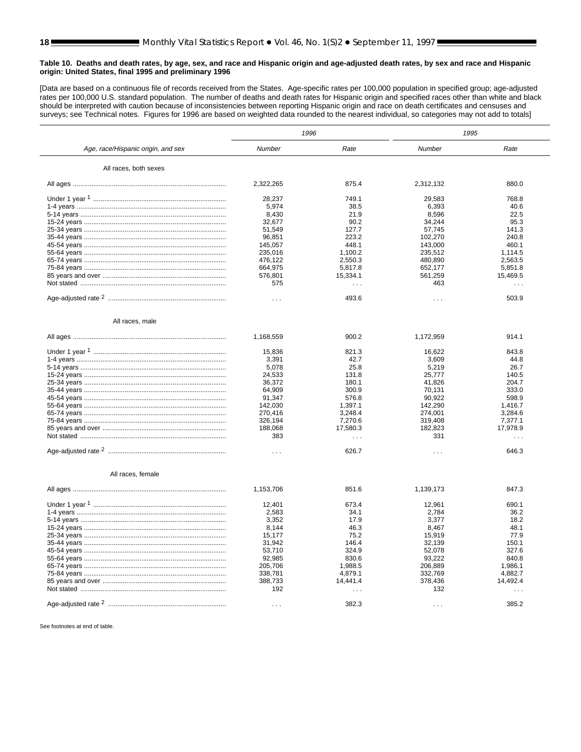<span id="page-17-0"></span>[Data are based on a continuous file of records received from the States. Age-specific rates per 100,000 population in specified group; age-adjusted rates per 100,000 U.S. standard population. The number of deaths and death rates for Hispanic origin and specified races other than white and black should be interpreted with caution because of inconsistencies between reporting Hispanic origin and race on death certificates and censuses and surveys; [see Technical notes. F](#page-34-0)igures for 1996 are based on weighted data rounded to the nearest individual, so categories may not add to totals]

|                                    |               | 1996     | 1995      |                      |  |
|------------------------------------|---------------|----------|-----------|----------------------|--|
| Age, race/Hispanic origin, and sex | Number        | Rate     | Number    | Rate                 |  |
| All races, both sexes              |               |          |           |                      |  |
|                                    | 2,322,265     | 875.4    | 2,312,132 | 880.0                |  |
|                                    | 28.237        | 749.1    | 29.583    | 768.8                |  |
|                                    | 5,974         | 38.5     | 6,393     | 40.6                 |  |
|                                    | 8,430         | 21.9     | 8,596     | 22.5                 |  |
|                                    | 32,677        | 90.2     | 34,244    | 95.3                 |  |
|                                    | 51,549        | 127.7    | 57,745    | 141.3                |  |
|                                    | 96,851        | 223.2    | 102,270   | 240.8                |  |
|                                    | 145,057       | 448.1    | 143,000   | 460.1                |  |
|                                    | 235,016       | 1.100.2  | 235,512   | 1.114.5              |  |
|                                    | 476,122       | 2,550.3  | 480,890   | 2,563.5              |  |
|                                    | 664,975       | 5,817.8  | 652,177   | 5,851.8              |  |
|                                    | 576,801       | 15,334.1 | 561,259   | 15,469.5             |  |
|                                    | 575           | $\cdots$ | 463       | $\sim$ $\sim$        |  |
|                                    |               |          |           |                      |  |
|                                    | $\sim 10$     | 493.6    | $\sim$    | 503.9                |  |
| All races, male                    |               |          |           |                      |  |
|                                    | 1,168,559     | 900.2    | 1,172,959 | 914.1                |  |
|                                    | 15,836        | 821.3    | 16.622    | 843.8                |  |
|                                    | 3,391         | 42.7     | 3,609     | 44.8                 |  |
|                                    | 5.078         | 25.8     | 5.219     | 26.7                 |  |
|                                    | 24,533        | 131.8    | 25,777    | 140.5                |  |
|                                    | 36,372        | 180.1    | 41,826    | 204.7                |  |
|                                    | 64,909        | 300.9    | 70,131    | 333.0                |  |
|                                    | 91,347        | 576.8    | 90,922    | 598.9                |  |
|                                    | 142,030       | 1,397.1  | 142,290   | 1,416.7              |  |
|                                    | 270,416       | 3,248.4  | 274,001   | 3,284.6              |  |
|                                    | 326,194       | 7,270.6  | 319,408   | 7,377.1              |  |
|                                    | 188,068       | 17,580.3 | 182,823   | 17,978.9             |  |
|                                    | 383           |          | 331       |                      |  |
|                                    |               | $\cdots$ |           | $\sim$ $\sim$ $\sim$ |  |
|                                    | $\sim$ $\sim$ | 626.7    | $\sim$    | 646.3                |  |
| All races, female                  |               |          |           |                      |  |
|                                    |               |          |           |                      |  |
|                                    | 1,153,706     | 851.6    | 1,139,173 | 847.3                |  |
|                                    | 12,401        | 673.4    | 12,961    | 690.1                |  |
|                                    | 2,583         | 34.1     | 2,784     | 36.2                 |  |
|                                    | 3,352         | 17.9     | 3,377     | 18.2                 |  |
|                                    | 8,144         | 46.3     | 8,467     | 48.1                 |  |
|                                    | 15,177        | 75.2     | 15.919    | 77.9                 |  |
|                                    | 31,942        | 146.4    | 32,139    | 150.1                |  |
|                                    | 53,710        | 324.9    | 52.078    | 327.6                |  |
|                                    | 92,985        | 830.6    | 93,222    | 840.8                |  |
|                                    | 205,706       | 1.988.5  | 206.889   | 1.986.1              |  |
|                                    | 338,781       | 4,879.1  | 332,769   | 4,882.7              |  |
|                                    | 388,733       | 14,441.4 | 378,436   | 14,492.4             |  |
|                                    | 192           | $\cdots$ | 132       | $\sim$ $\sim$ $\sim$ |  |
|                                    |               |          |           |                      |  |
|                                    | $\cdots$      | 382.3    | $\cdots$  | 385.2                |  |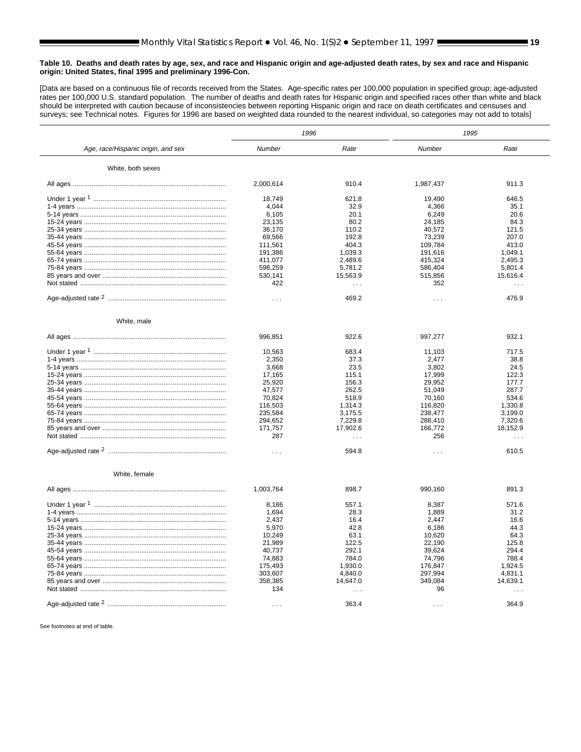[Data are based on a continuous file of records received from the States. Age-specific rates per 100,000 population in specified group; age-adjusted rates per 100,000 U.S. standard population. The number of deaths and death rates for Hispanic origin and specified races other than white and black should be interpreted with caution because of inconsistencies between reporting Hispanic origin and race on death certificates and censuses and surveys; [see Technical notes. F](#page-34-0)igures for 1996 are based on weighted data rounded to the nearest individual, so categories may not add to totals]

|                                    |                      | 1996                 | 1995                 |               |
|------------------------------------|----------------------|----------------------|----------------------|---------------|
| Age, race/Hispanic origin, and sex | Number               | Rate                 | <b>Number</b>        | Rate          |
| White, both sexes                  |                      |                      |                      |               |
|                                    | 2,000,614            | 910.4                | 1,987,437            | 911.3         |
|                                    | 18,749               | 621.8                | 19,490               | 646.5         |
|                                    | 4,044                | 32.9                 | 4,366                | 35.1          |
|                                    | 6,105                | 20.1                 | 6,249                | 20.6          |
|                                    | 23,135               | 80.2                 | 24,185               | 84.3          |
|                                    | 36,170               | 110.2                | 40,572               | 121.5         |
|                                    | 69,566               | 192.8                | 73,239               | 207.0         |
|                                    | 111,561              | 404.3                | 109,784              | 413.0         |
|                                    | 191,386              | 1,039.3              | 191,616              | 1,049.1       |
|                                    | 411,077              | 2,489.6              | 415,324              | 2,495.3       |
|                                    | 598,259              | 5,781.2              | 586,404              | 5,801.4       |
|                                    | 530,141              | 15,563.9             | 515,856              | 15,616.4      |
|                                    | 422                  | $\sim$ $\sim$ $\sim$ | 352                  | $\sim$ $\sim$ |
|                                    |                      |                      |                      |               |
|                                    | $\sim$ $\sim$        | 469.2                | $\sim$ $\sim$ $\sim$ | 476.9         |
| White, male                        |                      |                      |                      |               |
|                                    | 996,851              | 922.6                | 997,277              | 932.1         |
|                                    |                      |                      |                      |               |
|                                    | 10,563               | 683.4                | 11,103               | 717.5         |
|                                    | 2,350                | 37.3                 | 2,477                | 38.8          |
|                                    | 3.668                | 23.5                 | 3.802                | 24.5          |
|                                    | 17,165               | 115.1                | 17,999               | 122.3         |
|                                    | 25,920               | 156.3                | 29.952               | 177.7         |
|                                    | 47,577               | 262.5                | 51,049               | 287.7         |
|                                    | 70.824               | 518.9                | 70.160               | 534.6         |
|                                    | 116,503              | 1,314.3              | 116,820              | 1,330.8       |
|                                    | 235,584              | 3,175.5              | 238,477              | 3,199.0       |
|                                    | 294,652              | 7,229.8              | 288,410              | 7,320.6       |
|                                    | 171,757              | 17,902.6             | 166,772              | 18,152.9      |
|                                    | 287                  | $\sim$ $\sim$ $\sim$ | 256                  | $\cdots$      |
|                                    | $\sim$ $\sim$ $\sim$ | 594.8                | $\sim 100$           | 610.5         |
|                                    |                      |                      |                      |               |
| White, female                      |                      |                      |                      |               |
|                                    | 1,003,764            | 898.7                | 990,160              | 891.3         |
|                                    | 8,186                | 557.1                | 8.387                | 571.6         |
|                                    | 1,694                | 28.3                 | 1,889                | 31.2          |
|                                    | 2,437                | 16.4                 | 2,447                | 16.6          |
|                                    | 5,970                | 42.8                 | 6,186                | 44.3          |
|                                    | 10,249               | 63.1                 | 10,620               | 64.3          |
|                                    | 21,989               | 122.5                | 22,190               | 125.8         |
|                                    | 40,737               | 292.1                | 39,624               | 294.4         |
|                                    | 74,883               | 784.0                | 74,796               | 788.4         |
|                                    | 175,493              | 1,930.0              | 176,847              | 1.924.5       |
|                                    | 303,607              | 4,840.0              | 297,994              | 4,831.1       |
|                                    | 358,385              | 14,647.0             | 349,084              | 14,639.1      |
|                                    | 134                  | $\sim$ .             | 96                   | $\mathbf{r}$  |
|                                    |                      |                      |                      |               |
|                                    | $\cdots$             | 363.4                | $\cdots$             | 364.9         |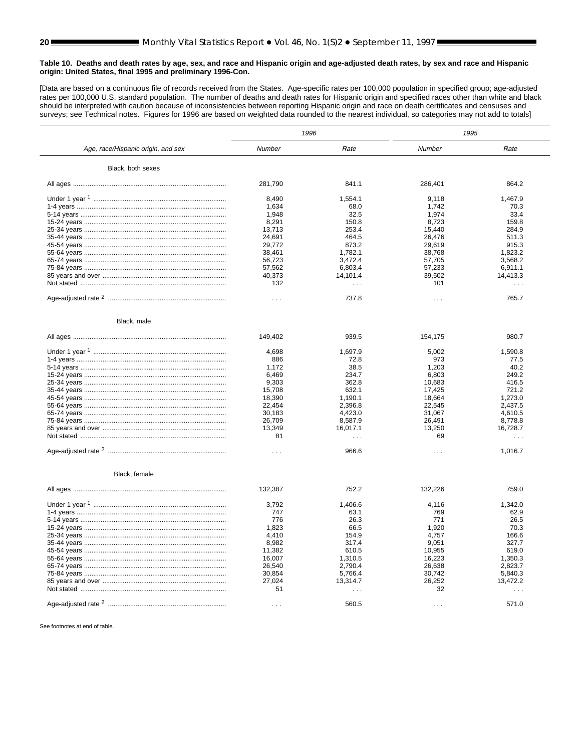[Data are based on a continuous file of records received from the States. Age-specific rates per 100,000 population in specified group; age-adjusted rates per 100,000 U.S. standard population. The number of deaths and death rates for Hispanic origin and specified races other than white and black should be interpreted with caution because of inconsistencies between reporting Hispanic origin and race on death certificates and censuses and surveys; s[ee Technical notes. Fi](#page-34-0)gures for 1996 are based on weighted data rounded to the nearest individual, so categories may not add to totals]

|                                    | 1996                 |                      | 1995     |               |  |
|------------------------------------|----------------------|----------------------|----------|---------------|--|
| Age, race/Hispanic origin, and sex | Number               | Rate                 | Number   | Rate          |  |
| Black, both sexes                  |                      |                      |          |               |  |
|                                    | 281,790              | 841.1                | 286,401  | 864.2         |  |
|                                    | 8,490                | 1,554.1              | 9,118    | 1,467.9       |  |
|                                    | 1,634                | 68.0                 | 1,742    | 70.3          |  |
|                                    | 1,948                | 32.5                 | 1,974    | 33.4          |  |
|                                    | 8,291                | 150.8                | 8,723    | 159.8         |  |
|                                    | 13,713               | 253.4                | 15,440   | 284.9         |  |
|                                    | 24,691               | 464.5                | 26,476   | 511.3         |  |
|                                    | 29,772               | 873.2                | 29,619   | 915.3         |  |
|                                    |                      |                      |          |               |  |
|                                    | 38,461               | 1,782.1              | 38,768   | 1,823.2       |  |
|                                    | 56,723               | 3,472.4              | 57,705   | 3,568.2       |  |
|                                    | 57,562               | 6,803.4              | 57,233   | 6,911.1       |  |
|                                    | 40,373               | 14,101.4             | 39,502   | 14,413.3      |  |
|                                    | 132                  | $\sim$ $\sim$ $\sim$ | 101      | $\sim 10$     |  |
|                                    | $\sim$ $\sim$ $\sim$ | 737.8                | $\sim$   | 765.7         |  |
|                                    |                      |                      |          |               |  |
| Black, male                        |                      |                      |          |               |  |
|                                    | 149,402              | 939.5                | 154,175  | 980.7         |  |
|                                    | 4,698                | 1,697.9              | 5,002    | 1,590.8       |  |
|                                    | 886                  | 72.8                 | 973      | 77.5          |  |
|                                    | 1.172                | 38.5                 | 1.203    | 40.2          |  |
|                                    | 6,469                | 234.7                | 6,803    | 249.2         |  |
|                                    | 9,303                | 362.8                | 10,683   | 416.5         |  |
|                                    | 15,708               | 632.1                | 17,425   | 721.2         |  |
|                                    |                      |                      |          |               |  |
|                                    | 18,390               | 1,190.1              | 18,664   | 1,273.0       |  |
|                                    | 22,454               | 2,396.8              | 22,545   | 2,437.5       |  |
|                                    | 30,183               | 4,423.0              | 31,067   | 4,610.5       |  |
|                                    | 26,709               | 8,587.9              | 26.491   | 8,778.8       |  |
|                                    | 13,349               | 16,017.1             | 13,250   | 16,728.7      |  |
|                                    | 81                   | $\sim$ $\sim$ $\sim$ | 69       | $\sim$ $\sim$ |  |
|                                    | $\sim 100$           | 966.6                | $\sim$   | 1,016.7       |  |
|                                    |                      |                      |          |               |  |
| Black, female                      |                      |                      |          |               |  |
|                                    | 132,387              | 752.2                | 132,226  | 759.0         |  |
|                                    | 3,792                | 1.406.6              | 4.116    | 1.342.0       |  |
|                                    | 747                  | 63.1                 | 769      | 62.9          |  |
|                                    | 776                  | 26.3                 | 771      | 26.5          |  |
|                                    | 1,823                | 66.5                 | 1,920    | 70.3          |  |
|                                    | 4,410                | 154.9                | 4,757    | 166.6         |  |
|                                    | 8,982                | 317.4                | 9,051    | 327.7         |  |
|                                    | 11,382               | 610.5                | 10,955   | 619.0         |  |
|                                    | 16,007               | 1.310.5              | 16,223   | 1.350.3       |  |
|                                    |                      |                      |          |               |  |
|                                    | 26,540               | 2,790.4              | 26,638   | 2,823.7       |  |
|                                    | 30,854               | 5,766.4              | 30,742   | 5,840.3       |  |
|                                    | 27,024               | 13,314.7             | 26,252   | 13,472.2      |  |
|                                    | 51                   | $\cdots$             | 32       | $\cdots$      |  |
|                                    | $\cdots$             | 560.5                | $\cdots$ | 571.0         |  |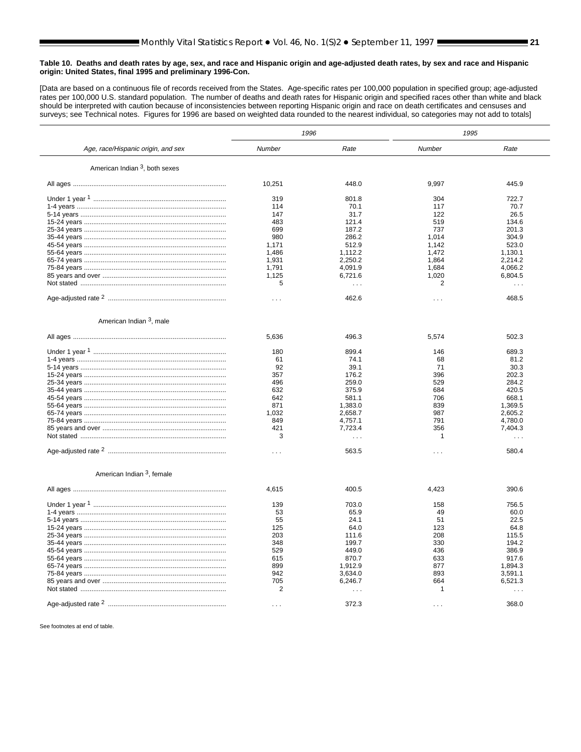[Data are based on a continuous file of records received from the States. Age-specific rates per 100,000 population in specified group; age-adjusted rates per 100,000 U.S. standard population. The number of deaths and death rates for Hispanic origin and specified races other than white and black should be interpreted with caution because of inconsistencies between reporting Hispanic origin and race on death certificates and censuses and surveys; s[ee Technical notes. Fig](#page-34-0)ures for 1996 are based on weighted data rounded to the nearest individual, so categories may not add to totals]

|                                           | 1996                 |                      | 1995     |                      |
|-------------------------------------------|----------------------|----------------------|----------|----------------------|
| Age, race/Hispanic origin, and sex        | Number               | Rate                 | Number   | Rate                 |
| American Indian <sup>3</sup> , both sexes |                      |                      |          |                      |
|                                           | 10,251               | 448.0                | 9,997    | 445.9                |
|                                           | 319                  | 801.8                | 304      | 722.7                |
|                                           | 114                  | 70.1                 | 117      | 70.7                 |
|                                           | 147                  | 31.7                 | 122      | 26.5                 |
|                                           | 483                  | 121.4                | 519      | 134.6                |
|                                           | 699                  | 187.2                | 737      | 201.3                |
|                                           | 980                  | 286.2                | 1,014    | 304.9                |
|                                           | 1,171                | 512.9                | 1,142    | 523.0                |
|                                           | 1,486                | 1,112.2              | 1,472    | 1,130.1              |
|                                           | 1,931                | 2,250.2              | 1,864    | 2.214.2              |
|                                           | 1,791                | 4,091.9              | 1,684    | 4,066.2              |
|                                           | 1,125                | 6,721.6              | 1,020    | 6,804.5              |
|                                           | 5                    |                      | 2        |                      |
|                                           |                      | $\sim$               |          | $\sim 10$            |
|                                           | $\sim$ $\sim$ $\sim$ | 462.6                | $\cdots$ | 468.5                |
| American Indian 3, male                   |                      |                      |          |                      |
|                                           |                      |                      |          |                      |
|                                           | 5,636                | 496.3                | 5,574    | 502.3                |
|                                           | 180                  | 899.4                | 146      | 689.3                |
|                                           | 61                   | 74.1                 | 68       | 81.2                 |
|                                           | 92                   | 39.1                 | 71       | 30.3                 |
|                                           | 357                  | 176.2                | 396      | 202.3                |
|                                           | 496                  | 259.0                | 529      | 284.2                |
|                                           | 632                  | 375.9                | 684      | 420.5                |
|                                           | 642                  | 581.1                | 706      | 668.1                |
|                                           | 871                  | 1,383.0              | 839      | 1,369.5              |
|                                           | 1,032                | 2,658.7              | 987      | 2,605.2              |
|                                           | 849                  | 4,757.1              | 791      | 4,780.0              |
|                                           | 421                  |                      | 356      |                      |
|                                           | 3                    | 7,723.4              | -1       | 7,404.3              |
|                                           |                      | $\sim$ $\sim$ $\sim$ |          | $\sim$ $\sim$ $\sim$ |
|                                           | $\sim 100$           | 563.5                | $\sim$   | 580.4                |
| American Indian 3, female                 |                      |                      |          |                      |
|                                           |                      |                      |          |                      |
|                                           | 4,615                | 400.5                | 4,423    | 390.6                |
|                                           | 139                  | 703.0                | 158      | 756.5                |
|                                           | 53                   | 65.9                 | 49       | 60.0                 |
|                                           | 55                   | 24.1                 | 51       | 22.5                 |
|                                           | 125                  | 64.0                 | 123      | 64.8                 |
|                                           | 203                  | 111.6                | 208      | 115.5                |
|                                           | 348                  | 199.7                | 330      | 194.2                |
|                                           | 529                  | 449.0                | 436      | 386.9                |
|                                           | 615                  | 870.7                | 633      | 917.6                |
|                                           |                      |                      |          |                      |
|                                           | 899                  | 1,912.9              | 877      | 1,894.3              |
|                                           | 942                  | 3,634.0              | 893      | 3,591.1              |
|                                           | 705                  | 6,246.7              | 664      | 6,521.3              |
|                                           | 2                    | $\sim$               | 1        | $\sim$ $\sim$ $\sim$ |
|                                           | $\sim$ $\sim$ $\sim$ | 372.3                |          | 368.0                |
|                                           |                      |                      |          |                      |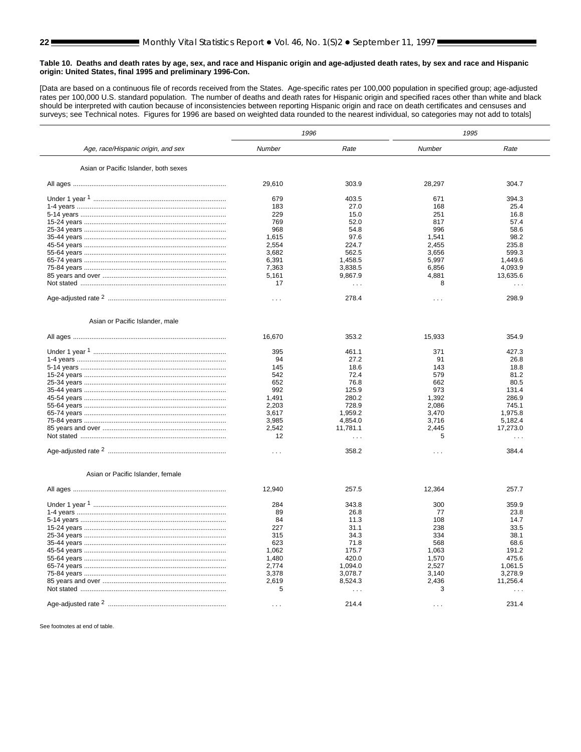[Data are based on a continuous file of records received from the States. Age-specific rates per 100,000 population in specified group; age-adjusted rates per 100,000 U.S. standard population. The number of deaths and death rates for Hispanic origin and specified races other than white and black should be interpreted with caution because of inconsistencies between reporting Hispanic origin and race on death certificates and censuses and surveys; s[ee Technical notes. Fi](#page-34-0)gures for 1996 are based on weighted data rounded to the nearest individual, so categories may not add to totals]

|                                       |                      | 1996                 | 1995     |               |  |
|---------------------------------------|----------------------|----------------------|----------|---------------|--|
| Age, race/Hispanic origin, and sex    | Number               | Rate                 | Number   | Rate          |  |
| Asian or Pacific Islander, both sexes |                      |                      |          |               |  |
|                                       | 29,610               | 303.9                | 28,297   | 304.7         |  |
|                                       | 679                  | 403.5                | 671      | 394.3         |  |
|                                       | 183                  | 27.0                 | 168      | 25.4          |  |
|                                       | 229                  | 15.0                 | 251      | 16.8          |  |
|                                       | 769                  | 52.0                 | 817      | 57.4          |  |
|                                       | 968                  | 54.8                 | 996      | 58.6          |  |
|                                       | 1,615                | 97.6                 | 1.541    | 98.2          |  |
|                                       | 2,554                | 224.7                | 2,455    | 235.8         |  |
|                                       | 3,682                | 562.5                | 3,656    | 599.3         |  |
|                                       | 6,391                | 1,458.5              | 5,997    | 1,449.6       |  |
|                                       | 7,363                | 3.838.5              | 6,856    | 4,093.9       |  |
|                                       | 5,161                | 9,867.9              | 4,881    | 13,635.6      |  |
|                                       | 17                   | $\ldots$             | 8        | $\sim$ $\sim$ |  |
|                                       | $\cdots$             | 278.4                | $\cdots$ | 298.9         |  |
|                                       |                      |                      |          |               |  |
| Asian or Pacific Islander, male       |                      |                      |          |               |  |
|                                       | 16,670               | 353.2                | 15,933   | 354.9         |  |
|                                       | 395                  | 461.1                | 371      | 427.3         |  |
|                                       | 94                   | 27.2                 | 91       | 26.8          |  |
|                                       | 145                  | 18.6                 | 143      | 18.8          |  |
|                                       | 542                  | 72.4                 | 579      | 81.2          |  |
|                                       | 652                  | 76.8                 | 662      | 80.5          |  |
|                                       | 992                  | 125.9                | 973      | 131.4         |  |
|                                       | 1,491                | 280.2                | 1,392    | 286.9         |  |
|                                       | 2.203                | 728.9                | 2.086    | 745.1         |  |
|                                       | 3,617                | 1,959.2              | 3,470    | 1,975.8       |  |
|                                       | 3,985                | 4,854.0              | 3,716    | 5,182.4       |  |
|                                       | 2,542                | 11,781.1             | 2,445    | 17,273.0      |  |
|                                       | 12                   | $\sim$ $\sim$ $\sim$ | 5        | $\sim 100$    |  |
|                                       | $\sim$ $\sim$ $\sim$ | 358.2                | $\cdots$ | 384.4         |  |
|                                       |                      |                      |          |               |  |
| Asian or Pacific Islander, female     |                      |                      |          |               |  |
|                                       | 12,940               | 257.5                | 12,364   | 257.7         |  |
|                                       | 284                  | 343.8                | 300      | 359.9         |  |
|                                       | 89                   | 26.8                 | 77       | 23.8          |  |
|                                       | 84                   | 11.3                 | 108      | 14.7          |  |
|                                       | 227                  | 31.1                 | 238      | 33.5          |  |
|                                       | 315                  | 34.3                 | 334      | 38.1          |  |
|                                       | 623                  | 71.8                 | 568      | 68.6          |  |
|                                       | 1,062                | 175.7                | 1,063    | 191.2         |  |
|                                       | 1,480                | 420.0                | 1,570    | 475.6         |  |
|                                       | 2.774                | 1.094.0              | 2,527    | 1,061.5       |  |
|                                       | 3,378                | 3,078.7              | 3,140    | 3,278.9       |  |
|                                       | 2,619                | 8,524.3              | 2,436    | 11,256.4      |  |
|                                       | 5                    | $\cdots$             | 3        | $\cdots$      |  |
|                                       | $\cdots$             | 214.4                | $\cdots$ | 231.4         |  |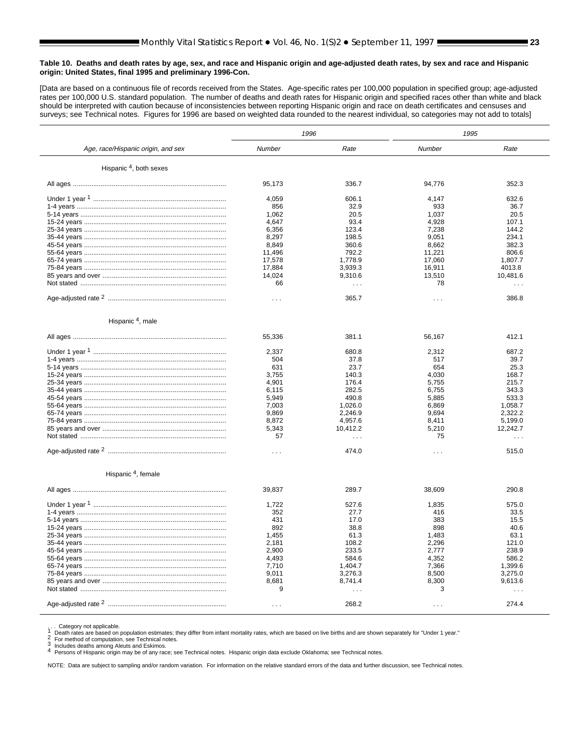[Data are based on a continuous file of records received from the States. Age-specific rates per 100,000 population in specified group; age-adjusted rates per 100,000 U.S. standard population. The number of deaths and death rates for Hispanic origin and specified races other than white and black should be [interpreted with cautio](#page-34-0)n because of inconsistencies between reporting Hispanic origin and race on death certificates and censuses and surveys; see Technical notes. Figures for 1996 are based on weighted data rounded to the nearest individual, so categories may not add to totals]

|                                    |                | 1996     | 1995      |                      |
|------------------------------------|----------------|----------|-----------|----------------------|
| Age, race/Hispanic origin, and sex | Number         | Rate     | Number    | Rate                 |
| Hispanic <sup>4</sup> , both sexes |                |          |           |                      |
|                                    | 95,173         | 336.7    | 94,776    | 352.3                |
|                                    | 4.059          | 606.1    | 4.147     | 632.6                |
|                                    | 856            | 32.9     | 933       | 36.7                 |
|                                    | 1,062          | 20.5     | 1,037     | 20.5                 |
|                                    | 4,647          | 93.4     | 4,928     | 107.1                |
|                                    | 6,356          | 123.4    | 7,238     | 144.2                |
|                                    | 8,297          | 198.5    | 9,051     | 234.1                |
|                                    | 8,849          | 360.6    | 8,662     | 382.3                |
|                                    | 11,496         | 792.2    | 11,221    | 806.6                |
|                                    | 17,578         | 1,778.9  | 17,060    | 1,807.7              |
|                                    | 17,884         | 3,939.3  | 16,911    | 4013.8               |
|                                    | 14,024         | 9,310.6  | 13,510    | 10,481.6             |
|                                    | 66             | $\sim$ . | 78        | $\sim$ $\sim$        |
|                                    |                |          |           |                      |
|                                    | $\sim 10^{-1}$ | 365.7    | $\sim$    | 386.8                |
| Hispanic <sup>4</sup> , male       |                |          |           |                      |
|                                    | 55,336         | 381.1    | 56,167    | 412.1                |
|                                    |                |          |           |                      |
|                                    | 2,337          | 680.8    | 2,312     | 687.2                |
|                                    | 504            | 37.8     | 517       | 39.7                 |
|                                    | 631            | 23.7     | 654       | 25.3                 |
|                                    | 3,755          | 140.3    | 4,030     | 168.7                |
|                                    | 4,901          | 176.4    | 5,755     | 215.7                |
|                                    | 6,115          | 282.5    | 6,755     | 343.3                |
|                                    | 5,949          | 490.8    | 5,885     | 533.3                |
|                                    | 7,003          | 1,026.0  | 6,869     | 1,058.7              |
|                                    | 9,869          | 2,246.9  | 9,694     | 2,322.2              |
|                                    | 8,872          | 4,957.6  | 8.411     | 5,199.0              |
|                                    | 5,343          | 10,412.2 | 5,210     | 12,242.7             |
|                                    | 57             |          | 75        |                      |
|                                    |                | $\sim$ . |           | $\sim$ $\sim$ $\sim$ |
|                                    | $\sim 100$     | 474.0    | $\sim 10$ | 515.0                |
| Hispanic <sup>4</sup> , female     |                |          |           |                      |
|                                    |                |          |           |                      |
|                                    | 39,837         | 289.7    | 38,609    | 290.8                |
|                                    | 1.722          | 527.6    | 1.835     | 575.0                |
|                                    | 352            | 27.7     | 416       | 33.5                 |
|                                    | 431            | 17.0     | 383       | 15.5                 |
|                                    | 892            | 38.8     | 898       | 40.6                 |
|                                    | 1,455          | 61.3     | 1,483     | 63.1                 |
|                                    | 2,181          | 108.2    | 2,296     | 121.0                |
|                                    | 2,900          | 233.5    | 2,777     | 238.9                |
|                                    | 4,493          | 584.6    | 4.352     | 586.2                |
|                                    | 7,710          | 1,404.7  | 7,366     | 1,399.6              |
|                                    | 9,011          | 3,276.3  | 8,500     | 3,275.0              |
|                                    | 8,681          | 8,741.4  | 8,300     | 9,613.6              |
|                                    | 9              |          | 3         |                      |
|                                    |                | $\sim$   |           | $\cdots$             |
|                                    | $\cdots$       | 268.2    | $\cdots$  | 274.4                |

... Category not applicable.<br>
1 Death rates are based on po[pulation estimates; they](#page-34-0) differ from infant mortality rates, which are based on live births and are shown separately for "Under 1 year."<br>
2 For method of computati

NOTE: Data are subject to sampling and/or random variation. For information on the relative standard errors of the data and further discussion, [see Technical notes.](#page-34-0)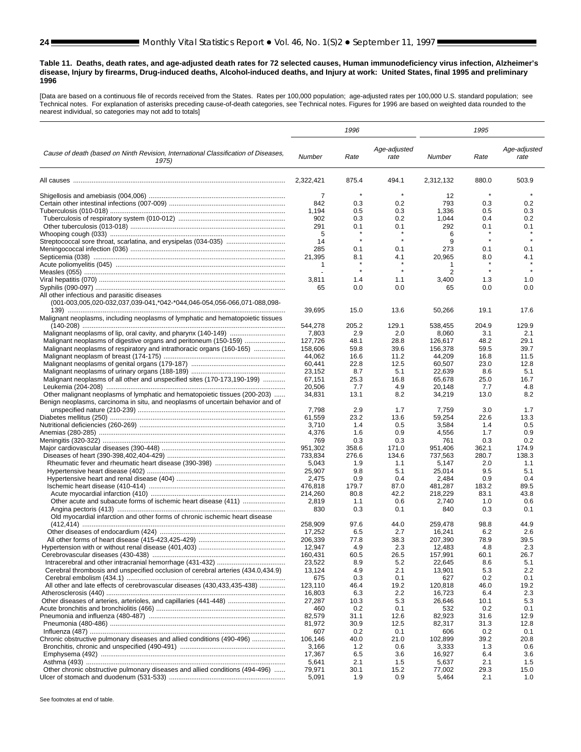<span id="page-23-0"></span>**Table 11. Deaths, death rates, and age-adjusted death rates for 72 selected causes, Human immunodeficiency virus infection, Alzheimer's disease, Injury by firearms, Drug-induced deaths, Alcohol-induced deaths, and Injury at work: United States, final 1995 and preliminary 1996**

[Data are based on a continuous file of records received from the States. Rates per 100,000 population; age-adjusted rates per 100,000 U.S. standard population; see [Technical notes. F](#page-34-0)or explanation of asterisks preceding cause-of-death categories, see Technical notes. Figures for 1996 are based on weighted data rounded to the nearest individual, so categories may not add to totals]

|                                                                                             |           | 1996    |                      |               | 1995    |                      |  |
|---------------------------------------------------------------------------------------------|-----------|---------|----------------------|---------------|---------|----------------------|--|
| Cause of death (based on Ninth Revision, International Classification of Diseases,<br>1975) | Number    | Rate    | Age-adjusted<br>rate | <b>Number</b> | Rate    | Age-adjusted<br>rate |  |
|                                                                                             | 2,322,421 | 875.4   | 494.1                | 2,312,132     | 880.0   | 503.9                |  |
|                                                                                             | 7         | $\star$ | $\pmb{\ast}$         | 12            | $\star$ |                      |  |
|                                                                                             | 842       | 0.3     | 0.2                  | 793           | 0.3     | 0.2                  |  |
|                                                                                             | 1,194     | 0.5     | 0.3                  | 1,336         | 0.5     | 0.3                  |  |
|                                                                                             | 902       | 0.3     | 0.2                  | 1,044         | 0.4     | 0.2                  |  |
|                                                                                             | 291       | 0.1     | 0.1                  | 292           | 0.1     | 0.1                  |  |
|                                                                                             | 5         |         |                      | 6             |         |                      |  |
| Streptococcal sore throat, scarlatina, and erysipelas (034-035)                             | 14        | $\star$ | $\pmb{\ast}$         | 9             | $\star$ |                      |  |
|                                                                                             | 285       | 0.1     | 0.1                  | 273           | 0.1     | 0.1                  |  |
|                                                                                             | 21,395    | 8.1     | 4.1                  | 20,965        | 8.0     | 4.1                  |  |
|                                                                                             | 1         | ×       |                      | 1             |         |                      |  |
|                                                                                             |           | $\star$ | $\pmb{\ast}$         | 2             | $\star$ |                      |  |
|                                                                                             | 3,811     | 1.4     | 1.1                  | 3,400         | 1.3     | 1.0                  |  |
|                                                                                             | 65        | 0.0     | 0.0                  | 65            | 0.0     | 0.0                  |  |
| All other infectious and parasitic diseases                                                 |           |         |                      |               |         |                      |  |
| (001-003,005,020-032,037,039-041,*042-*044,046-054,056-066,071-088,098-                     |           |         |                      |               |         |                      |  |
|                                                                                             | 39,695    | 15.0    | 13.6                 | 50,266        | 19.1    | 17.6                 |  |
| Malignant neoplasms, including neoplasms of lymphatic and hematopoietic tissues             |           |         |                      |               |         |                      |  |
|                                                                                             | 544,278   | 205.2   | 129.1                | 538,455       | 204.9   | 129.9                |  |
|                                                                                             | 7,803     | 2.9     | 2.0                  | 8,060         | 3.1     | 2.1                  |  |
| Malignant neoplasms of digestive organs and peritoneum (150-159)                            | 127,726   | 48.1    | 28.8                 | 126,617       | 48.2    | 29.1                 |  |
| Malignant neoplasms of respiratory and intrathoracic organs (160-165)                       | 158,606   | 59.8    | 39.6                 | 156,378       | 59.5    | 39.7                 |  |
|                                                                                             | 44,062    | 16.6    | 11.2                 | 44,209        | 16.8    | 11.5                 |  |
|                                                                                             | 60.441    | 22.8    | 12.5                 | 60,507        | 23.0    | 12.8                 |  |
|                                                                                             | 23.152    | 8.7     | 5.1                  | 22,639        | 8.6     | 5.1                  |  |
| Malignant neoplasms of all other and unspecified sites (170-173,190-199)                    | 67,151    | 25.3    | 16.8                 | 65,678        | 25.0    | 16.7                 |  |
|                                                                                             | 20.506    | 7.7     | 4.9                  | 20,148        | 7.7     | 4.8                  |  |
| Other malignant neoplasms of lymphatic and hematopoietic tissues (200-203)                  | 34,831    | 13.1    | 8.2                  | 34,219        | 13.0    | 8.2                  |  |
| Benign neoplasms, carcinoma in situ, and neoplasms of uncertain behavior and of             |           |         |                      |               |         |                      |  |
|                                                                                             | 7,798     | 2.9     | 1.7                  | 7,759         | 3.0     | 1.7                  |  |
|                                                                                             | 61,559    | 23.2    | 13.6                 | 59,254        | 22.6    | 13.3                 |  |
|                                                                                             | 3,710     | 1.4     | 0.5                  | 3,584         | 1.4     | 0.5                  |  |
|                                                                                             | 4,376     | 1.6     | 0.9                  | 4,556         | 1.7     | 0.9                  |  |
|                                                                                             | 769       | 0.3     | 0.3                  | 761           | 0.3     | 0.2                  |  |
|                                                                                             | 951,302   | 358.6   | 171.0                | 951,406       | 362.1   | 174.9                |  |
|                                                                                             | 733,834   | 276.6   | 134.6                | 737,563       | 280.7   | 138.3                |  |
|                                                                                             | 5,043     | 1.9     | 1.1                  | 5,147         | 2.0     | 1.1                  |  |
|                                                                                             | 25,907    | 9.8     | 5.1                  | 25,014        | 9.5     | 5.1                  |  |
|                                                                                             | 2,475     | 0.9     | 0.4                  | 2,484         | 0.9     | 0.4                  |  |
|                                                                                             | 476,818   | 179.7   | 87.0                 | 481,287       | 183.2   | 89.5                 |  |
|                                                                                             | 214.260   | 80.8    | 42.2                 | 218,229       | 83.1    | 43.8                 |  |
|                                                                                             | 2,819     | 1.1     | 0.6                  | 2,740         | 1.0     | 0.6                  |  |
|                                                                                             | 830       | 0.3     | 0.1                  | 840           | 0.3     | 0.1                  |  |
| Old myocardial infarction and other forms of chronic ischemic heart disease                 |           |         |                      |               |         |                      |  |
|                                                                                             | 258,909   | 97.6    | 44.0                 | 259,478       | 98.8    | 44.9                 |  |
|                                                                                             | 17,252    | 6.5     | 2.7                  | 16,241        | 6.2     | 2.6                  |  |
|                                                                                             | 206,339   | 77.8    | 38.3                 | 207.390       | 78.9    | 39.5                 |  |
|                                                                                             | 12,947    | 4.9     | 2.3                  | 12,483        | 4.8     | 2.3                  |  |
|                                                                                             | 160,431   | 60.5    | 26.5                 | 157,991       | 60.1    | 26.7                 |  |
|                                                                                             | 23,522    | 8.9     | 5.2                  | 22,645        | 8.6     | 5.1                  |  |
| Cerebral thrombosis and unspecified occlusion of cerebral arteries (434.0,434.9)            | 13,124    | 4.9     | 2.1                  | 13,901        | 5.3     | 2.2                  |  |
|                                                                                             | 675       | 0.3     | 0.1                  | 627           | 0.2     | 0.1                  |  |
| All other and late effects of cerebrovascular diseases (430,433,435-438)                    | 123,110   | 46.4    | 19.2                 | 120,818       | 46.0    | 19.2                 |  |
|                                                                                             | 16,803    | 6.3     | 2.2                  | 16,723        | 6.4     | 2.3                  |  |
| Other diseases of arteries, arterioles, and capillaries (441-448)                           | 27,287    | 10.3    | 5.3                  | 26,646        | 10.1    | 5.3                  |  |
|                                                                                             | 460       | 0.2     | 0.1                  | 532           | 0.2     | 0.1                  |  |
|                                                                                             | 82,579    | 31.1    | 12.6                 | 82,923        | 31.6    | 12.9                 |  |
|                                                                                             | 81,972    | 30.9    | 12.5                 | 82,317        | 31.3    | 12.8                 |  |
|                                                                                             | 607       | 0.2     | 0.1                  | 606           | 0.2     | 0.1                  |  |
| Chronic obstructive pulmonary diseases and allied conditions (490-496)                      | 106,146   | 40.0    | 21.0                 | 102,899       | 39.2    | 20.8                 |  |
|                                                                                             | 3,166     | 1.2     | 0.6                  | 3,333         | 1.3     | 0.6                  |  |
|                                                                                             | 17,367    | 6.5     | 3.6                  | 16,927        | 6.4     | 3.6                  |  |
|                                                                                             | 5,641     | 2.1     | 1.5                  | 5,637         | 2.1     | 1.5                  |  |
| Other chronic obstructive pulmonary diseases and allied conditions (494-496)                | 79,971    | 30.1    | 15.2                 | 77,002        | 29.3    | 15.0                 |  |
|                                                                                             | 5,091     | 1.9     | 0.9                  | 5,464         | 2.1     | 1.0                  |  |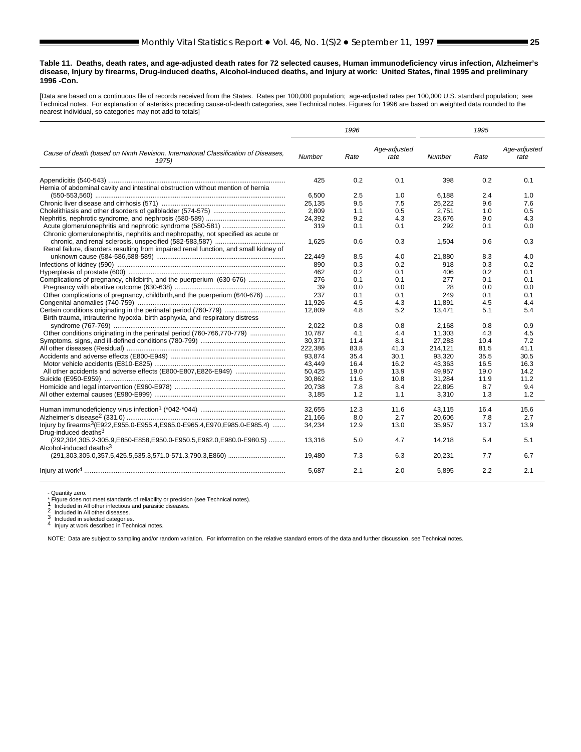#### **Table 11. Deaths, death rates, and age-adjusted death rates for 72 selected causes, Human immunodeficiency virus infection, Alzheimer's disease, Injury by firearms, Drug-induced deaths, Alcohol-induced deaths, and Injury at work: United States, final 1995 and preliminary 1996 -Con.**

[Data are based on a continuous file of records received from the States. Rates per 100,000 population; age-adjusted rates per 100,000 U.S. standard population; see [Technical notes.](#page-34-0) For explanation of asterisks preceding cause-of-death categories, see Technical notes. Figures for 1996 are based on weighted data rounded to the nearest individual, so categories may not add to totals]

|                                                                                             |         | 1996 |                      | 1995    |      |                      |  |
|---------------------------------------------------------------------------------------------|---------|------|----------------------|---------|------|----------------------|--|
| Cause of death (based on Ninth Revision, International Classification of Diseases,<br>1975) | Number  | Rate | Age-adjusted<br>rate | Number  | Rate | Age-adjusted<br>rate |  |
|                                                                                             | 425     | 0.2  | 0.1                  | 398     | 0.2  | 0.1                  |  |
| Hernia of abdominal cavity and intestinal obstruction without mention of hernia             |         |      |                      |         |      |                      |  |
|                                                                                             | 6.500   | 2.5  | 1.0                  | 6.188   | 2.4  | 1.0                  |  |
|                                                                                             | 25,135  | 9.5  | 7.5                  | 25,222  | 9.6  | 7.6                  |  |
|                                                                                             | 2,809   | 1.1  | 0.5                  | 2.751   | 1.0  | 0.5                  |  |
|                                                                                             | 24,392  | 9.2  | 4.3                  | 23,676  | 9.0  | 4.3                  |  |
|                                                                                             | 319     | 0.1  | 0.1                  | 292     | 0.1  | 0.0                  |  |
| Chronic glomerulonephritis, nephritis and nephropathy, not specified as acute or            |         |      |                      |         |      |                      |  |
|                                                                                             | 1,625   | 0.6  | 0.3                  | 1.504   | 0.6  | 0.3                  |  |
| Renal failure, disorders resulting from impaired renal function, and small kidney of        |         |      |                      |         |      |                      |  |
|                                                                                             | 22,449  | 8.5  | 4.0                  | 21,880  | 8.3  | 4.0                  |  |
|                                                                                             | 890     | 0.3  | 0.2                  | 918     | 0.3  | 0.2                  |  |
|                                                                                             | 462     | 0.2  | 0.1                  | 406     | 0.2  | 0.1                  |  |
| Complications of pregnancy, childbirth, and the puerperium (630-676)                        | 276     | 0.1  | 0.1                  | 277     | 0.1  | 0.1                  |  |
|                                                                                             | 39      | 0.0  | 0.0                  | 28      | 0.0  | 0.0                  |  |
| Other complications of pregnancy, childbirth, and the puerperium (640-676)                  | 237     | 0.1  | 0.1                  | 249     | 0.1  | 0.1                  |  |
|                                                                                             | 11,926  | 4.5  | 4.3                  | 11.891  | 4.5  | 4.4                  |  |
|                                                                                             | 12.809  | 4.8  | 5.2                  | 13,471  | 5.1  | 5.4                  |  |
| Birth trauma, intrauterine hypoxia, birth asphyxia, and respiratory distress                |         |      |                      |         |      |                      |  |
|                                                                                             | 2.022   | 0.8  | 0.8                  | 2.168   | 0.8  | 0.9                  |  |
| Other conditions originating in the perinatal period (760-766,770-779)                      | 10,787  | 4.1  | 4.4                  | 11,303  | 4.3  | 4.5                  |  |
|                                                                                             | 30.371  | 11.4 | 8.1                  | 27,283  | 10.4 | 7.2                  |  |
|                                                                                             | 222,386 | 83.8 | 41.3                 | 214,121 | 81.5 | 41.1                 |  |
|                                                                                             | 93.874  | 35.4 | 30.1                 | 93,320  | 35.5 | 30.5                 |  |
|                                                                                             | 43,449  | 16.4 | 16.2                 | 43,363  | 16.5 | 16.3                 |  |
|                                                                                             | 50,425  | 19.0 | 13.9                 | 49,957  | 19.0 | 14.2                 |  |
|                                                                                             | 30,862  | 11.6 | 10.8                 | 31,284  | 11.9 | 11.2                 |  |
|                                                                                             | 20,738  | 7.8  | 8.4                  | 22,895  | 8.7  | 9.4                  |  |
|                                                                                             | 3,185   | 1.2  | 1.1                  | 3,310   | 1.3  | 1.2                  |  |
|                                                                                             |         |      |                      |         |      |                      |  |
|                                                                                             | 32.655  | 12.3 | 11.6                 | 43.115  | 16.4 | 15.6                 |  |
|                                                                                             | 21,166  | 8.0  | 2.7                  | 20,606  | 7.8  | 2.7                  |  |
| Injury by firearms <sup>3</sup> (E922,E955.0-E955.4,E965.0-E965.4,E970,E985.0-E985.4)       | 34.234  | 12.9 | 13.0                 | 35.957  | 13.7 | 13.9                 |  |
| Drug-induced deaths <sup>3</sup>                                                            |         |      |                      |         |      |                      |  |
| (292,304,305.2-305.9,E850-E858,E950.0-E950.5,E962.0,E980.0-E980.5)                          | 13.316  | 5.0  | 4.7                  | 14,218  | 5.4  | 5.1                  |  |
| Alcohol-induced deaths <sup>3</sup>                                                         |         |      |                      |         |      |                      |  |
|                                                                                             | 19.480  | 7.3  | 6.3                  | 20,231  | 7.7  | 6.7                  |  |
|                                                                                             |         |      |                      |         |      |                      |  |
|                                                                                             | 5.687   | 2.1  | 2.0                  | 5.895   | 2.2  | 2.1                  |  |

- Quantity zero.<br>\* Figure does not meet standards of reliability or precision (see Technical notes).

 $\begin{array}{l} \text{1} \quad \text{included in All other infections and parasite diseases.}\\ \text{2} \quad \text{included in All other diseases.}\\ \text{3} \quad \text{Induded in selected categories.}\\ \text{4} \quad \text{Injury at work described in Technical notes.}\\ \end{array}$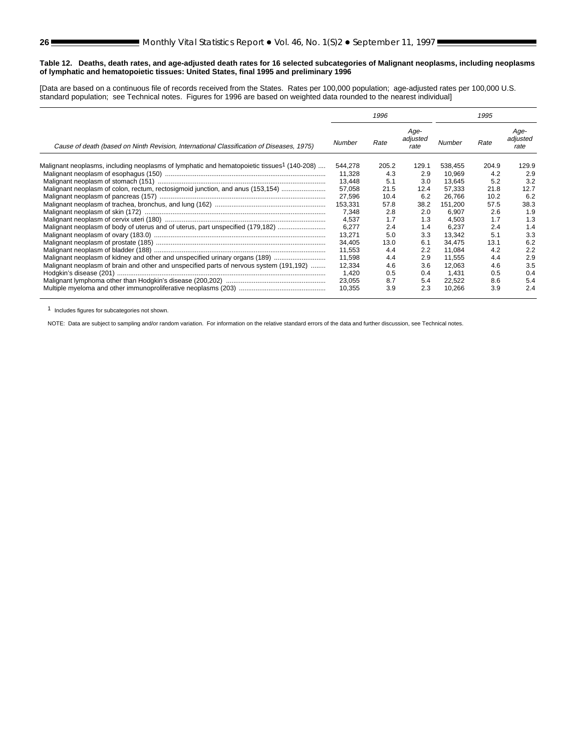#### <span id="page-25-0"></span>**Table 12. Deaths, death rates, and age-adjusted death rates for 16 selected subcategories of Malignant neoplasms, including neoplasms of lymphatic and hematopoietic tissues: United States, final 1995 and preliminary 1996**

[Data are based on a continuous file of records received from the States. Rates per 100,000 population; age-adjusted rates per 100,000 U.S. standard population; s[ee Technical notes. Fig](#page-34-0)ures for 1996 are based on weighted data rounded to the nearest individual]

|                                                                                                        | 1996    |       |                          | 1995    |       |                          |  |
|--------------------------------------------------------------------------------------------------------|---------|-------|--------------------------|---------|-------|--------------------------|--|
| Cause of death (based on Ninth Revision, International Classification of Diseases, 1975)               | Number  | Rate  | Age-<br>adjusted<br>rate | Number  | Rate  | Age-<br>adjusted<br>rate |  |
| Malignant neoplasms, including neoplasms of lymphatic and hematopoietic tissues <sup>1</sup> (140-208) | 544.278 | 205.2 | 129.1                    | 538.455 | 204.9 | 129.9                    |  |
|                                                                                                        | 11.328  | 4.3   | 2.9                      | 10.969  | 4.2   | 2.9                      |  |
|                                                                                                        | 13,448  | 5.1   | 3.0                      | 13,645  | 5.2   | 3.2                      |  |
| Malignant neoplasm of colon, rectum, rectosigmoid junction, and anus (153,154)                         | 57,058  | 21.5  | 12.4                     | 57.333  | 21.8  | 12.7                     |  |
|                                                                                                        | 27.596  | 10.4  | 6.2                      | 26.766  | 10.2  | 6.2                      |  |
|                                                                                                        | 153,331 | 57.8  | 38.2                     | 151.200 | 57.5  | 38.3                     |  |
|                                                                                                        | 7,348   | 2.8   | 2.0                      | 6,907   | 2.6   | 1.9                      |  |
|                                                                                                        | 4,537   | 1.7   | 1.3                      | 4.503   | 1.7   | 1.3                      |  |
| Malignant neoplasm of body of uterus and of uterus, part unspecified (179,182)                         | 6,277   | 2.4   | 1.4                      | 6.237   | 2.4   | 1.4                      |  |
|                                                                                                        | 13.271  | 5.0   | 3.3                      | 13.342  | 5.1   | 3.3                      |  |
|                                                                                                        | 34,405  | 13.0  | 6.1                      | 34.475  | 13.1  | 6.2                      |  |
|                                                                                                        | 11,553  | 4.4   | 2.2                      | 11.084  | 4.2   | 2.2                      |  |
| Malignant neoplasm of kidney and other and unspecified urinary organs (189)                            | 11.598  | 4.4   | 2.9                      | 11,555  | 4.4   | 2.9                      |  |
| Malignant neoplasm of brain and other and unspecified parts of nervous system (191,192)                | 12.334  | 4.6   | 3.6                      | 12.063  | 4.6   | 3.5                      |  |
|                                                                                                        | 1,420   | 0.5   | 0.4                      | 1,431   | 0.5   | 0.4                      |  |
|                                                                                                        | 23.055  | 8.7   | 5.4                      | 22.522  | 8.6   | 5.4                      |  |
|                                                                                                        | 10,355  | 3.9   | 2.3                      | 10,266  | 3.9   | 2.4                      |  |

1 Includes figures for subcategories not shown.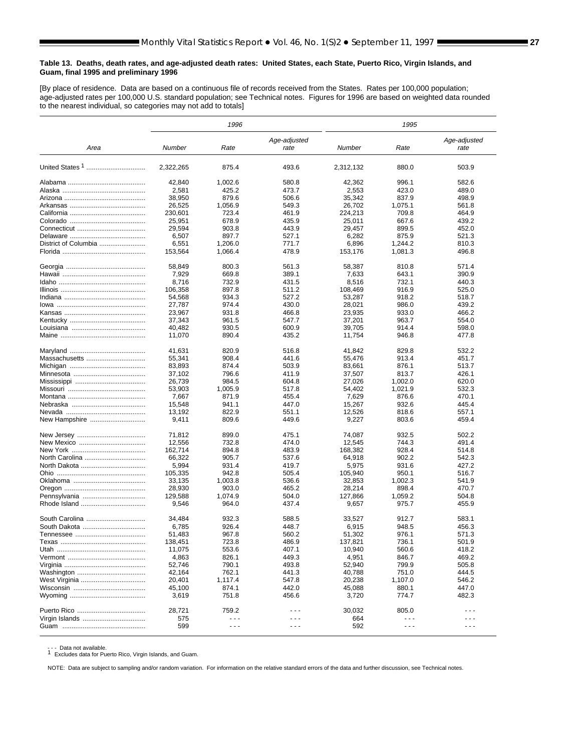#### <span id="page-26-0"></span>**Table 13. Deaths, death rates, and age-adjusted death rates: United States, each State, Puerto Rico, Virgin Islands, and Guam, final 1995 and preliminary 1996**

[By place of residence. Data are based on a continuous file of records received from the States. Rates per 100,000 population; age-adjusted rates per 100,000 U.S. standard population; s[ee Technical notes. Fig](#page-34-0)ures for 1996 are based on weighted data rounded to the nearest individual, so categories may not add to totals]

|                      |                  | 1996             |                      |                  | 1995                                                                                                                                                                                                                                                                                                                                                                                         |                      |  |  |
|----------------------|------------------|------------------|----------------------|------------------|----------------------------------------------------------------------------------------------------------------------------------------------------------------------------------------------------------------------------------------------------------------------------------------------------------------------------------------------------------------------------------------------|----------------------|--|--|
|                      |                  |                  | Age-adjusted         |                  |                                                                                                                                                                                                                                                                                                                                                                                              | Age-adjusted         |  |  |
| Area                 | Number           | Rate             | rate                 | Number           | Rate                                                                                                                                                                                                                                                                                                                                                                                         | rate                 |  |  |
| United States 1      | 2,322,265        | 875.4            | 493.6                | 2,312,132        | 880.0                                                                                                                                                                                                                                                                                                                                                                                        | 503.9                |  |  |
|                      | 42,840           | 1.002.6          | 580.8                | 42,362           | 996.1                                                                                                                                                                                                                                                                                                                                                                                        | 582.6                |  |  |
|                      | 2,581            | 425.2            | 473.7                | 2,553            | 423.0                                                                                                                                                                                                                                                                                                                                                                                        | 489.0                |  |  |
|                      | 38,950           | 879.6            | 506.6                | 35,342           | 837.9                                                                                                                                                                                                                                                                                                                                                                                        | 498.9                |  |  |
|                      | 26,525           | 1,056.9          | 549.3                | 26,702           | 1,075.1                                                                                                                                                                                                                                                                                                                                                                                      | 561.8                |  |  |
|                      | 230,601          | 723.4            | 461.9                | 224,213          | 709.8                                                                                                                                                                                                                                                                                                                                                                                        | 464.9                |  |  |
|                      | 25,951           | 678.9            | 435.9                | 25,011           | 667.6                                                                                                                                                                                                                                                                                                                                                                                        | 439.2                |  |  |
|                      | 29,594           | 903.8            | 443.9                | 29,457           | 899.5                                                                                                                                                                                                                                                                                                                                                                                        | 452.0                |  |  |
|                      | 6,507            | 897.7            | 527.1                | 6,282            | 875.9                                                                                                                                                                                                                                                                                                                                                                                        | 521.3                |  |  |
| District of Columbia | 6,551            | 1,206.0          | 771.7                | 6,896            | 1,244.2                                                                                                                                                                                                                                                                                                                                                                                      | 810.3                |  |  |
|                      | 153,564          | 1.066.4          | 478.9                | 153,176          | 1,081.3                                                                                                                                                                                                                                                                                                                                                                                      | 496.8                |  |  |
|                      | 58,849           | 800.3            | 561.3                | 58,387           | 810.8                                                                                                                                                                                                                                                                                                                                                                                        | 571.4                |  |  |
|                      | 7,929            | 669.8            | 389.1                | 7,633            | 643.1                                                                                                                                                                                                                                                                                                                                                                                        | 390.9                |  |  |
|                      | 8,716            | 732.9            | 431.5                | 8,516            | 732.1                                                                                                                                                                                                                                                                                                                                                                                        | 440.3                |  |  |
|                      | 106,358          | 897.8            | 511.2                | 108,469          | 916.9                                                                                                                                                                                                                                                                                                                                                                                        | 525.0                |  |  |
|                      | 54,568           | 934.3            | 527.2                |                  | 918.2                                                                                                                                                                                                                                                                                                                                                                                        | 518.7                |  |  |
|                      |                  | 974.4            | 430.0                | 53,287<br>28,021 |                                                                                                                                                                                                                                                                                                                                                                                              | 439.2                |  |  |
|                      | 27,787           |                  |                      |                  | 986.0                                                                                                                                                                                                                                                                                                                                                                                        |                      |  |  |
|                      | 23,967           | 931.8            | 466.8                | 23,935           | 933.0                                                                                                                                                                                                                                                                                                                                                                                        | 466.2                |  |  |
|                      | 37,343           | 961.5            | 547.7                | 37,201           | 963.7                                                                                                                                                                                                                                                                                                                                                                                        | 554.0                |  |  |
|                      | 40.482           | 930.5            | 600.9                | 39.705           | 914.4                                                                                                                                                                                                                                                                                                                                                                                        | 598.0                |  |  |
|                      | 11,070           | 890.4            | 435.2                | 11,754           | 946.8                                                                                                                                                                                                                                                                                                                                                                                        | 477.8                |  |  |
|                      | 41,631           | 820.9            | 516.8                | 41,842           | 829.8                                                                                                                                                                                                                                                                                                                                                                                        | 532.2                |  |  |
| Massachusetts        | 55,341           | 908.4            | 441.6                | 55,476           | 913.4                                                                                                                                                                                                                                                                                                                                                                                        | 451.7                |  |  |
|                      | 83,893           | 874.4            | 503.9                | 83,661           | 876.1                                                                                                                                                                                                                                                                                                                                                                                        | 513.7                |  |  |
|                      | 37,102           | 796.6            | 411.9                | 37,507           | 813.7                                                                                                                                                                                                                                                                                                                                                                                        | 426.1                |  |  |
|                      | 26,739           | 984.5            | 604.8                | 27,026           | 1,002.0                                                                                                                                                                                                                                                                                                                                                                                      | 620.0                |  |  |
|                      | 53,903           | 1,005.9          | 517.8                | 54,402           | 1,021.9                                                                                                                                                                                                                                                                                                                                                                                      | 532.3                |  |  |
|                      | 7,667            | 871.9            | 455.4                | 7,629            | 876.6                                                                                                                                                                                                                                                                                                                                                                                        | 470.1                |  |  |
|                      | 15,548           | 941.1            | 447.0                | 15,267           | 932.6                                                                                                                                                                                                                                                                                                                                                                                        | 445.4                |  |  |
|                      | 13,192           | 822.9            | 551.1                | 12,526           | 818.6                                                                                                                                                                                                                                                                                                                                                                                        | 557.1                |  |  |
| New Hampshire        | 9,411            | 809.6            | 449.6                | 9,227            | 803.6                                                                                                                                                                                                                                                                                                                                                                                        | 459.4                |  |  |
|                      | 71,812           | 899.0            | 475.1                | 74,087           | 932.5                                                                                                                                                                                                                                                                                                                                                                                        | 502.2                |  |  |
|                      | 12,556           | 732.8            | 474.0                | 12,545           | 744.3                                                                                                                                                                                                                                                                                                                                                                                        | 491.4                |  |  |
|                      | 162,714          | 894.8            | 483.9                | 168,382          | 928.4                                                                                                                                                                                                                                                                                                                                                                                        | 514.8                |  |  |
| North Carolina       | 66,322           | 905.7            | 537.6                | 64,918           | 902.2                                                                                                                                                                                                                                                                                                                                                                                        | 542.3                |  |  |
|                      |                  | 931.4            | 419.7                |                  |                                                                                                                                                                                                                                                                                                                                                                                              |                      |  |  |
|                      | 5,994<br>105,335 | 942.8            | 505.4                | 5,975<br>105,940 | 931.6<br>950.1                                                                                                                                                                                                                                                                                                                                                                               | 427.2<br>516.7       |  |  |
|                      |                  |                  |                      |                  |                                                                                                                                                                                                                                                                                                                                                                                              |                      |  |  |
|                      | 33,135           | 1,003.8<br>903.0 | 536.6                | 32,853           | 1,002.3                                                                                                                                                                                                                                                                                                                                                                                      | 541.9                |  |  |
|                      | 28,930           |                  | 465.2                | 28,214           | 898.4                                                                                                                                                                                                                                                                                                                                                                                        | 470.7                |  |  |
| Pennsylvania         | 129,588<br>9,546 | 1,074.9<br>964.0 | 504.0<br>437.4       | 127,866<br>9,657 | 1,059.2<br>975.7                                                                                                                                                                                                                                                                                                                                                                             | 504.8<br>455.9       |  |  |
|                      |                  |                  |                      |                  |                                                                                                                                                                                                                                                                                                                                                                                              |                      |  |  |
| South Carolina       | 34,484           | 932.3            | 588.5                | 33.527           | 912.7                                                                                                                                                                                                                                                                                                                                                                                        | 583.1                |  |  |
|                      | 6,785            | 926.4            | 448.7                | 6,915            | 948.5                                                                                                                                                                                                                                                                                                                                                                                        | 456.3                |  |  |
|                      | 51,483           | 967.8            | 560.2                | 51,302           | 976.1                                                                                                                                                                                                                                                                                                                                                                                        | 571.3                |  |  |
| Texas                | 138,451          | 723.8            | 486.9                | 137,821          | 736.1                                                                                                                                                                                                                                                                                                                                                                                        | 501.9                |  |  |
|                      | 11,075           | 553.6            | 407.1                | 10,940           | 560.6                                                                                                                                                                                                                                                                                                                                                                                        | 418.2                |  |  |
|                      | 4,863            | 826.1            | 449.3                | 4,951            | 846.7                                                                                                                                                                                                                                                                                                                                                                                        | 469.2                |  |  |
|                      | 52,746           | 790.1            | 493.8                | 52,940           | 799.9                                                                                                                                                                                                                                                                                                                                                                                        | 505.8                |  |  |
|                      | 42,164           | 762.1            | 441.3                | 40,788           | 751.0                                                                                                                                                                                                                                                                                                                                                                                        | 444.5                |  |  |
|                      | 20,401           | 1,117.4          | 547.8                | 20,238           | 1,107.0                                                                                                                                                                                                                                                                                                                                                                                      | 546.2                |  |  |
|                      | 45,100           | 874.1            | 442.0                | 45,088           | 880.1                                                                                                                                                                                                                                                                                                                                                                                        | 447.0                |  |  |
|                      | 3,619            | 751.8            | 456.6                | 3,720            | 774.7                                                                                                                                                                                                                                                                                                                                                                                        | 482.3                |  |  |
|                      | 28,721           | 759.2            | $\sim$ $\sim$ $\sim$ | 30,032           | 805.0                                                                                                                                                                                                                                                                                                                                                                                        | .                    |  |  |
| Virgin Islands       | 575              | ---              | - - -                | 664              | $\frac{1}{2} \frac{1}{2} \frac{1}{2} \frac{1}{2} \frac{1}{2} \frac{1}{2} \frac{1}{2} \frac{1}{2} \frac{1}{2} \frac{1}{2} \frac{1}{2} \frac{1}{2} \frac{1}{2} \frac{1}{2} \frac{1}{2} \frac{1}{2} \frac{1}{2} \frac{1}{2} \frac{1}{2} \frac{1}{2} \frac{1}{2} \frac{1}{2} \frac{1}{2} \frac{1}{2} \frac{1}{2} \frac{1}{2} \frac{1}{2} \frac{1}{2} \frac{1}{2} \frac{1}{2} \frac{1}{2} \frac{$ | - - -                |  |  |
|                      | 599              | $- - -$          | $- - -$              | 592              | $\sim$ $\sim$ $\sim$                                                                                                                                                                                                                                                                                                                                                                         | $\sim$ $\sim$ $\sim$ |  |  |

- - - Data not available.<br>1 Excludes data for Puerto Rico, Virgin Islands, and Guam.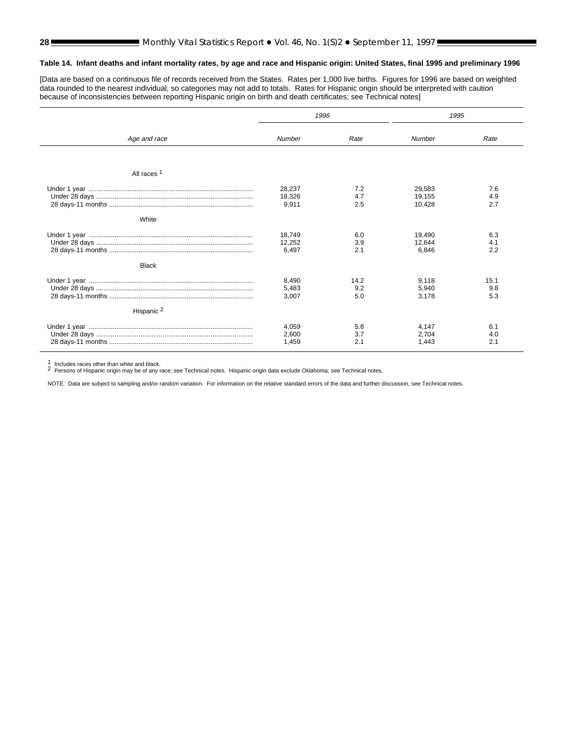# <span id="page-27-0"></span>**Table 14. Infant deaths and infant mortality rates, by age and race and Hispanic origin: United States, final 1995 and preliminary 1996**

[Data are based on a continuous file of records received from the States. Rates per 1,000 live births. Figures for 1996 are based on weighted data rounded to the nearest individual, so categories may not add to totals. Rates for Hispanic origin should be interpreted with caution because of inconsistencies between reporting Hispanic origin on birth and death certificates; s[ee Technical notes\]](#page-34-0)

|                        | 1996                      |                    | 1995                       |                    |
|------------------------|---------------------------|--------------------|----------------------------|--------------------|
| Age and race           | Number                    | Rate               | Number                     | Rate               |
|                        |                           |                    |                            |                    |
| All races <sup>1</sup> |                           |                    |                            |                    |
|                        | 28,237<br>18,326<br>9,911 | 7.2<br>4.7<br>2.5  | 29.583<br>19.155<br>10.428 | 7.6<br>4.9<br>2.7  |
| White                  |                           |                    |                            |                    |
|                        | 18.749<br>12,252<br>6.497 | 6.0<br>3.9<br>2.1  | 19.490<br>12,644<br>6.846  | 6.3<br>4.1<br>2.2  |
| <b>Black</b>           |                           |                    |                            |                    |
|                        | 8,490<br>5,483<br>3,007   | 14.2<br>9.2<br>5.0 | 9,118<br>5,940<br>3,178    | 15.1<br>9.8<br>5.3 |
| Hispanic <sup>2</sup>  |                           |                    |                            |                    |
|                        | 4,059<br>2,600<br>1,459   | 5.8<br>3.7<br>2.1  | 4,147<br>2.704<br>1,443    | 6.1<br>4.0<br>2.1  |

1 Includes races other than white and black.<br>2 Persons of Hispanic origin may be of any race; see Technical notes. Hispanic origin data exclude Oklahoma; see Technical notes.

NOTE: Data are subject to sampling and/or random variation. For information on the relative standard errors of t[he data and further discussion, see Technical notes.](#page-34-0)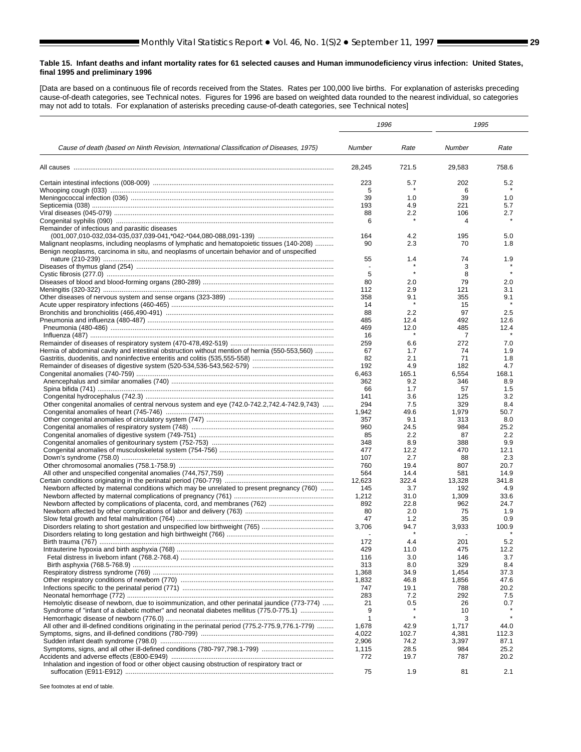#### <span id="page-28-0"></span>**Table 15. Infant deaths and infant mortality rates for 61 selected causes and Human immunodeficiency virus infection: United States, final 1995 and preliminary 1996**

[Data are based on a continuous file of records received from the States. Rates per 100,000 live births. For explanation of asterisks preceding cause-of-death categories, see Technical notes. Figures for 1996 are based on weighted d[ata rounded to the neare](#page-34-0)st individual, so categories may not add to totals. For explanation of asterisks preceding cause-of-death categories, see Technical notes]

|                                                                                                  | 1996         |              | 1995         |              |
|--------------------------------------------------------------------------------------------------|--------------|--------------|--------------|--------------|
| Cause of death (based on Ninth Revision, International Classification of Diseases, 1975)         | Number       | Rate         | Number       | Rate         |
|                                                                                                  | 28,245       | 721.5        | 29.583       | 758.6        |
|                                                                                                  | 223          | 5.7          | 202          | 5.2          |
|                                                                                                  | 5            |              | 6            |              |
|                                                                                                  | 39           | 1.0          | 39           | 1.0          |
|                                                                                                  | 193          | 4.9          | 221          | 5.7          |
|                                                                                                  | 88           | $2.2\,$      | 106          | 2.7          |
|                                                                                                  | 6            |              | 4            |              |
| Remainder of infectious and parasitic diseases                                                   | 164          |              |              | 5.0          |
| Malignant neoplasms, including neoplasms of lymphatic and hematopoietic tissues (140-208)        | 90           | 4.2<br>2.3   | 195<br>70    | 1.8          |
| Benign neoplasms, carcinoma in situ, and neoplasms of uncertain behavior and of unspecified      |              |              |              |              |
|                                                                                                  | 55           | 1.4          | 74           | 1.9          |
|                                                                                                  |              |              | 3            |              |
|                                                                                                  | 5            |              | 8            |              |
|                                                                                                  | 80           | 2.0          | 79           | 2.0          |
|                                                                                                  | 112          | 2.9          | 121          | 3.1          |
|                                                                                                  | 358          | 9.1          | 355          | 9.1          |
|                                                                                                  | 14           |              | 15           |              |
|                                                                                                  | 88           | 2.2          | 97           | 2.5          |
|                                                                                                  | 485<br>469   | 12.4<br>12.0 | 492<br>485   | 12.6<br>12.4 |
|                                                                                                  | 16           |              | 7            |              |
|                                                                                                  | 259          | 6.6          | 272          | 7.0          |
| Hernia of abdominal cavity and intestinal obstruction without mention of hernia (550-553,560)    | 67           | 1.7          | 74           | 1.9          |
|                                                                                                  | 82           | 2.1          | 71           | 1.8          |
|                                                                                                  | 192          | 4.9          | 182          | 4.7          |
|                                                                                                  | 6,463        | 165.1        | 6,554        | 168.1        |
|                                                                                                  | 362          | 9.2          | 346          | 8.9          |
|                                                                                                  | 66           | 1.7          | 57           | 1.5          |
|                                                                                                  | 141          | 3.6          | 125          | 3.2          |
| Other congenital anomalies of central nervous system and eye (742.0-742.2,742.4-742.9,743)       | 294          | 7.5          | 329          | 8.4          |
|                                                                                                  | 1,942<br>357 | 49.6<br>9.1  | 1,979<br>313 | 50.7<br>8.0  |
|                                                                                                  | 960          | 24.5         | 984          | 25.2         |
|                                                                                                  | 85           | 2.2          | 87           | 2.2          |
|                                                                                                  | 348          | 8.9          | 388          | 9.9          |
|                                                                                                  | 477          | 12.2         | 470          | 12.1         |
|                                                                                                  | 107          | 2.7          | 88           | 2.3          |
|                                                                                                  | 760          | 19.4         | 807          | 20.7         |
|                                                                                                  | 564          | 14.4         | 581          | 14.9         |
|                                                                                                  | 12,623       | 322.4        | 13,328       | 341.8        |
| Newborn affected by maternal conditions which may be unrelated to present pregnancy (760)        | 145          | 3.7          | 192          | 4.9          |
|                                                                                                  | 1,212<br>892 | 31.0<br>22.8 | 1,309<br>962 | 33.6<br>24.7 |
|                                                                                                  | 80           | 2.0          | 75           | 1.9          |
|                                                                                                  | 47           | 1.2          | 35           | 0.9          |
| Disorders relating to short gestation and unspecified low birthweight (765)                      | 3,706        | 94.7         | 3,933        | 100.9        |
|                                                                                                  |              |              |              |              |
| Birth trauma (767)                                                                               | 172          | 4.4          | 201          | 5.2          |
|                                                                                                  | 429          | 11.0         | 475          | 12.2         |
|                                                                                                  | 116          | 3.0          | 146          | 3.7          |
|                                                                                                  | 313          | 8.0          | 329          | 8.4          |
|                                                                                                  | 1,368        | 34.9         | 1,454        | 37.3         |
|                                                                                                  | 1,832        | 46.8         | 1,856        | 47.6         |
|                                                                                                  | 747<br>283   | 19.1<br>7.2  | 788<br>292   | 20.2<br>7.5  |
| Hemolytic disease of newborn, due to isoimmunization, and other perinatal jaundice (773-774)     | 21           | 0.5          | 26           | 0.7          |
| Syndrome of "infant of a diabetic mother" and neonatal diabetes mellitus (775.0-775.1)           | 9            |              | 10           |              |
|                                                                                                  | 1            |              | 3            |              |
| All other and ill-defined conditions originating in the perinatal period (775.2-775.9,776.1-779) | 1,678        | 42.9         | 1,717        | 44.0         |
|                                                                                                  | 4,022        | 102.7        | 4,381        | 112.3        |
|                                                                                                  | 2,906        | 74.2         | 3,397        | 87.1         |
|                                                                                                  | 1,115        | 28.5         | 984          | 25.2         |
|                                                                                                  | 772          | 19.7         | 787          | 20.2         |
| Inhalation and ingestion of food or other object causing obstruction of respiratory tract or     |              |              |              |              |
|                                                                                                  | 75           | 1.9          | 81           | 2.1          |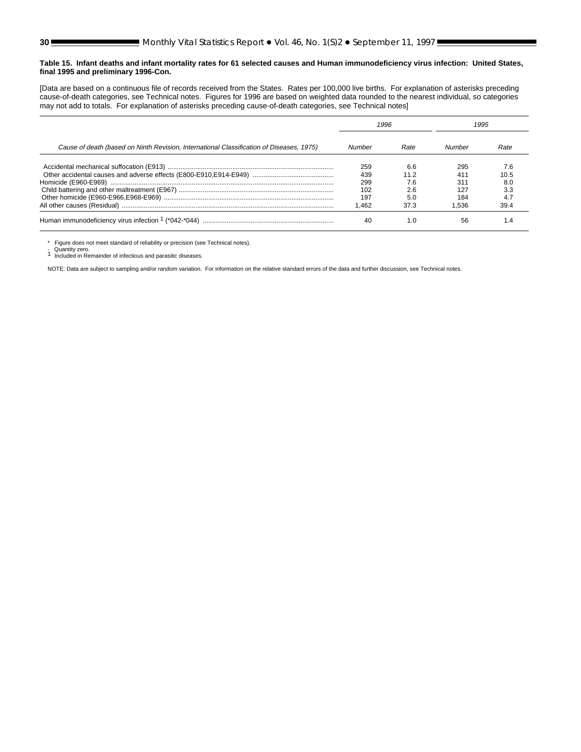#### **Table 15. Infant deaths and infant mortality rates for 61 selected causes and Human immunodeficiency virus infection: United States, final 1995 and preliminary 1996-Con.**

[Data are based on a continuous file of records received from the States. Rates per 100,000 live births. For explanation of asterisks preceding cause-of-death categories, see Technical notes. Figures for 1996 are based on weighted data rounded to the nearest individual, so categories may not add to totals. For explanation of asterisks preceding cause-of-death categories, [see Technical notes\]](#page-34-0)

| Cause of death (based on Ninth Revision, International Classification of Diseases, 1975) | 1996   |      | 1995   |      |
|------------------------------------------------------------------------------------------|--------|------|--------|------|
|                                                                                          | Number | Rate | Number | Rate |
|                                                                                          | 259    | 6.6  | 295    | 7.6  |
|                                                                                          | 439    | 11.2 | 411    | 10.5 |
|                                                                                          | 299    | 7.6  | 31٬    | 8.0  |
|                                                                                          | 102    | 2.6  |        | 3.3  |
|                                                                                          | 197    | 5.0  | 184    | 4.7  |
|                                                                                          | .462   | 37.3 | 1.536  | 39.4 |
|                                                                                          | 40     | 1.0  | 56     | .4   |

\* Figure does not meet standard of reliability or precision ([see Technical notes\).](#page-34-0)

- Quantity zero.<br>1 Included in Remainder of infectious and parasitic diseases.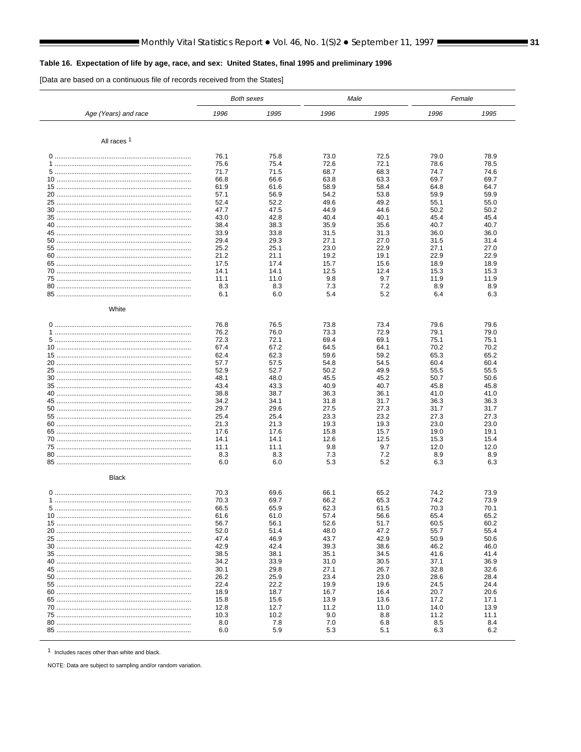# <span id="page-30-0"></span>Table 16. Expectation of life by age, race, and sex: United States, final 1995 and preliminary 1996

[Data are based on a continuous file of records received from the States]

 $\overline{a}$ 

|                        |              | <b>Both sexes</b> | Male         |              | Female       |              |
|------------------------|--------------|-------------------|--------------|--------------|--------------|--------------|
| Age (Years) and race   | 1996         | 1995              | 1996         | 1995         | 1996         | 1995         |
|                        |              |                   |              |              |              |              |
| All races <sup>1</sup> |              |                   |              |              |              |              |
|                        | 76.1         | 75.8              | 73.0         | 72.5         | 79.0         | 78.9         |
|                        | 75.6         | 75.4              | 72.6         | 72.1         | 78.6         | 78.5         |
|                        | 71.7         | 71.5              | 68.7         | 68.3         | 74.7         | 74.6         |
|                        | 66.8         | 66.6              | 63.8         | 63.3         | 69.7         | 69.7         |
|                        | 61.9<br>57.1 | 61.6<br>56.9      | 58.9<br>54.2 | 58.4<br>53.8 | 64.8<br>59.9 | 64.7<br>59.9 |
|                        | 52.4         | 52.2              | 49.6         | 49.2         | 55.1         | 55.0         |
|                        | 47.7         | 47.5              | 44.9         | 44.6         | 50.2         | 50.2         |
|                        | 43.0         | 42.8              | 40.4         | 40.1         | 45.4         | 45.4         |
|                        | 38.4         | 38.3              | 35.9         | 35.6         | 40.7         | 40.7         |
|                        | 33.9         | 33.8              | 31.5         | 31.3         | 36.0         | 36.0         |
|                        | 29.4         | 29.3              | 27.1         | 27.0         | 31.5         | 31.4         |
|                        | 25.2         | 25.1              | 23.0         | 22.9         | 27.1         | 27.0         |
|                        | 21.2         | 21.1              | 19.2         | 19.1         | 22.9         | 22.9         |
|                        | 17.5         | 17.4              | 15.7         | 15.6         | 18.9         | 18.9         |
|                        | 14.1<br>11.1 | 14.1<br>11.0      | 12.5<br>9.8  | 12.4<br>9.7  | 15.3<br>11.9 | 15.3<br>11.9 |
|                        | 8.3          | 8.3               | 7.3          | 7.2          | 8.9          | 8.9          |
|                        | 6.1          | 6.0               | 5.4          | 5.2          | 6.4          | 6.3          |
|                        |              |                   |              |              |              |              |
| White                  |              |                   |              |              |              |              |
|                        | 76.8         | 76.5              | 73.8         | 73.4         | 79.6         | 79.6         |
|                        | 76.2         | 76.0              | 73.3         | 72.9         | 79.1         | 79.0         |
|                        | 72.3         | 72.1              | 69.4         | 69.1         | 75.1         | 75.1         |
|                        | 67.4         | 67.2              | 64.5         | 64.1         | 70.2         | 70.2         |
|                        | 62.4         | 62.3              | 59.6         | 59.2         | 65.3         | 65.2         |
|                        | 57.7         | 57.5              | 54.8         | 54.5         | 60.4         | 60.4         |
|                        | 52.9         | 52.7              | 50.2         | 49.9         | 55.5         | 55.5         |
|                        | 48.1<br>43.4 | 48.0              | 45.5<br>40.9 | 45.2<br>40.7 | 50.7<br>45.8 | 50.6<br>45.8 |
|                        | 38.8         | 43.3<br>38.7      | 36.3         | 36.1         | 41.0         | 41.0         |
|                        | 34.2         | 34.1              | 31.8         | 31.7         | 36.3         | 36.3         |
|                        | 29.7         | 29.6              | 27.5         | 27.3         | 31.7         | 31.7         |
|                        | 25.4         | 25.4              | 23.3         | 23.2         | 27.3         | 27.3         |
|                        | 21.3         | 21.3              | 19.3         | 19.3         | 23.0         | 23.0         |
|                        | 17.6         | 17.6              | 15.8         | 15.7         | 19.0         | 19.1         |
|                        | 14.1         | 14.1              | 12.6         | 12.5         | 15.3         | 15.4         |
|                        | 11.1         | 11.1              | 9.8          | 9.7<br>7.2   | 12.0<br>8.9  | 12.0         |
|                        | 8.3<br>6.0   | 8.3<br>6.0        | 7.3<br>5.3   | 5.2          | 6.3          | 8.9<br>6.3   |
|                        |              |                   |              |              |              |              |
| Black                  |              |                   |              |              |              |              |
|                        | 70.3         | 69.6              | 66.1         | 65.2         | 74.2         | 73.9         |
|                        | 70.3         | 69.7              | 66.2         | 65.3         | 74.2         | 73.9         |
|                        | 66.5         | 65.9              | 62.3         | 61.5         | 70.3         | 70.1         |
| 10                     | 61.6         | 61.0              | 57.4         | 56.6         | 65.4         | 65.2         |
|                        | 56.7         | 56.1              | 52.6         | 51.7         | 60.5         | 60.2         |
|                        | 52.0         | 51.4              | 48.0         | 47.2         | 55.7         | 55.4         |
|                        | 47.4         | 46.9              | 43.7         | 42.9         | 50.9         | 50.6         |
|                        | 42.9<br>38.5 | 42.4<br>38.1      | 39.3<br>35.1 | 38.6<br>34.5 | 46.2<br>41.6 | 46.0<br>41.4 |
|                        | 34.2         | 33.9              | 31.0         | 30.5         | 37.1         | 36.9         |
|                        | 30.1         | 29.8              | 27.1         | 26.7         | 32.8         | 32.6         |
|                        | 26.2         | 25.9              | 23.4         | 23.0         | 28.6         | 28.4         |
|                        | 22.4         | 22.2              | 19.9         | 19.6         | 24.5         | 24.4         |
|                        | 18.9         | 18.7              | 16.7         | 16.4         | 20.7         | 20.6         |
|                        | 15.8         | 15.6              | 13.9         | 13.6         | 17.2         | 17.1         |
|                        | 12.8         | 12.7              | 11.2         | 11.0         | 14.0         | 13.9         |
|                        | 10.3         | 10.2              | 9.0          | 8.8          | 11.2         | 11.1         |
|                        | 8.0          | 7.8               | 7.0<br>5.3   | 6.8<br>5.1   | 8.5<br>6.3   | 8.4          |
|                        | 6.0          | 5.9               |              |              |              | 6.2          |

1 Includes races other than white and black.

NOTE: Data are subject to sampling and/or random variation.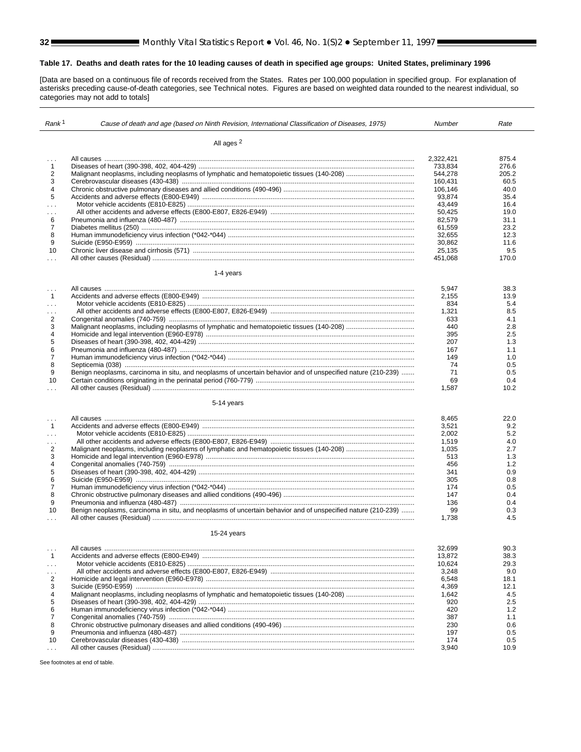# <span id="page-31-0"></span>**Table 17. Deaths and death rates for the 10 leading causes of death in specified age groups: United States, preliminary 1996**

[Data are based on a continuous file of records r[eceived from the States](#page-34-0). Rates per 100,000 population in specified group. For explanation of asterisks preceding cause-of-death categories, see Technical notes. Figures are based on weighted data rounded to the nearest individual, so categories may not add to totals]

| Rank <sup>1</sup>    | Cause of death and age (based on Ninth Revision, International Classification of Diseases, 1975)             | Number    | Rate         |
|----------------------|--------------------------------------------------------------------------------------------------------------|-----------|--------------|
|                      | All ages 2                                                                                                   |           |              |
|                      |                                                                                                              | 2.322.421 | 875.4        |
| $\cdots$             |                                                                                                              |           |              |
| 1                    |                                                                                                              | 733,834   | 276.6        |
| 2<br>3               |                                                                                                              | 544,278   | 205.2        |
|                      |                                                                                                              | 160,431   | 60.5         |
| 4                    |                                                                                                              | 106,146   | 40.0         |
| 5                    |                                                                                                              | 93,874    | 35.4         |
| $\cdots$             |                                                                                                              | 43,449    | 16.4         |
| $\cdots$             |                                                                                                              | 50,425    | 19.0         |
| 6<br>$\overline{7}$  |                                                                                                              | 82,579    | 31.1         |
|                      |                                                                                                              | 61,559    | 23.2         |
| 8<br>9               |                                                                                                              | 32,655    | 12.3<br>11.6 |
| 10                   |                                                                                                              | 30,862    |              |
|                      |                                                                                                              | 25,135    | 9.5<br>170.0 |
| $\cdots$             |                                                                                                              | 451,068   |              |
|                      | 1-4 years                                                                                                    |           |              |
| $\cdots$             |                                                                                                              | 5,947     | 38.3         |
| $\mathbf{1}$         |                                                                                                              | 2,155     | 13.9         |
| $\ldots$             |                                                                                                              | 834       | 5.4          |
| $\cdots$             |                                                                                                              | 1,321     | 8.5          |
| 2                    |                                                                                                              | 633       | 4.1          |
| 3                    |                                                                                                              | 440       | 2.8          |
| 4                    |                                                                                                              | 395       | 2.5          |
| 5                    |                                                                                                              | 207       | 1.3          |
| 6                    |                                                                                                              | 167       | 1.1          |
| 7                    |                                                                                                              | 149       | 1.0          |
| 8                    |                                                                                                              | 74        | 0.5          |
| 9                    | Benign neoplasms, carcinoma in situ, and neoplasms of uncertain behavior and of unspecified nature (210-239) | 71        | 0.5          |
| 10                   |                                                                                                              | 69        | 0.4          |
| $\cdots$             |                                                                                                              | 1,587     | 10.2         |
|                      | 5-14 years                                                                                                   |           |              |
| $\sim$               |                                                                                                              | 8,465     | 22.0         |
| $\mathbf{1}$         |                                                                                                              | 3,521     | 9.2          |
| $\cdots$             |                                                                                                              | 2,002     | 5.2          |
| $\cdots$             |                                                                                                              | 1,519     | 4.0          |
| $\overline{c}$       |                                                                                                              | 1,035     | 2.7          |
| 3                    |                                                                                                              | 513       | 1.3          |
| 4                    |                                                                                                              | 456       | 1.2          |
| 5                    |                                                                                                              | 341       | 0.9          |
| 6                    |                                                                                                              | 305       | 0.8          |
| 7                    |                                                                                                              | 174       | 0.5          |
| 8                    |                                                                                                              | 147       | 0.4          |
| 9                    |                                                                                                              | 136       | 0.4          |
| 10                   | Benign neoplasms, carcinoma in situ, and neoplasms of uncertain behavior and of unspecified nature (210-239) | 99        | 0.3          |
| $\sim$ $\sim$        |                                                                                                              | 1,738     | 4.5          |
|                      | $15-24$ years                                                                                                |           |              |
|                      |                                                                                                              | 32,699    | 90.3         |
| $\mathbf{1}$         |                                                                                                              | 13,872    | 38.3         |
|                      |                                                                                                              | 10,624    | 29.3         |
| $\cdots$<br>$\cdots$ |                                                                                                              | 3,248     | 9.0          |
| $\overline{c}$       |                                                                                                              | 6,548     | 18.1         |
| 3                    |                                                                                                              | 4,369     | 12.1         |
| 4                    |                                                                                                              | 1,642     | 4.5          |
| 5                    |                                                                                                              | 920       | 2.5          |
| 6                    |                                                                                                              | 420       | 1.2          |
| 7                    |                                                                                                              | 387       | 1.1          |
| 8                    |                                                                                                              | 230       | 0.6          |
| 9                    |                                                                                                              | 197       | 0.5          |
| 10                   |                                                                                                              | 174       | 0.5          |
| $\sim$               |                                                                                                              | 3,940     | 10.9         |
|                      |                                                                                                              |           |              |

See footnotes at end of table.

 $\overline{a}$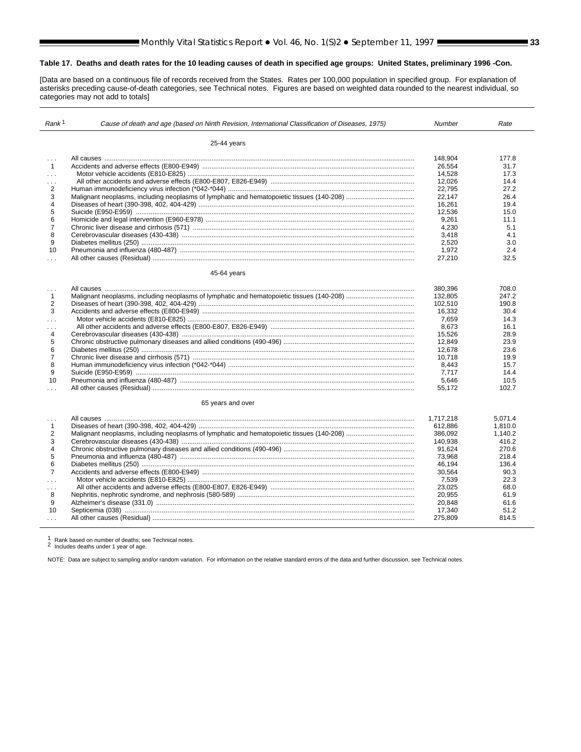# **Table 17. Deaths and death rates for the 10 leading causes of death in specified age groups: United States, preliminary 1996 -Con.**

[Data are based on a continuous file of records re[ceived from the States.](#page-34-0) Rates per 100,000 population in specified group. For explanation of asterisks preceding cause-of-death categories, see Technical notes. Figures are based on weighted data rounded to the nearest individual, so categories may not add to totals]

| Rank <sup>1</sup>    | Cause of death and age (based on Ninth Revision, International Classification of Diseases, 1975) | Number    | Rate    |
|----------------------|--------------------------------------------------------------------------------------------------|-----------|---------|
|                      | 25-44 years                                                                                      |           |         |
| $\sim$ $\sim$ $\sim$ |                                                                                                  | 148.904   | 177.8   |
| $\mathbf{1}$         |                                                                                                  | 26.554    | 31.7    |
| $\sim 100$           |                                                                                                  | 14,528    | 17.3    |
| $\sim 100$           |                                                                                                  | 12.026    | 14.4    |
| $\overline{2}$       |                                                                                                  | 22.795    | 27.2    |
| 3                    |                                                                                                  | 22,147    | 26.4    |
| 4                    |                                                                                                  | 16,261    | 19.4    |
| 5                    |                                                                                                  | 12.536    | 15.0    |
| 6                    |                                                                                                  | 9,261     | 11.1    |
| $\overline{7}$       |                                                                                                  | 4,230     | 5.1     |
| 8                    |                                                                                                  | 3.418     | 4.1     |
| 9                    |                                                                                                  | 2.520     | 3.0     |
| 10                   |                                                                                                  | 1,972     | 2.4     |
| $\ldots$             |                                                                                                  | 27,210    | 32.5    |
|                      | 45-64 years                                                                                      |           |         |
| $\sim$ $\sim$ $\sim$ |                                                                                                  | 380,396   | 708.0   |
| $\mathbf{1}$         |                                                                                                  | 132,805   | 247.2   |
| $\overline{2}$       |                                                                                                  | 102,510   | 190.8   |
| 3                    |                                                                                                  | 16.332    | 30.4    |
| $\mathbf{1}$         |                                                                                                  | 7.659     | 14.3    |
| .                    |                                                                                                  | 8,673     | 16.1    |
| 4                    |                                                                                                  | 15.526    | 28.9    |
| 5                    |                                                                                                  | 12,849    | 23.9    |
| 6                    |                                                                                                  | 12.678    | 23.6    |
| $\overline{7}$       |                                                                                                  | 10,718    | 19.9    |
| 8                    |                                                                                                  | 8.443     | 15.7    |
| 9                    |                                                                                                  | 7,717     | 14.4    |
| 10                   |                                                                                                  | 5,646     | 10.5    |
| $\sim$ $\sim$        |                                                                                                  | 55,172    | 102.7   |
|                      | 65 years and over                                                                                |           |         |
| $\sim$ $\sim$ $\sim$ |                                                                                                  | 1.717.218 | 5.071.4 |
| $\mathbf{1}$         |                                                                                                  | 612,886   | 1,810.0 |
| $\overline{2}$       |                                                                                                  | 386.092   | 1,140.2 |
| 3                    |                                                                                                  | 140,938   | 416.2   |
| 4                    |                                                                                                  | 91.624    | 270.6   |
| 5                    |                                                                                                  | 73,968    | 218.4   |
| 6                    |                                                                                                  | 46.194    | 136.4   |
| $\overline{7}$       |                                                                                                  | 30.564    | 90.3    |
| $\mathbf{1}$         |                                                                                                  | 7,539     | 22.3    |
| $\sim 10$            |                                                                                                  | 23,025    | 68.0    |
| 8                    |                                                                                                  | 20,955    | 61.9    |
| 9                    |                                                                                                  | 20,848    | 61.6    |
| 10                   |                                                                                                  | 17,340    | 51.2    |
| $\cdots$             |                                                                                                  | 275,809   | 814.5   |
|                      |                                                                                                  |           |         |

<sup>1</sup> Rank based on number of deaths; se[e Technical notes.](#page-34-0) <sup>2</sup> Includes deaths under 1 year of age.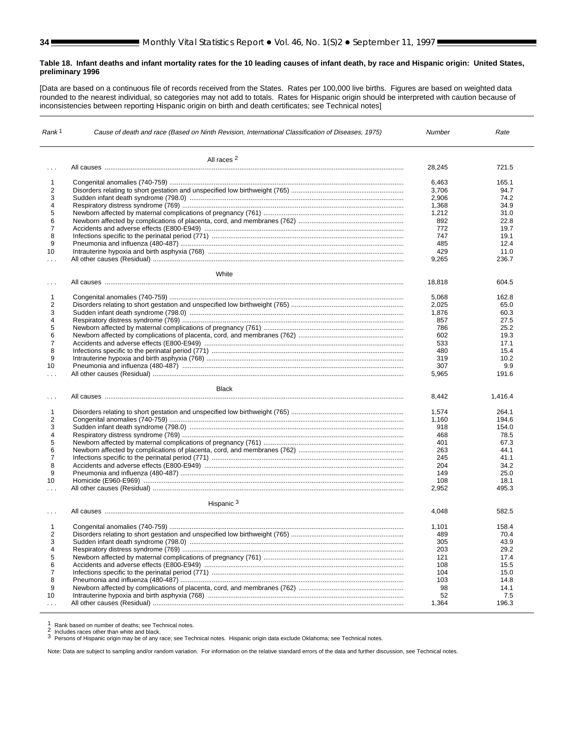#### <span id="page-33-0"></span>**Table 18. Infant deaths and infant mortality rates for the 10 leading causes of infant death, by race and Hispanic origin: United States, preliminary 1996**

[Data are based on a continuous file of records received from the States. Rates per 100,000 live births. Figures are based on weighted data rounded to the nearest individual, so categories may not add to totals. Rates for Hispanic origin should be interpreted with caution because of inconsistencies between reporting Hispanic origin on birth and death certificates; se[e Technical notes\]](#page-34-0)

| Rank <sup>1</sup>       | Cause of death and race (Based on Ninth Revision, International Classification of Diseases, 1975) | Number     | Rate         |
|-------------------------|---------------------------------------------------------------------------------------------------|------------|--------------|
|                         | All races 2                                                                                       |            |              |
| $\ldots$                |                                                                                                   | 28.245     | 721.5        |
| $\mathbf{1}$            |                                                                                                   | 6,463      | 165.1        |
| $\overline{2}$          |                                                                                                   | 3,706      | 94.7         |
| 3                       |                                                                                                   | 2,906      | 74.2         |
| $\overline{4}$          |                                                                                                   | 1,368      | 34.9         |
| 5                       |                                                                                                   | 1,212      | 31.0         |
| 6                       |                                                                                                   | 892        | 22.8         |
| $\overline{7}$          |                                                                                                   | 772        | 19.7         |
| 8                       |                                                                                                   | 747        | 19.1         |
| 9                       |                                                                                                   | 485        | 12.4         |
| 10 <sup>1</sup>         |                                                                                                   | 429        | 11.0         |
| $\cdots$                |                                                                                                   | 9,265      | 236.7        |
|                         |                                                                                                   |            |              |
|                         | White                                                                                             |            |              |
| $\cdots$                |                                                                                                   | 18,818     | 604.5        |
| 1                       |                                                                                                   | 5,068      | 162.8        |
| $\overline{c}$          |                                                                                                   | 2.025      | 65.0         |
| 3                       |                                                                                                   | 1,876      | 60.3         |
| 4                       |                                                                                                   |            |              |
| 5                       |                                                                                                   | 857<br>786 | 27.5<br>25.2 |
| 6                       |                                                                                                   | 602        | 19.3         |
| $\overline{7}$          |                                                                                                   | 533        | 17.1         |
| 8                       |                                                                                                   | 480        |              |
| 9                       |                                                                                                   | 319        | 15.4<br>10.2 |
| 10                      |                                                                                                   | 307        | 9.9          |
| $\ddotsc$               |                                                                                                   | 5,965      | 191.6        |
|                         |                                                                                                   |            |              |
|                         | <b>Black</b>                                                                                      |            |              |
| .                       |                                                                                                   | 8,442      | 1,416.4      |
| $\mathbf{1}$            |                                                                                                   | 1,574      | 264.1        |
| $\overline{2}$          |                                                                                                   | 1,160      | 194.6        |
| 3                       |                                                                                                   | 918        | 154.0        |
| $\overline{\mathbf{4}}$ |                                                                                                   | 468        | 78.5         |
| 5                       |                                                                                                   | 401        | 67.3         |
| 6                       |                                                                                                   | 263        | 44.1         |
| $\overline{7}$          |                                                                                                   | 245        | 41.1         |
| 8                       |                                                                                                   | 204        | 34.2         |
| 9                       |                                                                                                   | 149        | 25.0         |
| 10                      |                                                                                                   | 108        | 18.1         |
| $\cdots$                |                                                                                                   | 2,952      | 495.3        |
|                         |                                                                                                   |            |              |
| .                       | Hispanic <sup>3</sup>                                                                             | 4.048      | 582.5        |
|                         |                                                                                                   |            |              |
| $\mathbf{1}$            |                                                                                                   | 1,101      | 158.4        |
| $\overline{2}$          |                                                                                                   | 489        | 70.4         |
| 3                       |                                                                                                   | 305        | 43.9         |
| $\overline{\mathbf{4}}$ |                                                                                                   | 203        | 29.2         |
| 5                       |                                                                                                   | 121        | 17.4         |
| 6                       |                                                                                                   | 108        | 15.5         |
| $\overline{7}$          |                                                                                                   | 104        | 15.0         |
| 8                       |                                                                                                   | 103        | 14.8         |
| 9                       |                                                                                                   | 98         | 14.1         |
| 10                      |                                                                                                   | 52         | 7.5          |
|                         |                                                                                                   | 1,364      | 196.3        |
|                         |                                                                                                   |            |              |

1 Rank based on number of deaths; s[ee Technical notes.](#page-34-0)<br>2 Includes races other than white and black.<br>3 Persons of Hispanic origin may be of any race; see Technical notes. Hispanic origin data exclude Oklahoma; see Technica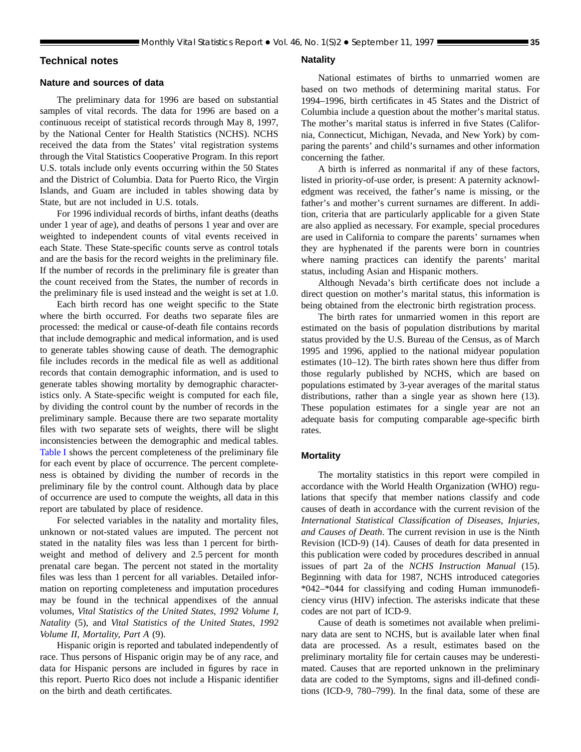# <span id="page-34-0"></span>**Technical notes**

# **Nature and sources of data**

The preliminary data for 1996 are based on substantial samples of vital records. The data for 1996 are based on a continuous receipt of statistical records through May 8, 1997, by the National Center for Health Statistics (NCHS). NCHS received the data from the States' vital registration systems through the Vital Statistics Cooperative Program. In this report U.S. totals include only events occurring within the 50 States and the District of Columbia. Data for Puerto Rico, the Virgin Islands, and Guam are included in tables showing data by State, but are not included in U.S. totals.

For 1996 individual records of births, infant deaths (deaths under 1 year of age), and deaths of persons 1 year and over are weighted to independent counts of vital events received in each State. These State-specific counts serve as control totals and are the basis for the record weights in the preliminary file. If the number of records in the preliminary file is greater than the count received from the States, the number of records in the preliminary file is used instead and the weight is set at 1.0.

Each birth record has one weight specific to the State where the birth occurred. For deaths two separate files are processed: the medical or cause-of-death file contains records that include demographic and medical information, and is used to generate tables showing cause of death. The demographic file includes records in the medical file as well as additional records that contain demographic information, and is used to generate tables showing mortality by demographic characteristics only. A State-specific weight is computed for each file, by dividing the control count by the number of records in the preliminary sample. Because there are two separate mortality files with two separate sets of weights, there will be slight inconsistencies between the demographic and medical tables. [Table I](#page-35-0) shows the percent completeness of the preliminary file for each event by place of occurrence. The percent completeness is obtained by dividing the number of records in the preliminary file by the control count. Although data by place of occurrence are used to compute the weights, all data in this report are tabulated by place of residence.

For selected variables in the natality and mortality files, unknown or not-stated values are imputed. The percent not stated in the natality files was less than 1 percent for birthweight and method of delivery and 2.5 percent for month prenatal care began. The percent not stated in the mortality files was less than 1 percent for all variables. Detailed information on reporting completeness and imputation procedures may be found in the technical appendixes of the annual volumes, *Vital Statistics of the United States, 1992 Volume I, Natality* (5), and *Vital Statistics of the United States, 1992 Volume II, Mortality, Part A* (9).

Hispanic origin is reported and tabulated independently of race. Thus persons of Hispanic origin may be of any race, and data for Hispanic persons are included in figures by race in this report. Puerto Rico does not include a Hispanic identifier on the birth and death certificates.

# **Natality**

National estimates of births to unmarried women are based on two methods of determining marital status. For 1994–1996, birth certificates in 45 States and the District of Columbia include a question about the mother's marital status. The mother's marital status is inferred in five States (California, Connecticut, Michigan, Nevada, and New York) by comparing the parents' and child's surnames and other information concerning the father.

A birth is inferred as nonmarital if any of these factors, listed in priority-of-use order, is present: A paternity acknowledgment was received, the father's name is missing, or the father's and mother's current surnames are different. In addition, criteria that are particularly applicable for a given State are also applied as necessary. For example, special procedures are used in California to compare the parents' surnames when they are hyphenated if the parents were born in countries where naming practices can identify the parents' marital status, including Asian and Hispanic mothers.

Although Nevada's birth certificate does not include a direct question on mother's marital status, this information is being obtained from the electronic birth registration process.

The birth rates for unmarried women in this report are estimated on the basis of population distributions by marital status provided by the U.S. Bureau of the Census, as of March 1995 and 1996, applied to the national midyear population estimates (10–12). The birth rates shown here thus differ from those regularly published by NCHS, which are based on populations estimated by 3-year averages of the marital status distributions, rather than a single year as shown here (13). These population estimates for a single year are not an adequate basis for computing comparable age-specific birth rates.

# **Mortality**

The mortality statistics in this report were compiled in accordance with the World Health Organization (WHO) regulations that specify that member nations classify and code causes of death in accordance with the current revision of the *International Statistical Classification of Diseases, Injuries, and Causes of Death*. The current revision in use is the Ninth Revision (ICD-9) (14). Causes of death for data presented in this publication were coded by procedures described in annual issues of part 2a of the *NCHS Instruction Manual* (15). Beginning with data for 1987, NCHS introduced categories \*042–\*044 for classifying and coding Human immunodeficiency virus (HIV) infection. The asterisks indicate that these codes are not part of ICD-9.

Cause of death is sometimes not available when preliminary data are sent to NCHS, but is available later when final data are processed. As a result, estimates based on the preliminary mortality file for certain causes may be underestimated. Causes that are reported unknown in the preliminary data are coded to the Symptoms, signs and ill-defined conditions (ICD-9, 780–799). In the final data, some of these are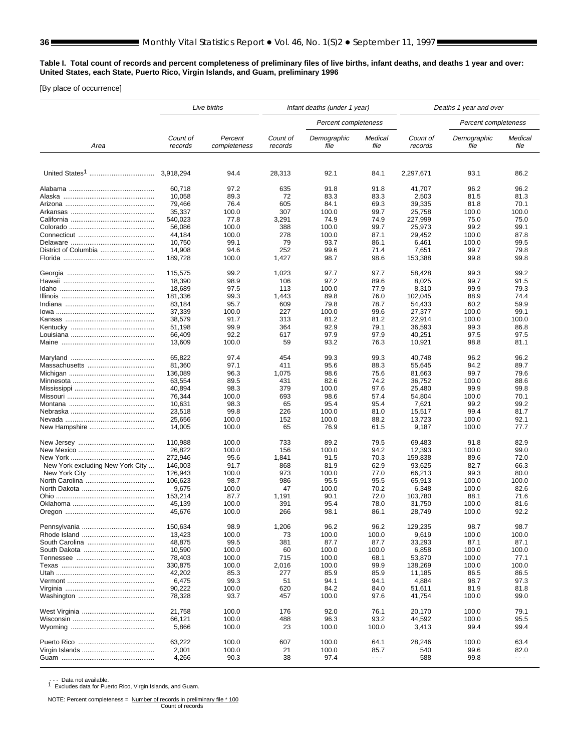#### <span id="page-35-0"></span>**Table I. Total count of records and percent completeness of preliminary files of live births, infant deaths, and deaths 1 year and over: United States, each State, Puerto Rico, Virgin Islands, and Guam, preliminary 1996**

[By place of occurrence]

|                                  | Live births         |                         | Infant deaths (under 1 year) |                      |                      | Deaths 1 year and over |                      |                 |
|----------------------------------|---------------------|-------------------------|------------------------------|----------------------|----------------------|------------------------|----------------------|-----------------|
|                                  |                     |                         |                              | Percent completeness |                      |                        | Percent completeness |                 |
| Area                             | Count of<br>records | Percent<br>completeness | Count of<br>records          | Demographic<br>file  | Medical<br>file      | Count of<br>records    | Demographic<br>file  | Medical<br>file |
|                                  |                     |                         |                              |                      |                      |                        |                      |                 |
|                                  | 3,918,294           | 94.4                    | 28,313                       | 92.1                 | 84.1                 | 2,297,671              | 93.1                 | 86.2            |
|                                  | 60,718              | 97.2                    | 635                          | 91.8                 | 91.8                 | 41,707                 | 96.2                 | 96.2            |
|                                  | 10.058              | 89.3                    | 72                           | 83.3                 | 83.3                 | 2,503                  | 81.5                 | 81.3            |
|                                  | 79,466              | 76.4                    | 605                          | 84.1                 | 69.3                 | 39,335                 | 81.8                 | 70.1            |
|                                  | 35,337              | 100.0                   | 307                          | 100.0                | 99.7                 | 25,758                 | 100.0                | 100.0           |
|                                  | 540.023             | 77.8                    | 3,291                        | 74.9                 | 74.9                 | 227,999                | 75.0                 | 75.0            |
|                                  | 56,086              | 100.0                   | 388                          | 100.0                | 99.7                 | 25,973                 | 99.2                 | 99.1            |
|                                  | 44,184              | 100.0                   | 278                          | 100.0                | 87.1                 | 29,452                 | 100.0                | 87.8            |
|                                  | 10,750              | 99.1                    | 79                           | 93.7                 | 86.1                 | 6,461                  | 100.0                | 99.5            |
|                                  | 14,908              | 94.6                    | 252                          | 99.6                 | 71.4                 | 7,651                  | 99.7                 | 79.8            |
|                                  | 189,728             | 100.0                   | 1,427                        | 98.7                 | 98.6                 | 153,388                | 99.8                 | 99.8            |
|                                  | 115,575             | 99.2                    | 1,023                        | 97.7                 | 97.7                 | 58,428                 | 99.3                 | 99.2            |
|                                  | 18,390              | 98.9                    | 106                          | 97.2                 | 89.6                 | 8,025                  | 99.7                 | 91.5            |
|                                  | 18,689              | 97.5                    | 113                          | 100.0                | 77.9                 | 8,310                  | 99.9                 | 79.3            |
|                                  | 181,336             | 99.3                    | 1,443                        | 89.8                 | 76.0                 | 102,045                | 88.9                 | 74.4            |
|                                  | 83,184              | 95.7                    | 609                          | 79.8                 | 78.7                 | 54,433                 | 60.2                 | 59.9            |
|                                  | 37,339              | 100.0                   | 227                          | 100.0                | 99.6                 | 27,377                 | 100.0                | 99.1            |
|                                  | 38,579              | 91.7                    | 313                          | 81.2                 | 81.2                 | 22,914                 | 100.0                | 100.0           |
|                                  | 51,198              | 99.9                    | 364                          | 92.9                 | 79.1                 | 36,593                 | 99.3                 | 86.8            |
|                                  | 66,409              | 92.2                    | 617                          | 97.9                 | 97.9                 | 40,251                 | 97.5                 | 97.5            |
|                                  | 13,609              | 100.0                   | 59                           | 93.2                 | 76.3                 | 10,921                 | 98.8                 | 81.1            |
|                                  | 65,822              | 97.4                    | 454                          | 99.3                 | 99.3                 | 40,748                 | 96.2                 | 96.2            |
|                                  | 81,360              | 97.1                    | 411                          | 95.6                 | 88.3                 | 55,645                 | 94.2                 | 89.7            |
|                                  | 136,089             | 96.3                    | 1,075                        | 98.6                 | 75.6                 | 81,663                 | 99.7                 | 79.6            |
|                                  | 63,554              | 89.5                    | 431                          | 82.6                 | 74.2                 | 36,752                 | 100.0                | 88.6            |
|                                  | 40,894              | 98.3                    | 379                          | 100.0                | 97.6                 | 25,480                 | 99.9                 | 99.8            |
|                                  | 76,344              | 100.0                   | 693                          | 98.6                 | 57.4                 | 54,804                 | 100.0                | 70.1            |
|                                  | 10,631              | 98.3                    | 65                           | 95.4                 | 95.4                 | 7,621                  | 99.2                 | 99.2            |
|                                  | 23,518              | 99.8                    | 226                          | 100.0                | 81.0                 | 15,517                 | 99.4                 | 81.7            |
|                                  | 25,656              | 100.0                   | 152                          | 100.0                | 88.2                 | 13,723                 | 100.0                | 92.1            |
|                                  | 14,005              | 100.0                   | 65                           | 76.9                 | 61.5                 | 9,187                  | 100.0                | 77.7            |
|                                  | 110,988             | 100.0                   | 733                          | 89.2                 | 79.5                 | 69,483                 | 91.8                 | 82.9            |
|                                  | 26,822              | 100.0                   | 156                          | 100.0                | 94.2                 | 12,393                 | 100.0                | 99.0            |
|                                  | 272,946             | 95.6                    | 1,841                        | 91.5                 | 70.3                 | 159,838                | 89.6                 | 72.0            |
| New York excluding New York City | 146,003             | 91.7                    | 868                          | 81.9                 | 62.9                 | 93,625                 | 82.7                 | 66.3            |
|                                  | 126,943             | 100.0                   | 973                          | 100.0                | 77.0                 | 66,213                 | 99.3                 | 80.0            |
|                                  | 106,623             | 98.7                    | 986                          | 95.5                 | 95.5                 | 65,913                 | 100.0                | 100.0           |
|                                  | 9,675               | 100.0                   | 47                           | 100.0                | 70.2                 | 6,348                  | 100.0                | 82.6            |
|                                  | 153,214             | 87.7                    | 1,191                        | 90.1                 | 72.0                 | 103,780                | 88.1                 | 71.6            |
|                                  | 45.139              | 100.0                   | 391                          | 95.4                 | 78.0                 | 31,750                 | 100.0                | 81.6            |
|                                  | 45,676              | 100.0                   | 266                          | 98.1                 | 86.1                 | 28,749                 | 100.0                | 92.2            |
|                                  | 150,634             | 98.9                    | 1,206                        | 96.2                 | 96.2                 | 129,235                | 98.7                 | 98.7            |
|                                  | 13,423              | 100.0                   | 73                           | 100.0                | 100.0                | 9,619                  | 100.0                | 100.0           |
|                                  | 48,875              | 99.5                    | 381                          | 87.7                 | 87.7                 | 33,293                 | 87.1                 | 87.1            |
|                                  | 10,590              | 100.0                   | 60                           | 100.0                | 100.0                | 6,858                  | 100.0                | 100.0           |
|                                  | 78,403              | 100.0                   | 715                          | 100.0                | 68.1                 | 53,870                 | 100.0                | 77.1            |
|                                  | 330,875             | 100.0                   | 2,016                        | 100.0                | 99.9                 | 138,269                | 100.0                | 100.0           |
|                                  | 42,202              | 85.3                    | 277                          | 85.9                 | 85.9                 | 11,185                 | 86.5                 | 86.5            |
|                                  | 6,475               | 99.3                    | 51                           | 94.1                 | 94.1                 | 4,884                  | 98.7                 | 97.3            |
|                                  | 90,222              | 100.0                   | 620                          | 84.2                 | 84.0                 | 51,611                 | 81.9                 | 81.8            |
|                                  | 78,328              | 93.7                    | 457                          | 100.0                | 97.6                 | 41,754                 | 100.0                | 99.0            |
|                                  | 21,758              | 100.0                   | 176                          | 92.0                 | 76.1                 | 20,170                 | 100.0                | 79.1            |
|                                  | 66,121              | 100.0                   | 488                          | 96.3                 | 93.2                 | 44,592                 | 100.0                | 95.5            |
|                                  | 5,866               | 100.0                   | 23                           | 100.0                | 100.0                | 3,413                  | 99.4                 | 99.4            |
|                                  | 63,222              | 100.0                   | 607                          | 100.0                | 64.1                 | 28,246                 | 100.0                | 63.4            |
|                                  | 2,001               | 100.0                   | 21                           | 100.0                | 85.7                 | 540                    | 99.6                 | 82.0            |
|                                  | 4,266               | 90.3                    | 38                           | 97.4                 | $\sim$ $\sim$ $\sim$ | 588                    | 99.8                 | $  -$           |

- - - Data not available.<br>1 Excludes data for Puerto Rico, Virgin Islands, and Guam.

 NOTE: Percent completeness = Number of records in preliminary file \* 100 Count of records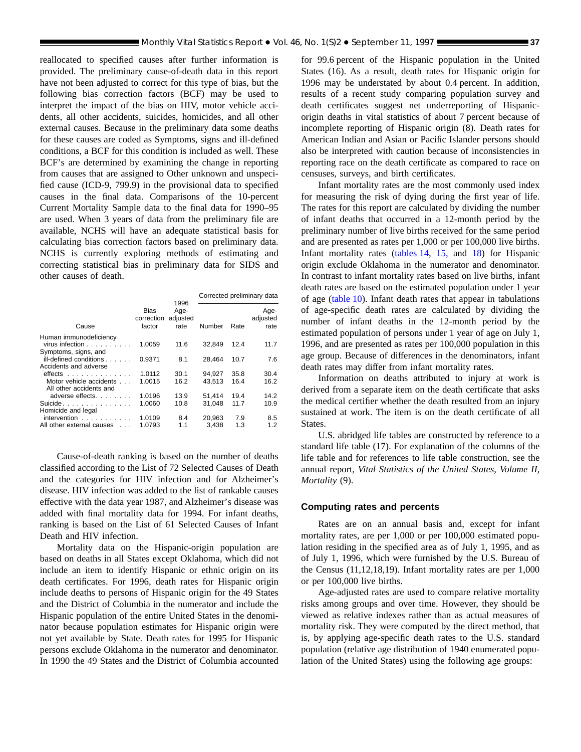<span id="page-36-0"></span>reallocated to specified causes after further information is provided. The preliminary cause-of-death data in this report have not been adjusted to correct for this type of bias, but the following bias correction factors (BCF) may be used to interpret the impact of the bias on HIV, motor vehicle accidents, all other accidents, suicides, homicides, and all other external causes. Because in the preliminary data some deaths for these causes are coded as Symptoms, signs and ill-defined conditions, a BCF for this condition is included as well. These BCF's are determined by examining the change in reporting from causes that are assigned to Other unknown and unspecified cause (ICD-9, 799.9) in the provisional data to specified causes in the final data. Comparisons of the 10-percent Current Mortality Sample data to the final data for 1990–95 are used. When 3 years of data from the preliminary file are available, NCHS will have an adequate statistical basis for calculating bias correction factors based on preliminary data. NCHS is currently exploring methods of estimating and correcting statistical bias in preliminary data for SIDS and other causes of death.

|                                                                                  |                              | 1996                     | Corrected preliminary data |              |                          |  |
|----------------------------------------------------------------------------------|------------------------------|--------------------------|----------------------------|--------------|--------------------------|--|
| Cause                                                                            | Bias<br>correction<br>factor | Age-<br>adjusted<br>rate | Number                     | Rate         | Age-<br>adjusted<br>rate |  |
| Human immunodeficiency<br>virus infection $\ldots$<br>Symptoms, signs, and       | 1.0059                       | 11.6                     | 32.849                     | 12.4         | 11.7                     |  |
| ill-defined conditions<br>Accidents and adverse                                  | 0.9371                       | 8.1                      | 28,464                     | 10.7         | 7.6                      |  |
| $\epsilon$ ffects $\ldots$<br>Motor vehicle accidents<br>All other accidents and | 1.0112<br>1.0015             | 30.1<br>16.2             | 94.927<br>43.513           | 35.8<br>16.4 | 30.4<br>16.2             |  |
| adverse effects<br>Suicide.<br>Homicide and legal                                | 1.0196<br>1.0060             | 13.9<br>10.8             | 51.414<br>31.048           | 19.4<br>11.7 | 14.2<br>10.9             |  |
| intervention $\ldots$ , $\ldots$ , $\ldots$<br>All other external causes         | 1.0109<br>1.0793             | 8.4<br>1.1               | 20.963<br>3,438            | 7.9<br>1.3   | 8.5<br>1.2               |  |

Cause-of-death ranking is based on the number of deaths classified according to the List of 72 Selected Causes of Death and the categories for HIV infection and for Alzheimer's disease. HIV infection was added to the list of rankable causes effective with the data year 1987, and Alzheimer's disease was added with final mortality data for 1994. For infant deaths, ranking is based on the List of 61 Selected Causes of Infant Death and HIV infection.

Mortality data on the Hispanic-origin population are based on deaths in all States except Oklahoma, which did not include an item to identify Hispanic or ethnic origin on its death certificates. For 1996, death rates for Hispanic origin include deaths to persons of Hispanic origin for the 49 States and the District of Columbia in the numerator and include the Hispanic population of the entire United States in the denominator because population estimates for Hispanic origin were not yet available by State. Death rates for 1995 for Hispanic persons exclude Oklahoma in the numerator and denominator. In 1990 the 49 States and the District of Columbia accounted

for 99.6 percent of the Hispanic population in the United States (16). As a result, death rates for Hispanic origin for 1996 may be understated by about 0.4 percent. In addition, results of a recent study comparing population survey and death certificates suggest net underreporting of Hispanicorigin deaths in vital statistics of about 7 percent because of incomplete reporting of Hispanic origin (8). Death rates for American Indian and Asian or Pacific Islander persons should also be interpreted with caution because of inconsistencies in reporting race on the death certificate as compared to race on censuses, surveys, and birth certificates.

Infant mortality rates are the most commonly used index for measuring the risk of dying during the first year of life. The rates for this report are calculated by dividing the number of infant deaths that occurred in a 12-month period by the preliminary number of live births received for the same period and are presented as rates per 1,000 or per 100,000 live births. Infant mortality rates [\(tables 14,](#page-27-0) [15,](#page-28-0) and [18\) f](#page-33-0)or Hispanic origin exclude Oklahoma in the numerator and denominator. In contrast to infant mortality rates based on live births, infant death rates are based on the estimated population under 1 year of age [\(table 10\).](#page-17-0) Infant death rates that appear in tabulations of age-specific death rates are calculated by dividing the number of infant deaths in the 12-month period by the estimated population of persons under 1 year of age on July 1, 1996, and are presented as rates per 100,000 population in this age group. Because of differences in the denominators, infant death rates may differ from infant mortality rates.

Information on deaths attributed to injury at work is derived from a separate item on the death certificate that asks the medical certifier whether the death resulted from an injury sustained at work. The item is on the death certificate of all States.

U.S. abridged life tables are constructed by reference to a standard life table (17). For explanation of the columns of the life table and for references to life table construction, see the annual report, *Vital Statistics of the United States, Volume II, Mortality* (9).

# **Computing rates and percents**

Rates are on an annual basis and, except for infant mortality rates, are per 1,000 or per 100,000 estimated population residing in the specified area as of July 1, 1995, and as of July 1, 1996, which were furnished by the U.S. Bureau of the Census (11,12,18,19). Infant mortality rates are per 1,000 or per 100,000 live births.

Age-adjusted rates are used to compare relative mortality risks among groups and over time. However, they should be viewed as relative indexes rather than as actual measures of mortality risk. They were computed by the direct method, that is, by applying age-specific death rates to the U.S. standard population (relative age distribution of 1940 enumerated population of the United States) using the following age groups: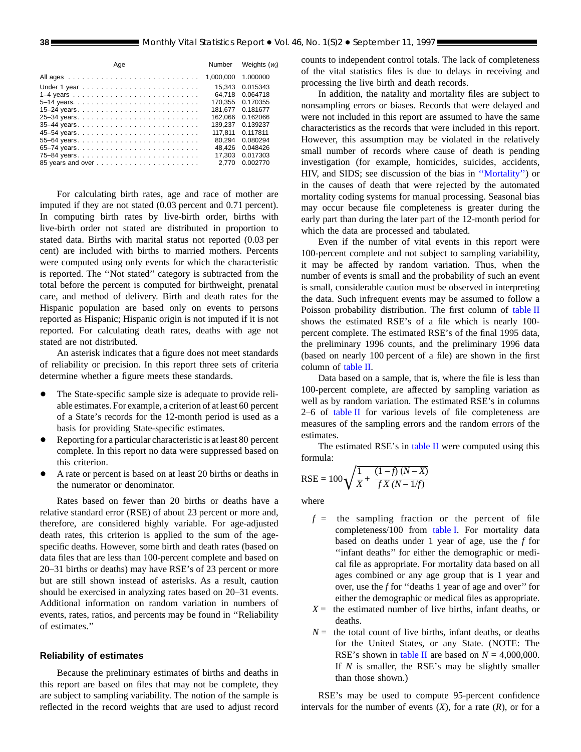| Age         | Number    | Weights $(w_i)$ |
|-------------|-----------|-----------------|
|             | 1.000.000 | 1.000000        |
|             | 15.343    | 0.015343        |
|             | 64.718    | 0.064718        |
|             | 170.355   | 0.170355        |
|             | 181.677   | 0.181677        |
| 25-34 years | 162.066   | 0.162066        |
|             | 139.237   | 0.139237        |
|             | 117.811   | 0.117811        |
|             | 80.294    | 0.080294        |
| 65-74 years | 48.426    | 0.048426        |
| 75-84 years | 17.303    | 0.017303        |
|             | 2.770     | 0.002770        |

For calculating birth rates, age and race of mother are imputed if they are not stated (0.03 percent and 0.71 percent). In computing birth rates by live-birth order, births with live-birth order not stated are distributed in proportion to stated data. Births with marital status not reported (0.03 per cent) are included with births to married mothers. Percents were computed using only events for which the characteristic is reported. The ''Not stated'' category is subtracted from the total before the percent is computed for birthweight, prenatal care, and method of delivery. Birth and death rates for the Hispanic population are based only on events to persons reported as Hispanic; Hispanic origin is not imputed if it is not reported. For calculating death rates, deaths with age not stated are not distributed.

An asterisk indicates that a figure does not meet standards of reliability or precision. In this report three sets of criteria determine whether a figure meets these standards.

- The State-specific sample size is adequate to provide reliable estimates. For example, a criterion of at least 60 percent of a State's records for the 12-month period is used as a basis for providing State-specific estimates.
- Reporting for a particular characteristic is at least 80 percent complete. In this report no data were suppressed based on this criterion.
- A rate or percent is based on at least 20 births or deaths in the numerator or denominator.

Rates based on fewer than 20 births or deaths have a relative standard error (RSE) of about 23 percent or more and, therefore, are considered highly variable. For age-adjusted death rates, this criterion is applied to the sum of the agespecific deaths. However, some birth and death rates (based on data files that are less than 100-percent complete and based on 20–31 births or deaths) may have RSE's of 23 percent or more but are still shown instead of asterisks. As a result, caution should be exercised in analyzing rates based on 20–31 events. Additional information on random variation in numbers of events, rates, ratios, and percents may be found in ''Reliability of estimates.''

#### **Reliability of estimates**

Because the preliminary estimates of births and deaths in this report are based on files that may not be complete, they are subject to sampling variability. The notion of the sample is reflected in the record weights that are used to adjust record counts to independent control totals. The lack of completeness of the vital statistics files is due to delays in receiving and processing the live birth and death records.

In addition, the natality and mortality files are subject to nonsampling errors or biases. Records that were delayed and were not included in this report are assumed to have the same characteristics as the records that were included in this report. However, this assumption may be violated in the relatively small number of records where cause of death is pending investigation (for example, homicides, suicides, accidents, HIV, and SIDS; see discussion of the bias in [''Mortality''\) or](#page-34-0) in the causes of death that were rejected by the automated mortality coding systems for manual processing. Seasonal bias may occur because file completeness is greater during the early part than during the later part of the 12-month period for which the data are processed and tabulated.

Even if the number of vital events in this report were 100-percent complete and not subject to sampling variability, it may be affected by random variation. Thus, when the number of events is small and the probability of such an event is small, considerable caution must be observed in interpreting the data. Such infrequent events may be assumed to follow a Poisson probability distribution. The first column of [table II](#page-38-0) shows the estimated RSE's of a file which is nearly 100 percent complete. The estimated RSE's of the final 1995 data, the preliminary 1996 counts, and the preliminary 1996 data (based on nearly 100 percent of a file) are shown in the first column of table II.

Dat[a based on a](#page-38-0) sample, that is, where the file is less than 100-percent complete, are affected by sampling variation as well as by random variation. The estimated RSE's in columns 2–6 of [table II](#page-38-0) for various levels of file completeness are measures of the sampling errors and the random errors of the estimates.

The estimated RSE's in [table II](#page-38-0) were computed using this formula:

RSE = 
$$
100\sqrt{\frac{1}{X} + \frac{(1-f)(N-X)}{fX(N-1/f)}}
$$

where

- $f =$  the sampling fraction or the percent of file completeness/100 from [table I. Fo](#page-35-0)r mortality data based on deaths under 1 year of age, use the *f* for ''infant deaths'' for either the demographic or medical file as appropriate. For mortality data based on all ages combined or any age group that is 1 year and over, use the *f* for ''deaths 1 year of age and over'' for either the demographic or medical files as appropriate.
- $X =$  the estimated number of live births, infant deaths, or deaths.
- $N =$  the total count of live births, infant deaths, or deaths for the United States, or any State. (NOTE: The RSE's shown in [table II](#page-38-0) are based on  $N = 4,000,000$ . If *N* is smaller, the RSE's may be slightly smaller than those shown.)

RSE's may be used to compute 95-percent confidence intervals for the number of events  $(X)$ , for a rate  $(R)$ , or for a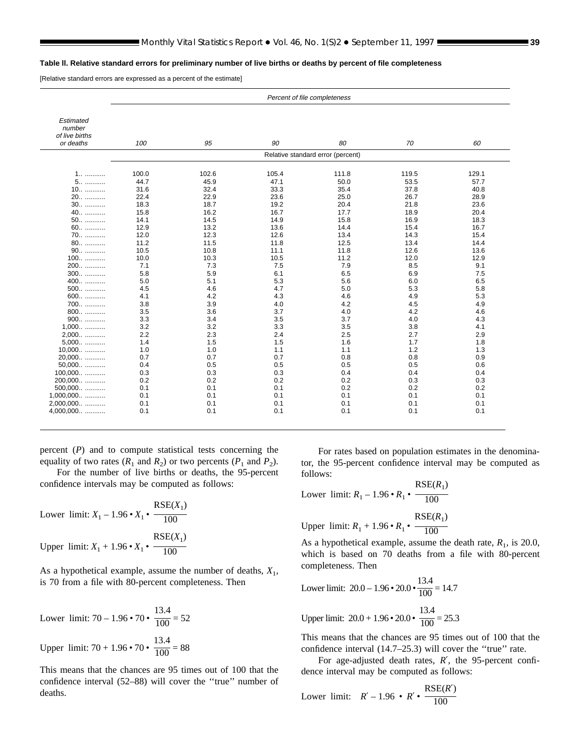# <span id="page-38-0"></span>**Table ll. Relative standard errors for preliminary number of live births or deaths by percent of file completeness**

[Relative standard errors are expressed as a percent of the estimate]

|                | Percent of file completeness      |       |       |       |       |       |  |
|----------------|-----------------------------------|-------|-------|-------|-------|-------|--|
| Estimated      |                                   |       |       |       |       |       |  |
| number         |                                   |       |       |       |       |       |  |
| of live births |                                   |       |       |       |       |       |  |
| or deaths      | 100                               | 95    | 90    | 80    | 70    | 60    |  |
|                | Relative standard error (percent) |       |       |       |       |       |  |
| 1              | 100.0                             | 102.6 | 105.4 | 111.8 | 119.5 | 129.1 |  |
| 5              | 44.7                              | 45.9  | 47.1  | 50.0  | 53.5  | 57.7  |  |
| $10$           | 31.6                              | 32.4  | 33.3  | 35.4  | 37.8  | 40.8  |  |
| 20             | 22.4                              | 22.9  | 23.6  | 25.0  | 26.7  | 28.9  |  |
| 30             | 18.3                              | 18.7  | 19.2  | 20.4  | 21.8  | 23.6  |  |
| 40             | 15.8                              | 16.2  | 16.7  | 17.7  | 18.9  | 20.4  |  |
| 50             | 14.1                              | 14.5  | 14.9  | 15.8  | 16.9  | 18.3  |  |
| 60             | 12.9                              | 13.2  | 13.6  | 14.4  | 15.4  | 16.7  |  |
| 70             | 12.0                              | 12.3  | 12.6  | 13.4  | 14.3  | 15.4  |  |
| 80             | 11.2                              | 11.5  | 11.8  | 12.5  | 13.4  | 14.4  |  |
| 90             | 10.5                              | 10.8  | 11.1  | 11.8  | 12.6  | 13.6  |  |
| 100            | 10.0                              | 10.3  | 10.5  | 11.2  | 12.0  | 12.9  |  |
| 200            | 7.1                               | 7.3   | 7.5   | 7.9   | 8.5   | 9.1   |  |
| $300$          | 5.8                               | 5.9   | 6.1   | 6.5   | 6.9   | 7.5   |  |
| 400            | 5.0                               | 5.1   | 5.3   | 5.6   | 6.0   | 6.5   |  |
| 500            | 4.5                               | 4.6   | 4.7   | 5.0   | 5.3   | 5.8   |  |
| 600            | 4.1                               | 4.2   | 4.3   | 4.6   | 4.9   | 5.3   |  |
| 700            | 3.8                               | 3.9   | 4.0   | 4.2   | 4.5   | 4.9   |  |
| 800            | 3.5                               | 3.6   | 3.7   | 4.0   | 4.2   | 4.6   |  |
| 900            | 3.3                               | 3.4   | 3.5   | 3.7   | 4.0   | 4.3   |  |
| $1,000$        | 3.2                               | 3.2   | 3.3   | 3.5   | 3.8   | 4.1   |  |
| 2,000          | 2.2                               | 2.3   | 2.4   | 2.5   | 2.7   | 2.9   |  |
| $5,000$        | 1.4                               | 1.5   | 1.5   | 1.6   | 1.7   | 1.8   |  |
| 10,000         | 1.0                               | 1.0   | 1.1   | 1.1   | 1.2   | 1.3   |  |
| 20,000         | 0.7                               | 0.7   | 0.7   | 0.8   | 0.8   | 0.9   |  |
| 50,000         | 0.4                               | 0.5   | 0.5   | 0.5   | 0.5   | 0.6   |  |
| 100,000        | 0.3                               | 0.3   | 0.3   | 0.4   | 0.4   | 0.4   |  |
| 200,000        | 0.2                               | 0.2   | 0.2   | 0.2   | 0.3   | 0.3   |  |
| 500,000        | 0.1                               | 0.1   | 0.1   | 0.2   | 0.2   | 0.2   |  |
| $1,000,000$    | 0.1                               | 0.1   | 0.1   | 0.1   | 0.1   | 0.1   |  |
| 2,000,000      | 0.1                               | 0.1   | 0.1   | 0.1   | 0.1   | 0.1   |  |
| 4,000,000      | 0.1                               | 0.1   | 0.1   | 0.1   | 0.1   | 0.1   |  |

percent (*P*) and to compute statistical tests concerning the equality of two rates  $(R_1 \text{ and } R_2)$  or two percents  $(P_1 \text{ and } P_2)$ .

For the number of live births or deaths, the 95-percent confidence intervals may be computed as follows:

Lower limit: 
$$
X_1 - 1.96 \cdot X_1 \cdot \frac{\text{RSE}(X_1)}{100}
$$
  
Upper limit:  $X_1 + 1.96 \cdot X_1 \cdot \frac{\text{RSE}(X_1)}{100}$ 

As a hypothetical example, assume the number of deaths,  $X_1$ , is 70 from a file with 80-percent completeness. Then

Lower limit: 
$$
70 - 1.96 \cdot 70 \cdot \frac{13.4}{100} = 52
$$
  
Upper limit:  $70 + 1.96 \cdot 70 \cdot \frac{13.4}{100} = 88$ 

This means that the chances are 95 times out of 100 that the confidence interval (52–88) will cover the ''true'' number of deaths.

For rates based on population estimates in the denominator, the 95-percent confidence interval may be computed as follows:

Lower limit: 
$$
R_1 - 1.96 \cdot R_1 \cdot \frac{\text{RSE}(R_1)}{100}
$$
  
Upper limit:  $R_1 + 1.96 \cdot R_1 \cdot \frac{\text{RSE}(R_1)}{100}$ 

As a hypothetical example, assume the death rate,  $R_1$ , is 20.0, which is based on 70 deaths from a file with 80-percent completeness. Then

Lower limit: 
$$
20.0 - 1.96 \cdot 20.0 \cdot \frac{13.4}{100} = 14.7
$$
  
Upper limit:  $20.0 + 1.96 \cdot 20.0 \cdot \frac{13.4}{100} = 25.3$ 

This means that the chances are 95 times out of 100 that the confidence interval (14.7–25.3) will cover the ''true'' rate.

For age-adjusted death rates, *R*′, the 95-percent confidence interval may be computed as follows:

Lower limit: 
$$
R'-1.96 \cdot R' \cdot \frac{\text{RSE}(R')}{100}
$$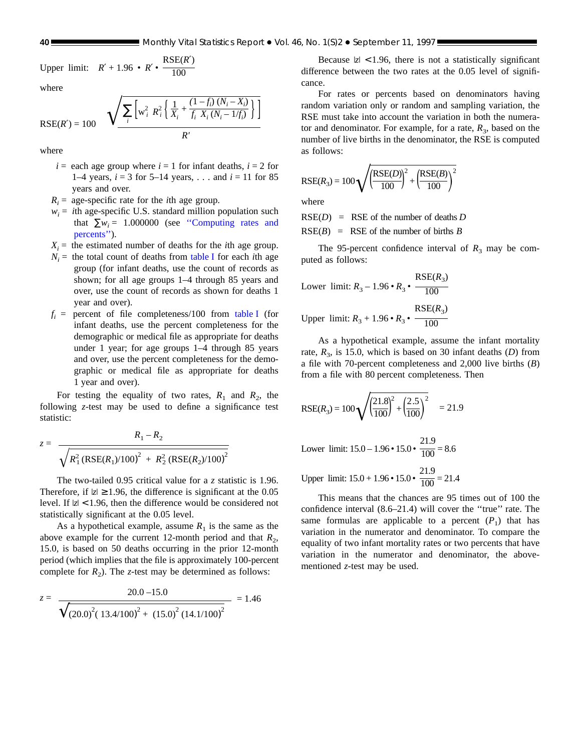Upper limit:  $R' + 1.96 \cdot R'$ RSE(*R*′) 100

where

 $RSE(R') = 100$ 

where

 $i =$  each age group where  $i = 1$  for infant deaths,  $i = 2$  for 1–4 years,  $i = 3$  for 5–14 years, . . . and  $i = 11$  for 85 years and over.

 $\sqrt{\sum_{i} \left[ w_i^2 \right] R_i^2 \left\{ \frac{1}{X_i} + \frac{(1 - f_i) (N_i - X_i)}{f_i X_i (N_i - 1/f_i)} \right\}}$ 

*R'*

 $f_i$   $X_i$   $(N_i - 1/f_i)$   $\Big]$ 

- $R_i$  = age-specific rate for the *i*th age group.
- $w_i$  = *i*th age-specific U.S. standard million population such that  $\sum w_i = 1.000000$  (see "Computing rates and [percents''\).](#page-36-0)
- $X_i$  = the estimated number of deaths for the *i*th age group.
- $N_i$  = the total count of deaths from [table I](#page-35-0) for each *i*th age group (for infant deaths, use the count of records as shown; for all age groups 1–4 through 85 years and over, use the count of records as shown for deaths 1 year and over).
- $f_i$  = percent of file completeness/100 from [table I](#page-35-0) (for infant deaths, use the percent completeness for the demographic or medical file as appropriate for deaths under 1 year; for age groups 1–4 through 85 years and over, use the percent completeness for the demographic or medical file as appropriate for deaths 1 year and over).

For testing the equality of two rates,  $R_1$  and  $R_2$ , the following *z*-test may be used to define a significance test statistic:

$$
z = \frac{R_1 - R_2}{\sqrt{R_1^2 \left(\text{RSE}(R_1)/100\right)^2 + R_2^2 \left(\text{RSE}(R_2)/100\right)^2}}
$$

The two-tailed 0.95 critical value for a *z* statistic is 1.96. Therefore, if  $|z| \ge 1.96$ , the difference is significant at the 0.05 level. If  $|z|$  < 1.96, then the difference would be considered not statistically significant at the 0.05 level.

As a hypothetical example, assume  $R_1$  is the same as the above example for the current 12-month period and that  $R_2$ , 15.0, is based on 50 deaths occurring in the prior 12-month period (which implies that the file is approximately 100-percent complete for  $R_2$ ). The *z*-test may be determined as follows:

$$
z = \frac{20.0 - 15.0}{\sqrt{(20.0)^2 (13.4/100)^2 + (15.0)^2 (14.1/100)^2}} = 1.46
$$

Because  $|z|$  < 1.96, there is not a statistically significant difference between the two rates at the 0.05 level of significance.

For rates or percents based on denominators having random variation only or random and sampling variation, the RSE must take into account the variation in both the numerator and denominator. For example, for a rate,  $R_3$ , based on the number of live births in the denominator, the RSE is computed as follows:

$$
RSE(R_3) = 100 \sqrt{\left(\frac{RSE(D)}{100}\right)^2 + \left(\frac{RSE(B)}{100}\right)^2}
$$

where

RSE(*D*) = RSE of the number of deaths *D*

 $RSE(B) = RSE$  of the number of births *B* 

The 95-percent confidence interval of  $R_3$  may be computed as follows:

Lower limit: 
$$
R_3 - 1.96 \cdot R_3 \cdot \frac{\text{RSE}(R_3)}{100}
$$

Upper  $\text{limit: } R_3 + 1.96 \cdot R_3$  $RSE(R_3)$ 100

As a hypothetical example, assume the infant mortality rate,  $R_3$ , is 15.0, which is based on 30 infant deaths (*D*) from a file with 70-percent completeness and 2,000 live births (*B*) from a file with 80 percent completeness. Then

$$
RSE(R_3) = 100 \sqrt{\left(\frac{21.8}{100}\right)^2 + \left(\frac{2.5}{100}\right)^2} = 21.9
$$

Lower limit:  $15.0 - 1.96 \cdot 15.0 \cdot$ 21.9  $\frac{1}{100} = 8.6$ 

Upper limit:  $15.0 + 1.96 \cdot 15.0 \cdot$ 21.9  $\frac{1}{100}$  = 21.4

This means that the chances are 95 times out of 100 the confidence interval (8.6–21.4) will cover the ''true'' rate. The same formulas are applicable to a percent  $(P_1)$  that has variation in the numerator and denominator. To compare the equality of two infant mortality rates or two percents that have variation in the numerator and denominator, the abovementioned *z*-test may be used.